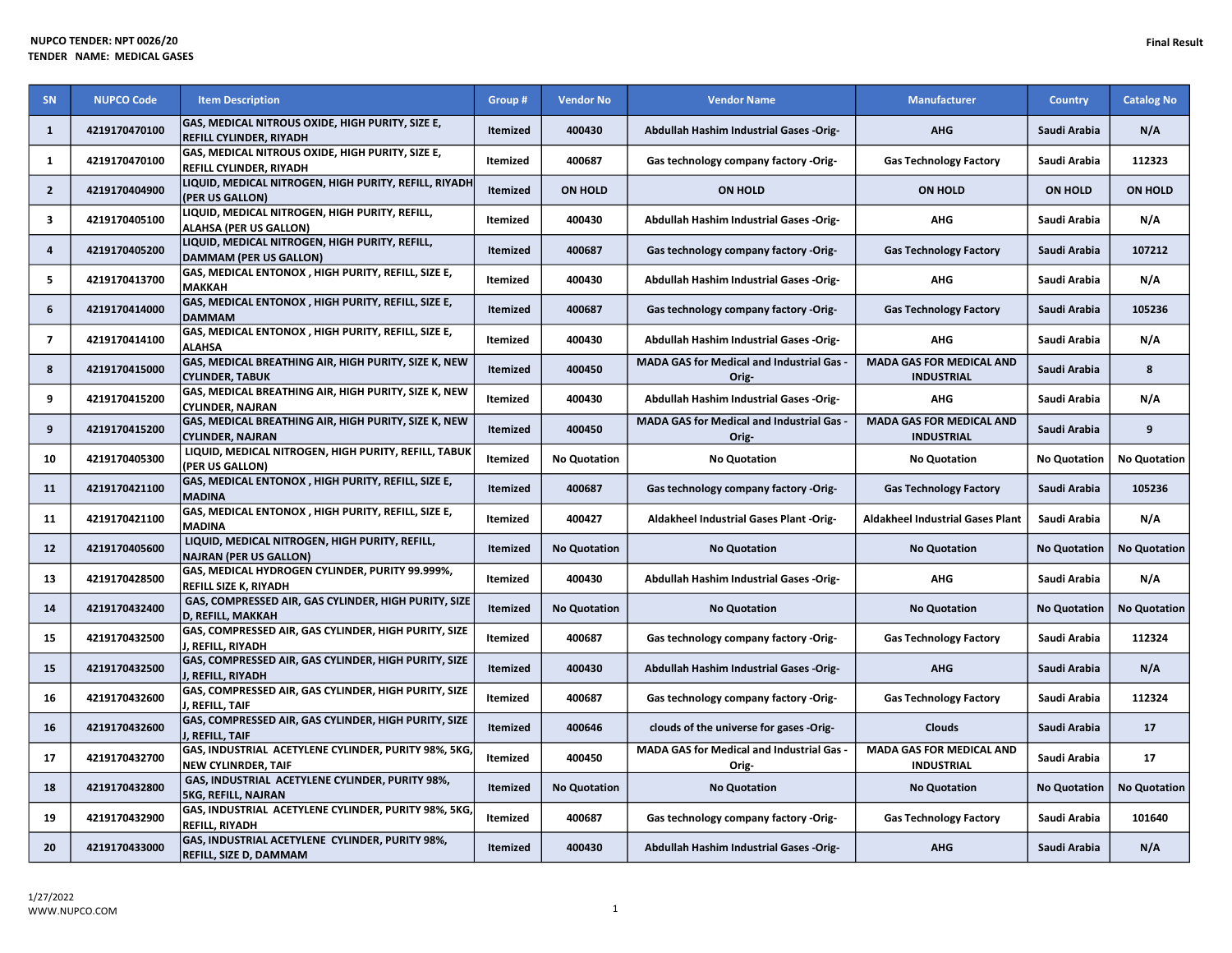| SN                       | <b>NUPCO Code</b> | <b>Item Description</b>                                                                   | Group #         | <b>Vendor No</b>    | <b>Vendor Name</b>                                        | <b>Manufacturer</b>                                  | <b>Country</b>      | <b>Catalog No</b>   |
|--------------------------|-------------------|-------------------------------------------------------------------------------------------|-----------------|---------------------|-----------------------------------------------------------|------------------------------------------------------|---------------------|---------------------|
| $\mathbf{1}$             | 4219170470100     | <b>GAS, MEDICAL NITROUS OXIDE, HIGH PURITY, SIZE E,</b><br><b>REFILL CYLINDER, RIYADH</b> | <b>Itemized</b> | 400430              | Abdullah Hashim Industrial Gases -Orig-                   | <b>AHG</b>                                           | Saudi Arabia        | N/A                 |
| 1                        | 4219170470100     | GAS, MEDICAL NITROUS OXIDE, HIGH PURITY, SIZE E,<br>REFILL CYLINDER, RIYADH               | Itemized        | 400687              | Gas technology company factory -Orig-                     | <b>Gas Technology Factory</b>                        | Saudi Arabia        | 112323              |
| $\overline{2}$           | 4219170404900     | LIQUID, MEDICAL NITROGEN, HIGH PURITY, REFILL, RIYADH<br>(PER US GALLON)                  | <b>Itemized</b> | <b>ON HOLD</b>      | <b>ON HOLD</b>                                            | <b>ON HOLD</b>                                       | <b>ON HOLD</b>      | <b>ON HOLD</b>      |
| 3                        | 4219170405100     | LIQUID, MEDICAL NITROGEN, HIGH PURITY, REFILL,<br><b>ALAHSA (PER US GALLON)</b>           | Itemized        | 400430              | Abdullah Hashim Industrial Gases -Orig-                   | <b>AHG</b>                                           | Saudi Arabia        | N/A                 |
| 4                        | 4219170405200     | LIQUID, MEDICAL NITROGEN, HIGH PURITY, REFILL,<br><b>DAMMAM (PER US GALLON)</b>           | <b>Itemized</b> | 400687              | Gas technology company factory -Orig-                     | <b>Gas Technology Factory</b>                        | Saudi Arabia        | 107212              |
| 5                        | 4219170413700     | GAS, MEDICAL ENTONOX, HIGH PURITY, REFILL, SIZE E,<br><b>MAKKAH</b>                       | Itemized        | 400430              | <b>Abdullah Hashim Industrial Gases -Orig-</b>            | <b>AHG</b>                                           | Saudi Arabia        | N/A                 |
| 6                        | 4219170414000     | GAS, MEDICAL ENTONOX, HIGH PURITY, REFILL, SIZE E,<br><b>DAMMAM</b>                       | <b>Itemized</b> | 400687              | Gas technology company factory -Orig-                     | <b>Gas Technology Factory</b>                        | Saudi Arabia        | 105236              |
| $\overline{\phantom{a}}$ | 4219170414100     | GAS, MEDICAL ENTONOX, HIGH PURITY, REFILL, SIZE E,<br><b>ALAHSA</b>                       | Itemized        | 400430              | Abdullah Hashim Industrial Gases -Orig-                   | <b>AHG</b>                                           | Saudi Arabia        | N/A                 |
| 8                        | 4219170415000     | GAS, MEDICAL BREATHING AIR, HIGH PURITY, SIZE K, NEW<br><b>CYLINDER, TABUK</b>            | <b>Itemized</b> | 400450              | MADA GAS for Medical and Industrial Gas -<br>Orig-        | <b>MADA GAS FOR MEDICAL AND</b><br><b>INDUSTRIAL</b> | Saudi Arabia        | 8                   |
| 9                        | 4219170415200     | GAS, MEDICAL BREATHING AIR, HIGH PURITY, SIZE K, NEW<br><b>CYLINDER, NAJRAN</b>           | Itemized        | 400430              | Abdullah Hashim Industrial Gases -Orig-                   | <b>AHG</b>                                           | Saudi Arabia        | N/A                 |
| 9                        | 4219170415200     | GAS, MEDICAL BREATHING AIR, HIGH PURITY, SIZE K, NEW<br><b>CYLINDER. NAJRAN</b>           | <b>Itemized</b> | 400450              | <b>MADA GAS for Medical and Industrial Gas -</b><br>Orig- | <b>MADA GAS FOR MEDICAL AND</b><br><b>INDUSTRIAL</b> | Saudi Arabia        | 9                   |
| 10                       | 4219170405300     | LIQUID, MEDICAL NITROGEN, HIGH PURITY, REFILL, TABUK<br>(PER US GALLON)                   | Itemized        | <b>No Quotation</b> | <b>No Quotation</b>                                       | <b>No Quotation</b>                                  | <b>No Quotation</b> | <b>No Quotation</b> |
| 11                       | 4219170421100     | GAS, MEDICAL ENTONOX, HIGH PURITY, REFILL, SIZE E,<br><b>MADINA</b>                       | <b>Itemized</b> | 400687              | Gas technology company factory -Orig-                     | <b>Gas Technology Factory</b>                        | Saudi Arabia        | 105236              |
| 11                       | 4219170421100     | GAS, MEDICAL ENTONOX, HIGH PURITY, REFILL, SIZE E,<br><b>MADINA</b>                       | Itemized        | 400427              | <b>Aldakheel Industrial Gases Plant -Orig-</b>            | <b>Aldakheel Industrial Gases Plant</b>              | Saudi Arabia        | N/A                 |
| 12                       | 4219170405600     | LIQUID, MEDICAL NITROGEN, HIGH PURITY, REFILL,<br><b>NAJRAN (PER US GALLON)</b>           | Itemized        | <b>No Quotation</b> | <b>No Quotation</b>                                       | <b>No Quotation</b>                                  | <b>No Quotation</b> | <b>No Quotation</b> |
| 13                       | 4219170428500     | GAS, MEDICAL HYDROGEN CYLINDER, PURITY 99.999%,<br>REFILL SIZE K, RIYADH                  | Itemized        | 400430              | Abdullah Hashim Industrial Gases -Orig-                   | <b>AHG</b>                                           | Saudi Arabia        | N/A                 |
| 14                       | 4219170432400     | GAS, COMPRESSED AIR, GAS CYLINDER, HIGH PURITY, SIZE<br>D, REFILL, MAKKAH                 | <b>Itemized</b> | <b>No Quotation</b> | <b>No Quotation</b>                                       | <b>No Quotation</b>                                  | <b>No Quotation</b> | <b>No Quotation</b> |
| 15                       | 4219170432500     | GAS, COMPRESSED AIR, GAS CYLINDER, HIGH PURITY, SIZE<br>, REFILL, RIYADH                  | Itemized        | 400687              | Gas technology company factory -Orig-                     | <b>Gas Technology Factory</b>                        | Saudi Arabia        | 112324              |
| 15                       | 4219170432500     | GAS, COMPRESSED AIR, GAS CYLINDER, HIGH PURITY, SIZE<br>J, REFILL, RIYADH                 | <b>Itemized</b> | 400430              | Abdullah Hashim Industrial Gases -Orig-                   | <b>AHG</b>                                           | Saudi Arabia        | N/A                 |
| 16                       | 4219170432600     | GAS, COMPRESSED AIR, GAS CYLINDER, HIGH PURITY, SIZE<br>, REFILL, TAIF                    | Itemized        | 400687              | Gas technology company factory -Orig-                     | <b>Gas Technology Factory</b>                        | Saudi Arabia        | 112324              |
| 16                       | 4219170432600     | GAS, COMPRESSED AIR, GAS CYLINDER, HIGH PURITY, SIZE<br>J, REFILL, TAIF                   | <b>Itemized</b> | 400646              | clouds of the universe for gases -Orig-                   | <b>Clouds</b>                                        | Saudi Arabia        | 17                  |
| 17                       | 4219170432700     | GAS, INDUSTRIAL ACETYLENE CYLINDER, PURITY 98%, 5KG,<br><b>NEW CYLINRDER, TAIF</b>        | Itemized        | 400450              | MADA GAS for Medical and Industrial Gas -<br>Orig-        | <b>MADA GAS FOR MEDICAL AND</b><br><b>INDUSTRIAL</b> | Saudi Arabia        | 17                  |
| 18                       | 4219170432800     | GAS, INDUSTRIAL ACETYLENE CYLINDER, PURITY 98%,<br><b>5KG, REFILL, NAJRAN</b>             | <b>Itemized</b> | <b>No Quotation</b> | <b>No Quotation</b>                                       | <b>No Quotation</b>                                  | <b>No Quotation</b> | <b>No Quotation</b> |

19 4219170432900 GAS, INDUSTRIAL ACETYLENE CYLINDER, PURITY 98%, 5KG,

20 4219170433000 GAS, INDUSTRIAL ACETYLENE CYLINDER, PURITY 98%,

REFILL, RIYADH

SKG, REFILL, NAJRAN NO Quotation No Quotation No Quotation No Quotation No Quotation No Quotation No Quotation No Quotation No Quotation No Quotation No Quotation No Quotation No Quotation No Quotation No Quotation No Quot

Itemized 400687 Gas technology company factory -Orig- Gas Technology Factory Saudi Arabia 101640

REFILL, REFILL, ADAMMAM INDUSTRIAL, STRAMMAGE AREFILL, STRAM AREFILL, STRAMMAGE AREFILL, STRAMMAGE AREFILL, STRAMMAGE AREFILL, STRAMMAGE AREFILL, STRAMMAGE AREFILL, STRAMMAGE AREFILL, STRAMMAGE AREFILL, STRAMMAGE AREFILL,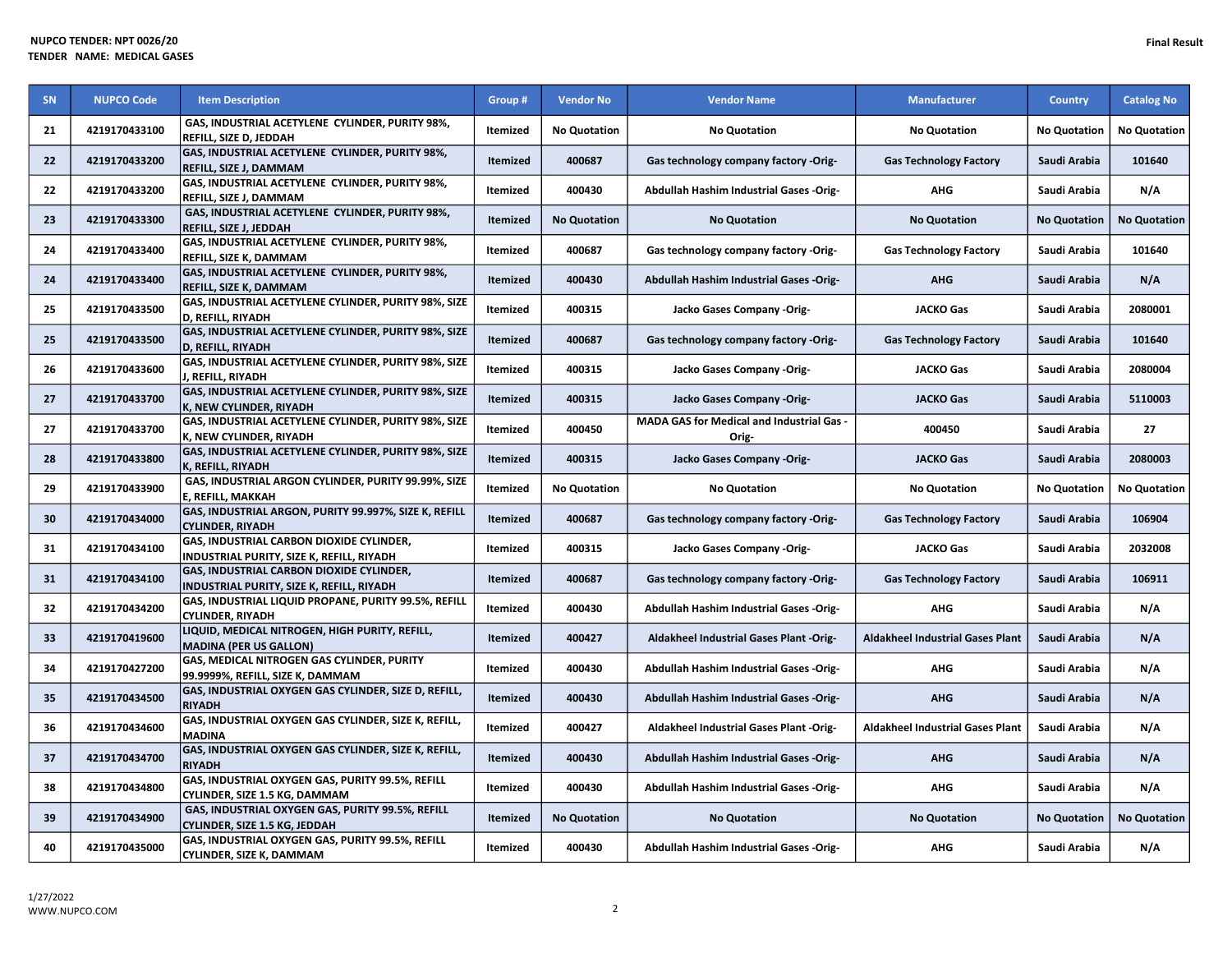| <b>SN</b> | <b>NUPCO Code</b> | <b>Item Description</b>                                                                      | Group #         | <b>Vendor No</b>    | <b>Vendor Name</b>                                        | <b>Manufacturer</b>                     | <b>Country</b>      | <b>Catalog No</b>   |
|-----------|-------------------|----------------------------------------------------------------------------------------------|-----------------|---------------------|-----------------------------------------------------------|-----------------------------------------|---------------------|---------------------|
| 21        | 4219170433100     | GAS, INDUSTRIAL ACETYLENE CYLINDER, PURITY 98%,<br><b>REFILL, SIZE D, JEDDAH</b>             | Itemized        | <b>No Quotation</b> | <b>No Quotation</b>                                       | <b>No Quotation</b>                     | <b>No Quotation</b> | <b>No Quotation</b> |
| 22        | 4219170433200     | GAS, INDUSTRIAL ACETYLENE CYLINDER, PURITY 98%,<br><b>REFILL. SIZE J. DAMMAM</b>             | Itemized        | 400687              | Gas technology company factory -Orig-                     | <b>Gas Technology Factory</b>           | Saudi Arabia        | 101640              |
| 22        | 4219170433200     | GAS, INDUSTRIAL ACETYLENE CYLINDER, PURITY 98%,<br>REFILL, SIZE J, DAMMAM                    | Itemized        | 400430              | Abdullah Hashim Industrial Gases -Orig-                   | <b>AHG</b>                              | Saudi Arabia        | N/A                 |
| 23        | 4219170433300     | GAS, INDUSTRIAL ACETYLENE CYLINDER, PURITY 98%,<br>REFILL, SIZE J, JEDDAH                    | Itemized        | <b>No Quotation</b> | <b>No Quotation</b>                                       | <b>No Quotation</b>                     | <b>No Quotation</b> | <b>No Quotation</b> |
| 24        | 4219170433400     | GAS, INDUSTRIAL ACETYLENE CYLINDER, PURITY 98%,<br>REFILL, SIZE K, DAMMAM                    | <b>Itemized</b> | 400687              | Gas technology company factory -Orig-                     | <b>Gas Technology Factory</b>           | Saudi Arabia        | 101640              |
| 24        | 4219170433400     | GAS, INDUSTRIAL ACETYLENE CYLINDER, PURITY 98%,<br>REFILL, SIZE K, DAMMAM                    | Itemized        | 400430              | Abdullah Hashim Industrial Gases -Orig-                   | <b>AHG</b>                              | Saudi Arabia        | N/A                 |
| 25        | 4219170433500     | GAS, INDUSTRIAL ACETYLENE CYLINDER, PURITY 98%, SIZE<br>D, REFILL, RIYADH                    | Itemized        | 400315              | Jacko Gases Company -Orig-                                | <b>JACKO Gas</b>                        | Saudi Arabia        | 2080001             |
| 25        | 4219170433500     | GAS, INDUSTRIAL ACETYLENE CYLINDER, PURITY 98%, SIZE<br>D, REFILL, RIYADH                    | Itemized        | 400687              | Gas technology company factory -Orig-                     | <b>Gas Technology Factory</b>           | Saudi Arabia        | 101640              |
| 26        | 4219170433600     | GAS, INDUSTRIAL ACETYLENE CYLINDER, PURITY 98%, SIZE<br>J. REFILL. RIYADH                    | Itemized        | 400315              | Jacko Gases Company -Orig-                                | <b>JACKO Gas</b>                        | Saudi Arabia        | 2080004             |
| 27        | 4219170433700     | GAS, INDUSTRIAL ACETYLENE CYLINDER, PURITY 98%, SIZE<br>K, NEW CYLINDER, RIYADH              | Itemized        | 400315              | Jacko Gases Company -Orig-                                | <b>JACKO Gas</b>                        | Saudi Arabia        | 5110003             |
| 27        | 4219170433700     | GAS, INDUSTRIAL ACETYLENE CYLINDER, PURITY 98%, SIZE<br>K, NEW CYLINDER, RIYADH              | Itemized        | 400450              | <b>MADA GAS for Medical and Industrial Gas -</b><br>Orig- | 400450                                  | Saudi Arabia        | 27                  |
| 28        | 4219170433800     | GAS, INDUSTRIAL ACETYLENE CYLINDER, PURITY 98%, SIZE<br>K, REFILL, RIYADH                    | Itemized        | 400315              | Jacko Gases Company -Orig-                                | <b>JACKO Gas</b>                        | Saudi Arabia        | 2080003             |
| 29        | 4219170433900     | GAS, INDUSTRIAL ARGON CYLINDER, PURITY 99.99%, SIZE<br>E, REFILL, MAKKAH                     | Itemized        | <b>No Quotation</b> | <b>No Quotation</b>                                       | <b>No Quotation</b>                     | <b>No Quotation</b> | <b>No Quotation</b> |
| 30        | 4219170434000     | GAS, INDUSTRIAL ARGON, PURITY 99.997%, SIZE K, REFILL<br><b>CYLINDER, RIYADH</b>             | Itemized        | 400687              | Gas technology company factory -Orig-                     | <b>Gas Technology Factory</b>           | Saudi Arabia        | 106904              |
| 31        | 4219170434100     | GAS, INDUSTRIAL CARBON DIOXIDE CYLINDER,<br>INDUSTRIAL PURITY, SIZE K, REFILL, RIYADH        | Itemized        | 400315              | Jacko Gases Company -Orig-                                | <b>JACKO Gas</b>                        | Saudi Arabia        | 2032008             |
| 31        | 4219170434100     | <b>GAS, INDUSTRIAL CARBON DIOXIDE CYLINDER,</b><br>INDUSTRIAL PURITY, SIZE K, REFILL, RIYADH | Itemized        | 400687              | Gas technology company factory -Orig-                     | <b>Gas Technology Factory</b>           | Saudi Arabia        | 106911              |
| 32        | 4219170434200     | GAS, INDUSTRIAL LIQUID PROPANE, PURITY 99.5%, REFILL<br><b>CYLINDER, RIYADH</b>              | Itemized        | 400430              | <b>Abdullah Hashim Industrial Gases -Orig-</b>            | <b>AHG</b>                              | Saudi Arabia        | N/A                 |
| 33        | 4219170419600     | LIQUID, MEDICAL NITROGEN, HIGH PURITY, REFILL,<br><b>MADINA (PER US GALLON)</b>              | Itemized        | 400427              | Aldakheel Industrial Gases Plant -Orig-                   | <b>Aldakheel Industrial Gases Plant</b> | Saudi Arabia        | N/A                 |
| 34        | 4219170427200     | <b>GAS, MEDICAL NITROGEN GAS CYLINDER, PURITY</b><br>99.9999%, REFILL, SIZE K, DAMMAM        | Itemized        | 400430              | Abdullah Hashim Industrial Gases -Orig-                   | <b>AHG</b>                              | Saudi Arabia        | N/A                 |
| 35        | 4219170434500     | GAS, INDUSTRIAL OXYGEN GAS CYLINDER, SIZE D, REFILL,<br><b>RIYADH</b>                        | Itemized        | 400430              | Abdullah Hashim Industrial Gases -Orig-                   | <b>AHG</b>                              | Saudi Arabia        | N/A                 |
| 36        | 4219170434600     | GAS, INDUSTRIAL OXYGEN GAS CYLINDER, SIZE K, REFILL,<br><b>MADINA</b>                        | Itemized        | 400427              | Aldakheel Industrial Gases Plant -Orig-                   | <b>Aldakheel Industrial Gases Plant</b> | Saudi Arabia        | N/A                 |
| 37        | 4219170434700     | GAS, INDUSTRIAL OXYGEN GAS CYLINDER, SIZE K, REFILL,<br><b>RIYADH</b>                        | Itemized        | 400430              | <b>Abdullah Hashim Industrial Gases -Orig-</b>            | <b>AHG</b>                              | Saudi Arabia        | N/A                 |
| 38        | 4219170434800     | GAS, INDUSTRIAL OXYGEN GAS, PURITY 99.5%, REFILL<br>CYLINDER, SIZE 1.5 KG, DAMMAM            | Itemized        | 400430              | Abdullah Hashim Industrial Gases -Orig-                   | <b>AHG</b>                              | Saudi Arabia        | N/A                 |
| 39        | 4219170434900     | GAS, INDUSTRIAL OXYGEN GAS, PURITY 99.5%, REFILL<br>CYLINDER, SIZE 1.5 KG, JEDDAH            | Itemized        | <b>No Quotation</b> | <b>No Quotation</b>                                       | <b>No Quotation</b>                     | <b>No Quotation</b> | <b>No Quotation</b> |
| 40        | 4219170435000     | GAS, INDUSTRIAL OXYGEN GAS, PURITY 99.5%, REFILL<br><b>CYLINDER, SIZE K, DAMMAM</b>          | Itemized        | 400430              | Abdullah Hashim Industrial Gases -Orig-                   | <b>AHG</b>                              | Saudi Arabia        | N/A                 |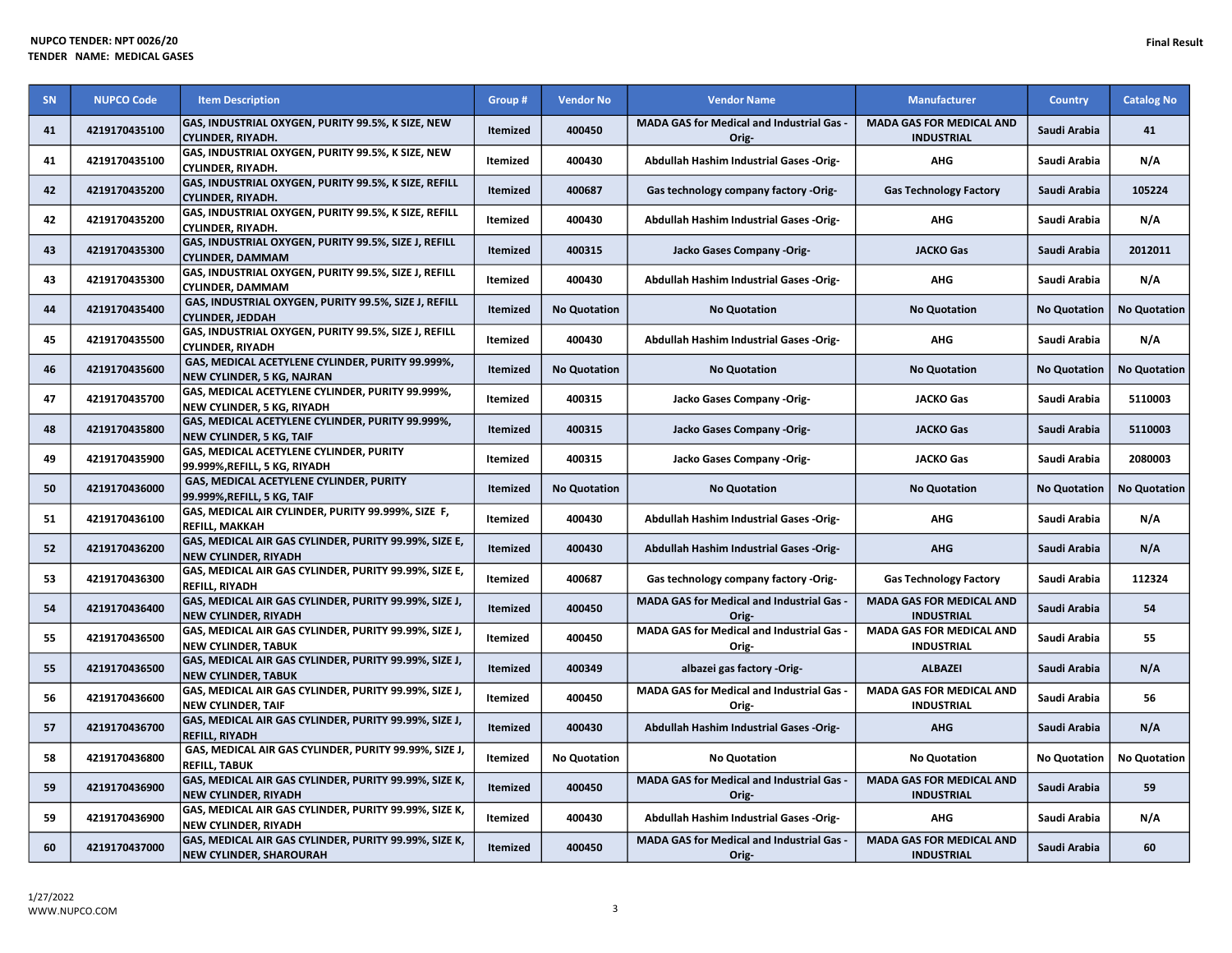| SN | <b>NUPCO Code</b> | <b>Item Description</b>                                                                 | Group #         | <b>Vendor No</b>    | <b>Vendor Name</b>                                        | <b>Manufacturer</b>                                  | <b>Country</b>      | <b>Catalog No</b>   |
|----|-------------------|-----------------------------------------------------------------------------------------|-----------------|---------------------|-----------------------------------------------------------|------------------------------------------------------|---------------------|---------------------|
| 41 | 4219170435100     | GAS, INDUSTRIAL OXYGEN, PURITY 99.5%, K SIZE, NEW<br><b>CYLINDER, RIYADH.</b>           | <b>Itemized</b> | 400450              | <b>MADA GAS for Medical and Industrial Gas -</b><br>Orig- | <b>MADA GAS FOR MEDICAL AND</b><br><b>INDUSTRIAL</b> | Saudi Arabia        | 41                  |
| 41 | 4219170435100     | GAS, INDUSTRIAL OXYGEN, PURITY 99.5%, K SIZE, NEW<br><b>CYLINDER, RIYADH.</b>           | Itemized        | 400430              | Abdullah Hashim Industrial Gases -Orig-                   | AHG                                                  | Saudi Arabia        | N/A                 |
| 42 | 4219170435200     | GAS, INDUSTRIAL OXYGEN, PURITY 99.5%, K SIZE, REFILL<br><b>CYLINDER, RIYADH.</b>        | <b>Itemized</b> | 400687              | Gas technology company factory -Orig-                     | <b>Gas Technology Factory</b>                        | Saudi Arabia        | 105224              |
| 42 | 4219170435200     | GAS, INDUSTRIAL OXYGEN, PURITY 99.5%, K SIZE, REFILL<br><b>CYLINDER, RIYADH.</b>        | Itemized        | 400430              | Abdullah Hashim Industrial Gases -Orig-                   | <b>AHG</b>                                           | Saudi Arabia        | N/A                 |
| 43 | 4219170435300     | GAS, INDUSTRIAL OXYGEN, PURITY 99.5%, SIZE J, REFILL<br><b>CYLINDER, DAMMAM</b>         | Itemized        | 400315              | Jacko Gases Company -Orig-                                | <b>JACKO Gas</b>                                     | Saudi Arabia        | 2012011             |
| 43 | 4219170435300     | GAS, INDUSTRIAL OXYGEN, PURITY 99.5%, SIZE J, REFILL<br><b>CYLINDER, DAMMAM</b>         | Itemized        | 400430              | Abdullah Hashim Industrial Gases -Orig-                   | AHG                                                  | Saudi Arabia        | N/A                 |
| 44 | 4219170435400     | GAS, INDUSTRIAL OXYGEN, PURITY 99.5%, SIZE J, REFILL<br><b>CYLINDER, JEDDAH</b>         | <b>Itemized</b> | <b>No Quotation</b> | <b>No Quotation</b>                                       | <b>No Quotation</b>                                  | <b>No Quotation</b> | <b>No Quotation</b> |
| 45 | 4219170435500     | GAS, INDUSTRIAL OXYGEN, PURITY 99.5%, SIZE J, REFILL<br><b>CYLINDER, RIYADH</b>         | Itemized        | 400430              | Abdullah Hashim Industrial Gases -Orig-                   | <b>AHG</b>                                           | Saudi Arabia        | N/A                 |
| 46 | 4219170435600     | GAS, MEDICAL ACETYLENE CYLINDER, PURITY 99.999%,<br>NEW CYLINDER, 5 KG, NAJRAN          | <b>Itemized</b> | <b>No Quotation</b> | <b>No Quotation</b>                                       | <b>No Quotation</b>                                  | <b>No Quotation</b> | <b>No Quotation</b> |
| 47 | 4219170435700     | GAS, MEDICAL ACETYLENE CYLINDER, PURITY 99.999%,<br>NEW CYLINDER, 5 KG, RIYADH          | Itemized        | 400315              | Jacko Gases Company -Orig-                                | <b>JACKO Gas</b>                                     | Saudi Arabia        | 5110003             |
| 48 | 4219170435800     | GAS, MEDICAL ACETYLENE CYLINDER, PURITY 99.999%,<br><b>NEW CYLINDER, 5 KG, TAIF</b>     | <b>Itemized</b> | 400315              | Jacko Gases Company -Orig-                                | <b>JACKO Gas</b>                                     | Saudi Arabia        | 5110003             |
| 49 | 4219170435900     | GAS, MEDICAL ACETYLENE CYLINDER, PURITY<br>99.999%, REFILL, 5 KG, RIYADH                | Itemized        | 400315              | Jacko Gases Company -Orig-                                | <b>JACKO Gas</b>                                     | Saudi Arabia        | 2080003             |
| 50 | 4219170436000     | GAS, MEDICAL ACETYLENE CYLINDER, PURITY<br>99.999%, REFILL, 5 KG, TAIF                  | <b>Itemized</b> | <b>No Quotation</b> | <b>No Quotation</b>                                       | <b>No Quotation</b>                                  | <b>No Quotation</b> | <b>No Quotation</b> |
| 51 | 4219170436100     | GAS, MEDICAL AIR CYLINDER, PURITY 99.999%, SIZE F,<br><b>REFILL, MAKKAH</b>             | <b>Itemized</b> | 400430              | Abdullah Hashim Industrial Gases -Orig-                   | <b>AHG</b>                                           | Saudi Arabia        | N/A                 |
| 52 | 4219170436200     | GAS, MEDICAL AIR GAS CYLINDER, PURITY 99.99%, SIZE E,<br><b>NEW CYLINDER, RIYADH</b>    | <b>Itemized</b> | 400430              | Abdullah Hashim Industrial Gases -Orig-                   | <b>AHG</b>                                           | Saudi Arabia        | N/A                 |
| 53 | 4219170436300     | GAS, MEDICAL AIR GAS CYLINDER, PURITY 99.99%, SIZE E,<br><b>REFILL, RIYADH</b>          | Itemized        | 400687              | Gas technology company factory -Orig-                     | <b>Gas Technology Factory</b>                        | Saudi Arabia        | 112324              |
| 54 | 4219170436400     | GAS, MEDICAL AIR GAS CYLINDER, PURITY 99.99%, SIZE J,<br><b>NEW CYLINDER, RIYADH</b>    | <b>Itemized</b> | 400450              | MADA GAS for Medical and Industrial Gas -<br>Orig-        | <b>MADA GAS FOR MEDICAL AND</b><br><b>INDUSTRIAL</b> | Saudi Arabia        | 54                  |
| 55 | 4219170436500     | GAS, MEDICAL AIR GAS CYLINDER, PURITY 99.99%, SIZE J,<br><b>NEW CYLINDER, TABUK</b>     | Itemized        | 400450              | MADA GAS for Medical and Industrial Gas -<br>Orig-        | MADA GAS FOR MEDICAL AND<br><b>INDUSTRIAL</b>        | Saudi Arabia        | 55                  |
| 55 | 4219170436500     | GAS, MEDICAL AIR GAS CYLINDER, PURITY 99.99%, SIZE J,<br><b>NEW CYLINDER, TABUK</b>     | <b>Itemized</b> | 400349              | albazei gas factory -Orig-                                | <b>ALBAZEI</b>                                       | Saudi Arabia        | N/A                 |
| 56 | 4219170436600     | GAS, MEDICAL AIR GAS CYLINDER, PURITY 99.99%, SIZE J,<br><b>NEW CYLINDER, TAIF</b>      | Itemized        | 400450              | MADA GAS for Medical and Industrial Gas -<br>Orig-        | <b>MADA GAS FOR MEDICAL AND</b><br><b>INDUSTRIAL</b> | Saudi Arabia        | 56                  |
| 57 | 4219170436700     | GAS, MEDICAL AIR GAS CYLINDER, PURITY 99.99%, SIZE J,<br><b>REFILL, RIYADH</b>          | Itemized        | 400430              | Abdullah Hashim Industrial Gases -Orig-                   | <b>AHG</b>                                           | Saudi Arabia        | N/A                 |
| 58 | 4219170436800     | GAS, MEDICAL AIR GAS CYLINDER, PURITY 99.99%, SIZE J,<br><b>REFILL, TABUK</b>           | Itemized        | <b>No Quotation</b> | <b>No Quotation</b>                                       | <b>No Quotation</b>                                  | <b>No Quotation</b> | <b>No Quotation</b> |
| 59 | 4219170436900     | GAS, MEDICAL AIR GAS CYLINDER, PURITY 99.99%, SIZE K,<br><b>NEW CYLINDER, RIYADH</b>    | Itemized        | 400450              | MADA GAS for Medical and Industrial Gas -<br>Orig-        | <b>MADA GAS FOR MEDICAL AND</b><br><b>INDUSTRIAL</b> | Saudi Arabia        | 59                  |
| 59 | 4219170436900     | GAS, MEDICAL AIR GAS CYLINDER, PURITY 99.99%, SIZE K,<br><b>NEW CYLINDER, RIYADH</b>    | Itemized        | 400430              | Abdullah Hashim Industrial Gases -Orig-                   | AHG                                                  | Saudi Arabia        | N/A                 |
| 60 | 4219170437000     | GAS, MEDICAL AIR GAS CYLINDER, PURITY 99.99%, SIZE K,<br><b>NEW CYLINDER, SHAROURAH</b> | <b>Itemized</b> | 400450              | <b>MADA GAS for Medical and Industrial Gas -</b><br>Orig- | <b>MADA GAS FOR MEDICAL AND</b><br><b>INDUSTRIAL</b> | Saudi Arabia        | 60                  |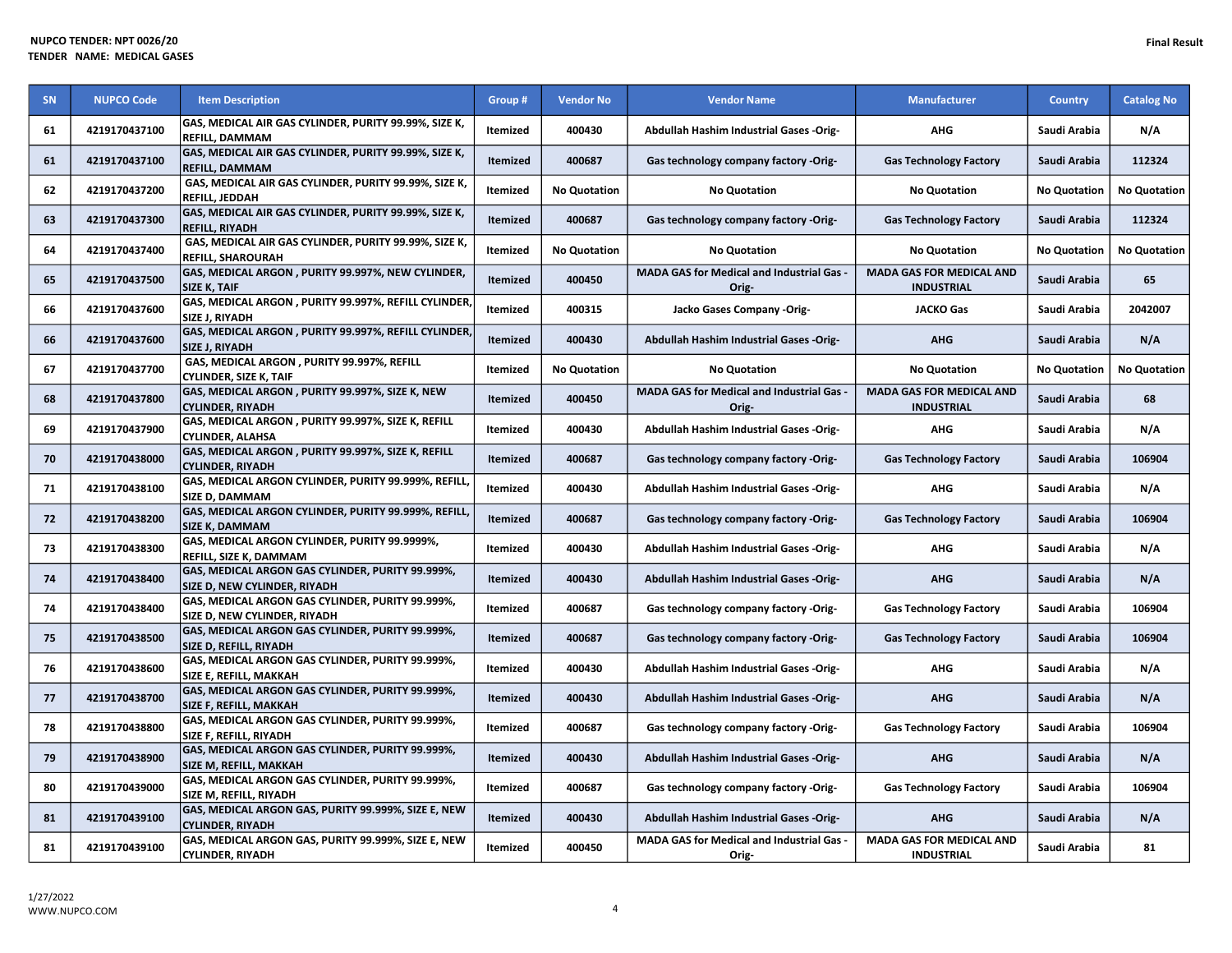| SN | <b>NUPCO Code</b> | <b>Item Description</b>                                                           | Group #         | <b>Vendor No</b>    | <b>Vendor Name</b>                                 | <b>Manufacturer</b>                                  | <b>Country</b>      | <b>Catalog No</b>   |
|----|-------------------|-----------------------------------------------------------------------------------|-----------------|---------------------|----------------------------------------------------|------------------------------------------------------|---------------------|---------------------|
| 61 | 4219170437100     | GAS, MEDICAL AIR GAS CYLINDER, PURITY 99.99%, SIZE K,<br><b>REFILL, DAMMAM</b>    | Itemized        | 400430              | <b>Abdullah Hashim Industrial Gases -Orig-</b>     | <b>AHG</b>                                           | Saudi Arabia        | N/A                 |
| 61 | 4219170437100     | GAS, MEDICAL AIR GAS CYLINDER, PURITY 99.99%, SIZE K,<br><b>REFILL, DAMMAM</b>    | Itemized        | 400687              | Gas technology company factory -Orig-              | <b>Gas Technology Factory</b>                        | Saudi Arabia        | 112324              |
| 62 | 4219170437200     | GAS, MEDICAL AIR GAS CYLINDER, PURITY 99.99%, SIZE K,<br>REFILL, JEDDAH           | Itemized        | <b>No Quotation</b> | <b>No Quotation</b>                                | <b>No Quotation</b>                                  | <b>No Quotation</b> | <b>No Quotation</b> |
| 63 | 4219170437300     | GAS, MEDICAL AIR GAS CYLINDER, PURITY 99.99%, SIZE K,<br><b>REFILL, RIYADH</b>    | <b>Itemized</b> | 400687              | Gas technology company factory -Orig-              | <b>Gas Technology Factory</b>                        | Saudi Arabia        | 112324              |
| 64 | 4219170437400     | GAS, MEDICAL AIR GAS CYLINDER, PURITY 99.99%, SIZE K,<br><b>REFILL, SHAROURAH</b> | Itemized        | <b>No Quotation</b> | <b>No Quotation</b>                                | <b>No Quotation</b>                                  | <b>No Quotation</b> | <b>No Quotation</b> |
| 65 | 4219170437500     | GAS, MEDICAL ARGON, PURITY 99.997%, NEW CYLINDER,<br><b>SIZE K, TAIF</b>          | Itemized        | 400450              | MADA GAS for Medical and Industrial Gas -<br>Orig- | <b>MADA GAS FOR MEDICAL AND</b><br><b>INDUSTRIAL</b> | Saudi Arabia        | 65                  |
| 66 | 4219170437600     | GAS, MEDICAL ARGON , PURITY 99.997%, REFILL CYLINDER<br><b>SIZE J. RIYADH</b>     | Itemized        | 400315              | Jacko Gases Company -Orig-                         | <b>JACKO Gas</b>                                     | Saudi Arabia        | 2042007             |
| 66 | 4219170437600     | GAS, MEDICAL ARGON, PURITY 99.997%, REFILL CYLINDER<br>SIZE J, RIYADH             | Itemized        | 400430              | Abdullah Hashim Industrial Gases -Orig-            | <b>AHG</b>                                           | Saudi Arabia        | N/A                 |
| 67 | 4219170437700     | GAS, MEDICAL ARGON, PURITY 99.997%, REFILL<br><b>CYLINDER, SIZE K, TAIF</b>       | Itemized        | <b>No Quotation</b> | <b>No Quotation</b>                                | <b>No Quotation</b>                                  | <b>No Quotation</b> | <b>No Quotation</b> |
| 68 | 4219170437800     | GAS, MEDICAL ARGON, PURITY 99.997%, SIZE K, NEW<br><b>CYLINDER, RIYADH</b>        | Itemized        | 400450              | MADA GAS for Medical and Industrial Gas -<br>Orig- | <b>MADA GAS FOR MEDICAL AND</b><br><b>INDUSTRIAL</b> | Saudi Arabia        | 68                  |
| 69 | 4219170437900     | GAS, MEDICAL ARGON , PURITY 99.997%, SIZE K, REFILL<br><b>CYLINDER, ALAHSA</b>    | Itemized        | 400430              | Abdullah Hashim Industrial Gases -Orig-            | <b>AHG</b>                                           | Saudi Arabia        | N/A                 |
| 70 | 4219170438000     | GAS, MEDICAL ARGON, PURITY 99.997%, SIZE K, REFILL<br><b>CYLINDER, RIYADH</b>     | <b>Itemized</b> | 400687              | Gas technology company factory -Orig-              | <b>Gas Technology Factory</b>                        | Saudi Arabia        | 106904              |
| 71 | 4219170438100     | GAS, MEDICAL ARGON CYLINDER, PURITY 99.999%, REFILL,<br>SIZE D, DAMMAM            | <b>Itemized</b> | 400430              | Abdullah Hashim Industrial Gases -Orig-            | <b>AHG</b>                                           | Saudi Arabia        | N/A                 |
| 72 | 4219170438200     | GAS, MEDICAL ARGON CYLINDER, PURITY 99.999%, REFILL,<br><b>SIZE K, DAMMAM</b>     | <b>Itemized</b> | 400687              | Gas technology company factory -Orig-              | <b>Gas Technology Factory</b>                        | Saudi Arabia        | 106904              |
| 73 | 4219170438300     | GAS, MEDICAL ARGON CYLINDER, PURITY 99.9999%,<br><b>REFILL, SIZE K, DAMMAM</b>    | Itemized        | 400430              | Abdullah Hashim Industrial Gases -Orig-            | AHG                                                  | Saudi Arabia        | N/A                 |
| 74 | 4219170438400     | GAS, MEDICAL ARGON GAS CYLINDER, PURITY 99.999%,<br>SIZE D, NEW CYLINDER, RIYADH  | <b>Itemized</b> | 400430              | Abdullah Hashim Industrial Gases -Orig-            | <b>AHG</b>                                           | Saudi Arabia        | N/A                 |
| 74 | 4219170438400     | GAS, MEDICAL ARGON GAS CYLINDER, PURITY 99.999%,<br>SIZE D, NEW CYLINDER, RIYADH  | Itemized        | 400687              | Gas technology company factory -Orig-              | <b>Gas Technology Factory</b>                        | Saudi Arabia        | 106904              |
| 75 | 4219170438500     | GAS, MEDICAL ARGON GAS CYLINDER, PURITY 99.999%,<br>SIZE D, REFILL, RIYADH        | <b>Itemized</b> | 400687              | Gas technology company factory -Orig-              | <b>Gas Technology Factory</b>                        | Saudi Arabia        | 106904              |
| 76 | 4219170438600     | GAS, MEDICAL ARGON GAS CYLINDER, PURITY 99.999%,<br>SIZE E, REFILL, MAKKAH        | Itemized        | 400430              | Abdullah Hashim Industrial Gases -Orig-            | <b>AHG</b>                                           | Saudi Arabia        | N/A                 |
| 77 | 4219170438700     | GAS, MEDICAL ARGON GAS CYLINDER, PURITY 99.999%,<br>SIZE F, REFILL, MAKKAH        | <b>Itemized</b> | 400430              | Abdullah Hashim Industrial Gases -Orig-            | <b>AHG</b>                                           | Saudi Arabia        | N/A                 |
| 78 | 4219170438800     | GAS, MEDICAL ARGON GAS CYLINDER, PURITY 99.999%,<br>SIZE F, REFILL, RIYADH        | Itemized        | 400687              | Gas technology company factory -Orig-              | <b>Gas Technology Factory</b>                        | Saudi Arabia        | 106904              |
| 79 | 4219170438900     | GAS, MEDICAL ARGON GAS CYLINDER, PURITY 99.999%,<br><b>SIZE M, REFILL, MAKKAH</b> | <b>Itemized</b> | 400430              | <b>Abdullah Hashim Industrial Gases -Orig-</b>     | <b>AHG</b>                                           | Saudi Arabia        | N/A                 |
| 80 | 4219170439000     | GAS, MEDICAL ARGON GAS CYLINDER, PURITY 99.999%,<br>SIZE M, REFILL, RIYADH        | Itemized        | 400687              | Gas technology company factory -Orig-              | <b>Gas Technology Factory</b>                        | Saudi Arabia        | 106904              |
| 81 | 4219170439100     | GAS, MEDICAL ARGON GAS, PURITY 99.999%, SIZE E, NEW<br><b>CYLINDER, RIYADH</b>    | Itemized        | 400430              | Abdullah Hashim Industrial Gases -Orig-            | <b>AHG</b>                                           | Saudi Arabia        | N/A                 |
| 81 | 4219170439100     | GAS, MEDICAL ARGON GAS, PURITY 99.999%, SIZE E, NEW<br><b>CYLINDER, RIYADH</b>    | Itemized        | 400450              | MADA GAS for Medical and Industrial Gas -<br>Orig- | MADA GAS FOR MEDICAL AND<br><b>INDUSTRIAL</b>        | Saudi Arabia        | 81                  |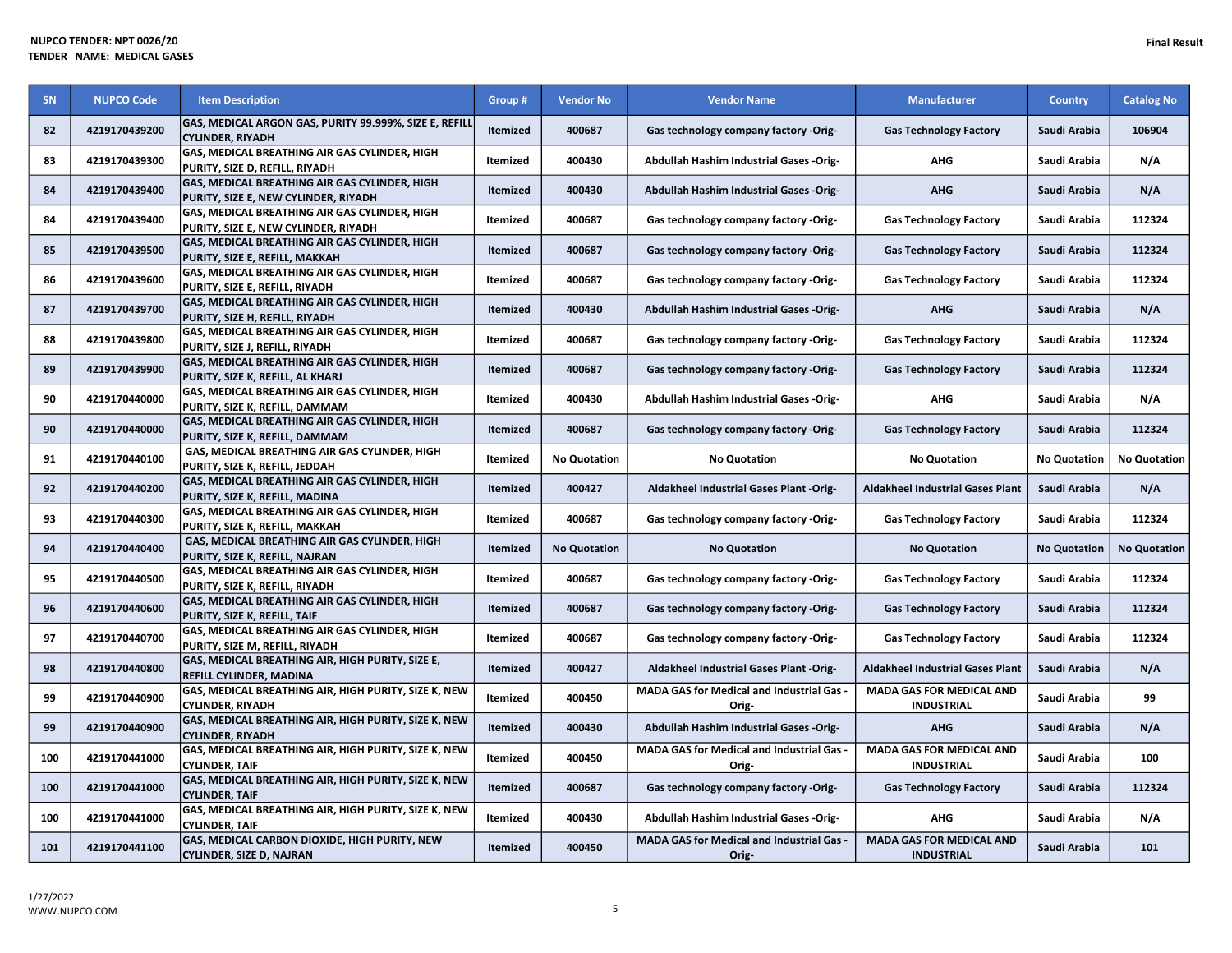| SN  | <b>NUPCO Code</b> | <b>Item Description</b>                                                               | Group #         | <b>Vendor No</b>    | <b>Vendor Name</b>                                        | <b>Manufacturer</b>                                  | <b>Country</b>      | <b>Catalog No</b>   |
|-----|-------------------|---------------------------------------------------------------------------------------|-----------------|---------------------|-----------------------------------------------------------|------------------------------------------------------|---------------------|---------------------|
| 82  | 4219170439200     | GAS, MEDICAL ARGON GAS, PURITY 99.999%, SIZE E, REFILL<br><b>CYLINDER, RIYADH</b>     | Itemized        | 400687              | Gas technology company factory -Orig-                     | <b>Gas Technology Factory</b>                        | Saudi Arabia        | 106904              |
| 83  | 4219170439300     | GAS, MEDICAL BREATHING AIR GAS CYLINDER, HIGH<br>PURITY, SIZE D, REFILL, RIYADH       | Itemized        | 400430              | <b>Abdullah Hashim Industrial Gases -Orig-</b>            | AHG                                                  | Saudi Arabia        | N/A                 |
| 84  | 4219170439400     | GAS, MEDICAL BREATHING AIR GAS CYLINDER, HIGH<br>PURITY, SIZE E, NEW CYLINDER, RIYADH | Itemized        | 400430              | Abdullah Hashim Industrial Gases -Orig-                   | <b>AHG</b>                                           | Saudi Arabia        | N/A                 |
| 84  | 4219170439400     | GAS, MEDICAL BREATHING AIR GAS CYLINDER, HIGH<br>PURITY, SIZE E, NEW CYLINDER, RIYADH | Itemized        | 400687              | Gas technology company factory -Orig-                     | <b>Gas Technology Factory</b>                        | Saudi Arabia        | 112324              |
| 85  | 4219170439500     | GAS, MEDICAL BREATHING AIR GAS CYLINDER, HIGH<br>PURITY, SIZE E, REFILL, MAKKAH       | <b>Itemized</b> | 400687              | Gas technology company factory -Orig-                     | <b>Gas Technology Factory</b>                        | Saudi Arabia        | 112324              |
| 86  | 4219170439600     | GAS, MEDICAL BREATHING AIR GAS CYLINDER, HIGH<br>PURITY, SIZE E, REFILL, RIYADH       | Itemized        | 400687              | Gas technology company factory -Orig-                     | <b>Gas Technology Factory</b>                        | Saudi Arabia        | 112324              |
| 87  | 4219170439700     | GAS, MEDICAL BREATHING AIR GAS CYLINDER, HIGH<br>PURITY, SIZE H, REFILL, RIYADH       | Itemized        | 400430              | Abdullah Hashim Industrial Gases -Orig-                   | <b>AHG</b>                                           | Saudi Arabia        | N/A                 |
| 88  | 4219170439800     | GAS, MEDICAL BREATHING AIR GAS CYLINDER, HIGH<br>PURITY, SIZE J, REFILL, RIYADH       | Itemized        | 400687              | Gas technology company factory -Orig-                     | <b>Gas Technology Factory</b>                        | Saudi Arabia        | 112324              |
| 89  | 4219170439900     | GAS, MEDICAL BREATHING AIR GAS CYLINDER, HIGH<br>PURITY, SIZE K, REFILL, AL KHARJ     | <b>Itemized</b> | 400687              | Gas technology company factory -Orig-                     | <b>Gas Technology Factory</b>                        | Saudi Arabia        | 112324              |
| 90  | 4219170440000     | GAS, MEDICAL BREATHING AIR GAS CYLINDER, HIGH<br>PURITY, SIZE K, REFILL, DAMMAM       | Itemized        | 400430              | Abdullah Hashim Industrial Gases -Orig-                   | <b>AHG</b>                                           | Saudi Arabia        | N/A                 |
| 90  | 4219170440000     | GAS, MEDICAL BREATHING AIR GAS CYLINDER, HIGH<br>PURITY, SIZE K, REFILL, DAMMAM       | Itemized        | 400687              | Gas technology company factory -Orig-                     | <b>Gas Technology Factory</b>                        | Saudi Arabia        | 112324              |
| 91  | 4219170440100     | GAS, MEDICAL BREATHING AIR GAS CYLINDER, HIGH<br>PURITY, SIZE K, REFILL, JEDDAH       | <b>Itemized</b> | <b>No Quotation</b> | <b>No Quotation</b>                                       | <b>No Quotation</b>                                  | <b>No Quotation</b> | <b>No Quotation</b> |
| 92  | 4219170440200     | GAS, MEDICAL BREATHING AIR GAS CYLINDER, HIGH<br>PURITY, SIZE K, REFILL, MADINA       | <b>Itemized</b> | 400427              | Aldakheel Industrial Gases Plant -Orig-                   | <b>Aldakheel Industrial Gases Plant</b>              | Saudi Arabia        | N/A                 |
| 93  | 4219170440300     | GAS, MEDICAL BREATHING AIR GAS CYLINDER, HIGH<br>PURITY, SIZE K, REFILL, MAKKAH       | Itemized        | 400687              | Gas technology company factory -Orig-                     | <b>Gas Technology Factory</b>                        | Saudi Arabia        | 112324              |
| 94  | 4219170440400     | GAS, MEDICAL BREATHING AIR GAS CYLINDER, HIGH<br>PURITY, SIZE K, REFILL, NAJRAN       | Itemized        | <b>No Quotation</b> | <b>No Quotation</b>                                       | <b>No Quotation</b>                                  | <b>No Quotation</b> | <b>No Quotation</b> |
| 95  | 4219170440500     | GAS, MEDICAL BREATHING AIR GAS CYLINDER, HIGH<br>PURITY, SIZE K, REFILL, RIYADH       | Itemized        | 400687              | Gas technology company factory -Orig-                     | <b>Gas Technology Factory</b>                        | Saudi Arabia        | 112324              |
| 96  | 4219170440600     | GAS, MEDICAL BREATHING AIR GAS CYLINDER, HIGH<br>PURITY, SIZE K, REFILL, TAIF         | Itemized        | 400687              | Gas technology company factory -Orig-                     | <b>Gas Technology Factory</b>                        | Saudi Arabia        | 112324              |
| 97  | 4219170440700     | GAS, MEDICAL BREATHING AIR GAS CYLINDER, HIGH<br>PURITY, SIZE M, REFILL, RIYADH       | Itemized        | 400687              | Gas technology company factory -Orig-                     | <b>Gas Technology Factory</b>                        | Saudi Arabia        | 112324              |
| 98  | 4219170440800     | GAS, MEDICAL BREATHING AIR, HIGH PURITY, SIZE E,<br>REFILL CYLINDER, MADINA           | <b>Itemized</b> | 400427              | <b>Aldakheel Industrial Gases Plant -Orig-</b>            | <b>Aldakheel Industrial Gases Plant</b>              | Saudi Arabia        | N/A                 |
| 99  | 4219170440900     | GAS, MEDICAL BREATHING AIR, HIGH PURITY, SIZE K, NEW<br><b>CYLINDER, RIYADH</b>       | Itemized        | 400450              | <b>MADA GAS for Medical and Industrial Gas -</b><br>Orig- | <b>MADA GAS FOR MEDICAL AND</b><br><b>INDUSTRIAL</b> | Saudi Arabia        | 99                  |
| 99  | 4219170440900     | GAS, MEDICAL BREATHING AIR, HIGH PURITY, SIZE K, NEW<br><b>CYLINDER, RIYADH</b>       | <b>Itemized</b> | 400430              | Abdullah Hashim Industrial Gases -Orig-                   | <b>AHG</b>                                           | Saudi Arabia        | N/A                 |
| 100 | 4219170441000     | GAS, MEDICAL BREATHING AIR, HIGH PURITY, SIZE K, NEW<br><b>CYLINDER, TAIF</b>         | Itemized        | 400450              | <b>MADA GAS for Medical and Industrial Gas -</b><br>Orig- | <b>MADA GAS FOR MEDICAL AND</b><br><b>INDUSTRIAL</b> | Saudi Arabia        | 100                 |
| 100 | 4219170441000     | GAS, MEDICAL BREATHING AIR, HIGH PURITY, SIZE K, NEW<br><b>CYLINDER, TAIF</b>         | <b>Itemized</b> | 400687              | Gas technology company factory -Orig-                     | <b>Gas Technology Factory</b>                        | Saudi Arabia        | 112324              |
| 100 | 4219170441000     | GAS, MEDICAL BREATHING AIR, HIGH PURITY, SIZE K, NEW<br><b>CYLINDER. TAIF</b>         | Itemized        | 400430              | Abdullah Hashim Industrial Gases -Orig-                   | <b>AHG</b>                                           | Saudi Arabia        | N/A                 |
| 101 | 4219170441100     | GAS, MEDICAL CARBON DIOXIDE, HIGH PURITY, NEW<br><b>CYLINDER, SIZE D, NAJRAN</b>      | Itemized        | 400450              | MADA GAS for Medical and Industrial Gas -<br>Orig-        | <b>MADA GAS FOR MEDICAL AND</b><br><b>INDUSTRIAL</b> | Saudi Arabia        | 101                 |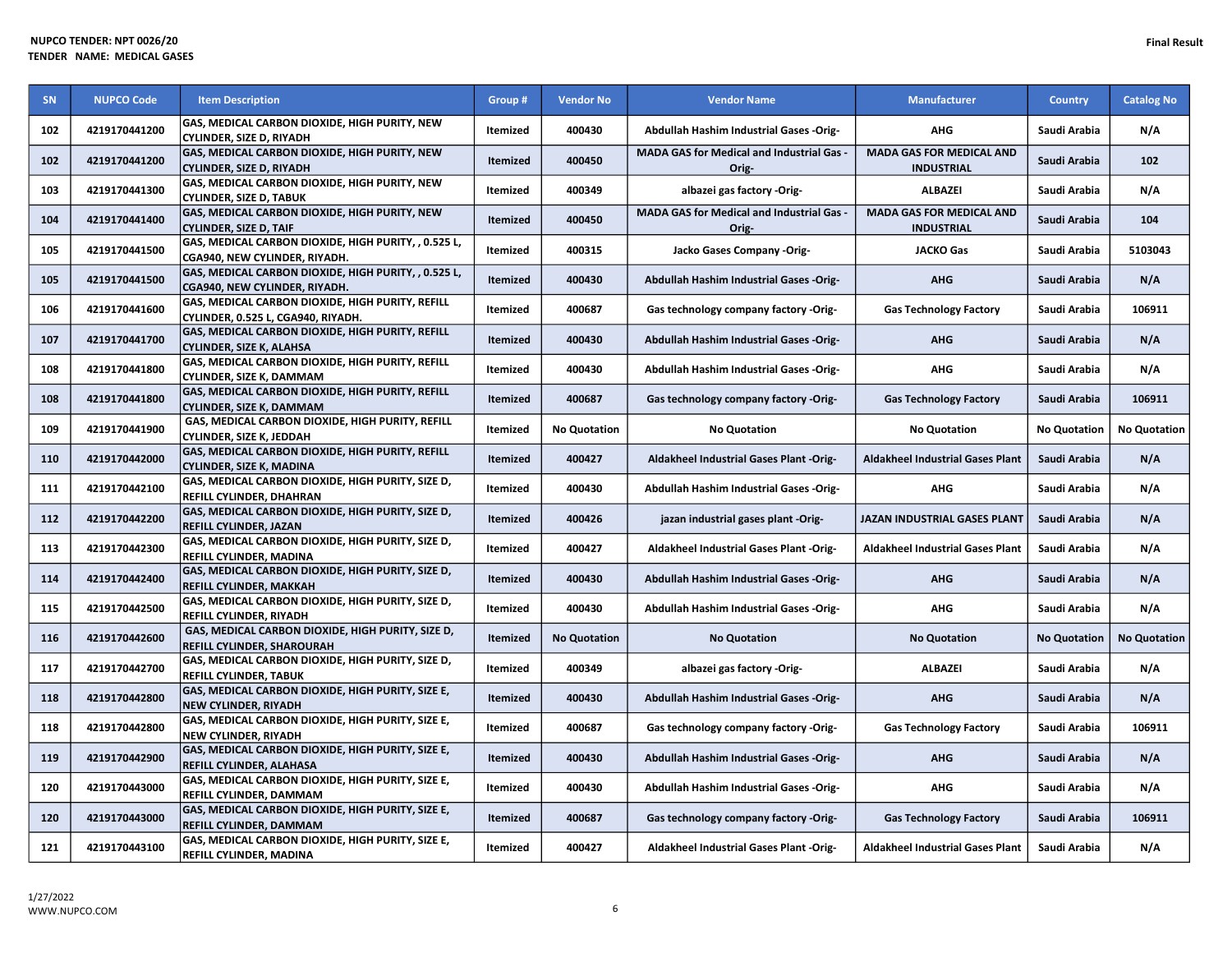| <b>SN</b> | <b>NUPCO Code</b> | <b>Item Description</b>                                                                       | Group #         | <b>Vendor No</b>    | <b>Vendor Name</b>                                 | <b>Manufacturer</b>                                  | <b>Country</b>      | <b>Catalog No</b>   |
|-----------|-------------------|-----------------------------------------------------------------------------------------------|-----------------|---------------------|----------------------------------------------------|------------------------------------------------------|---------------------|---------------------|
| 102       | 4219170441200     | GAS, MEDICAL CARBON DIOXIDE, HIGH PURITY, NEW<br><b>CYLINDER, SIZE D, RIYADH</b>              | Itemized        | 400430              | Abdullah Hashim Industrial Gases -Orig-            | AHG                                                  | Saudi Arabia        | N/A                 |
| 102       | 4219170441200     | <b>GAS, MEDICAL CARBON DIOXIDE, HIGH PURITY, NEW</b><br>CYLINDER, SIZE D, RIYADH              | <b>Itemized</b> | 400450              | MADA GAS for Medical and Industrial Gas -<br>Orig- | <b>MADA GAS FOR MEDICAL AND</b><br><b>INDUSTRIAL</b> | Saudi Arabia        | 102                 |
| 103       | 4219170441300     | <b>GAS, MEDICAL CARBON DIOXIDE, HIGH PURITY, NEW</b><br>CYLINDER, SIZE D, TABUK               | Itemized        | 400349              | albazei gas factory -Orig-                         | <b>ALBAZEI</b>                                       | Saudi Arabia        | N/A                 |
| 104       | 4219170441400     | GAS, MEDICAL CARBON DIOXIDE, HIGH PURITY, NEW<br><b>CYLINDER, SIZE D, TAIF</b>                | <b>Itemized</b> | 400450              | MADA GAS for Medical and Industrial Gas -<br>Orig- | <b>MADA GAS FOR MEDICAL AND</b><br><b>INDUSTRIAL</b> | Saudi Arabia        | 104                 |
| 105       | 4219170441500     | GAS, MEDICAL CARBON DIOXIDE, HIGH PURITY, , 0.525 L,<br>CGA940. NEW CYLINDER. RIYADH.         | Itemized        | 400315              | Jacko Gases Company -Orig-                         | <b>JACKO Gas</b>                                     | Saudi Arabia        | 5103043             |
| 105       | 4219170441500     | GAS, MEDICAL CARBON DIOXIDE, HIGH PURITY, , 0.525 L,<br>CGA940, NEW CYLINDER, RIYADH.         | Itemized        | 400430              | <b>Abdullah Hashim Industrial Gases -Orig-</b>     | <b>AHG</b>                                           | Saudi Arabia        | N/A                 |
| 106       | 4219170441600     | <b>GAS, MEDICAL CARBON DIOXIDE, HIGH PURITY, REFILL</b><br>CYLINDER, 0.525 L, CGA940, RIYADH. | Itemized        | 400687              | Gas technology company factory -Orig-              | <b>Gas Technology Factory</b>                        | Saudi Arabia        | 106911              |
| 107       | 4219170441700     | GAS, MEDICAL CARBON DIOXIDE, HIGH PURITY, REFILL<br><b>CYLINDER, SIZE K, ALAHSA</b>           | Itemized        | 400430              | Abdullah Hashim Industrial Gases -Orig-            | <b>AHG</b>                                           | Saudi Arabia        | N/A                 |
| 108       | 4219170441800     | <b>GAS, MEDICAL CARBON DIOXIDE, HIGH PURITY, REFILL</b><br>CYLINDER. SIZE K. DAMMAM           | Itemized        | 400430              | Abdullah Hashim Industrial Gases -Orig-            | <b>AHG</b>                                           | Saudi Arabia        | N/A                 |
| 108       | 4219170441800     | GAS, MEDICAL CARBON DIOXIDE, HIGH PURITY, REFILL<br><b>CYLINDER, SIZE K, DAMMAM</b>           | Itemized        | 400687              | Gas technology company factory -Orig-              | <b>Gas Technology Factory</b>                        | Saudi Arabia        | 106911              |
| 109       | 4219170441900     | GAS, MEDICAL CARBON DIOXIDE, HIGH PURITY, REFILL<br>CYLINDER, SIZE K, JEDDAH                  | Itemized        | <b>No Quotation</b> | <b>No Quotation</b>                                | <b>No Quotation</b>                                  | <b>No Quotation</b> | <b>No Quotation</b> |
| 110       | 4219170442000     | GAS, MEDICAL CARBON DIOXIDE, HIGH PURITY, REFILL<br><b>CYLINDER, SIZE K, MADINA</b>           | Itemized        | 400427              | Aldakheel Industrial Gases Plant -Orig-            | <b>Aldakheel Industrial Gases Plant</b>              | Saudi Arabia        | N/A                 |
| 111       | 4219170442100     | GAS, MEDICAL CARBON DIOXIDE, HIGH PURITY, SIZE D,<br>REFILL CYLINDER, DHAHRAN                 | Itemized        | 400430              | <b>Abdullah Hashim Industrial Gases -Orig-</b>     | <b>AHG</b>                                           | Saudi Arabia        | N/A                 |
| 112       | 4219170442200     | GAS, MEDICAL CARBON DIOXIDE, HIGH PURITY, SIZE D,<br><b>REFILL CYLINDER, JAZAN</b>            | Itemized        | 400426              | jazan industrial gases plant -Orig-                | JAZAN INDUSTRIAL GASES PLANT                         | Saudi Arabia        | N/A                 |
| 113       | 4219170442300     | GAS, MEDICAL CARBON DIOXIDE, HIGH PURITY, SIZE D,<br><b>REFILL CYLINDER, MADINA</b>           | Itemized        | 400427              | <b>Aldakheel Industrial Gases Plant -Orig-</b>     | <b>Aldakheel Industrial Gases Plant</b>              | Saudi Arabia        | N/A                 |
| 114       | 4219170442400     | GAS, MEDICAL CARBON DIOXIDE, HIGH PURITY, SIZE D,<br><b>REFILL CYLINDER. MAKKAH</b>           | <b>Itemized</b> | 400430              | Abdullah Hashim Industrial Gases -Orig-            | <b>AHG</b>                                           | Saudi Arabia        | N/A                 |
| 115       | 4219170442500     | GAS, MEDICAL CARBON DIOXIDE, HIGH PURITY, SIZE D,<br>REFILL CYLINDER, RIYADH                  | Itemized        | 400430              | Abdullah Hashim Industrial Gases -Orig-            | <b>AHG</b>                                           | Saudi Arabia        | N/A                 |
| 116       | 4219170442600     | GAS, MEDICAL CARBON DIOXIDE, HIGH PURITY, SIZE D,<br><b>REFILL CYLINDER, SHAROURAH</b>        | Itemized        | <b>No Quotation</b> | <b>No Quotation</b>                                | <b>No Quotation</b>                                  | <b>No Quotation</b> | <b>No Quotation</b> |
| 117       | 4219170442700     | GAS, MEDICAL CARBON DIOXIDE, HIGH PURITY, SIZE D,<br>REFILL CYLINDER, TABUK                   | Itemized        | 400349              | albazei gas factory -Orig-                         | <b>ALBAZEI</b>                                       | Saudi Arabia        | N/A                 |
| 118       | 4219170442800     | <b>GAS, MEDICAL CARBON DIOXIDE, HIGH PURITY, SIZE E,</b><br>NEW CYLINDER, RIYADH              | Itemized        | 400430              | Abdullah Hashim Industrial Gases -Orig-            | <b>AHG</b>                                           | Saudi Arabia        | N/A                 |
| 118       | 4219170442800     | <b>GAS, MEDICAL CARBON DIOXIDE, HIGH PURITY, SIZE E,</b><br>NEW CYLINDER, RIYADH              | Itemized        | 400687              | Gas technology company factory -Orig-              | <b>Gas Technology Factory</b>                        | Saudi Arabia        | 106911              |
| 119       | 4219170442900     | <b>GAS, MEDICAL CARBON DIOXIDE, HIGH PURITY, SIZE E,</b><br><b>REFILL CYLINDER, ALAHASA</b>   | Itemized        | 400430              | Abdullah Hashim Industrial Gases -Orig-            | <b>AHG</b>                                           | Saudi Arabia        | N/A                 |
| 120       | 4219170443000     | GAS, MEDICAL CARBON DIOXIDE, HIGH PURITY, SIZE E,<br><b>REFILL CYLINDER, DAMMAM</b>           | Itemized        | 400430              | Abdullah Hashim Industrial Gases -Orig-            | AHG                                                  | Saudi Arabia        | N/A                 |
| 120       | 4219170443000     | GAS, MEDICAL CARBON DIOXIDE, HIGH PURITY, SIZE E,<br><b>REFILL CYLINDER, DAMMAM</b>           | Itemized        | 400687              | Gas technology company factory -Orig-              | <b>Gas Technology Factory</b>                        | Saudi Arabia        | 106911              |
| 121       | 4219170443100     | GAS, MEDICAL CARBON DIOXIDE, HIGH PURITY, SIZE E,<br><b>REFILL CYLINDER, MADINA</b>           | Itemized        | 400427              | <b>Aldakheel Industrial Gases Plant -Orig-</b>     | Aldakheel Industrial Gases Plant                     | Saudi Arabia        | N/A                 |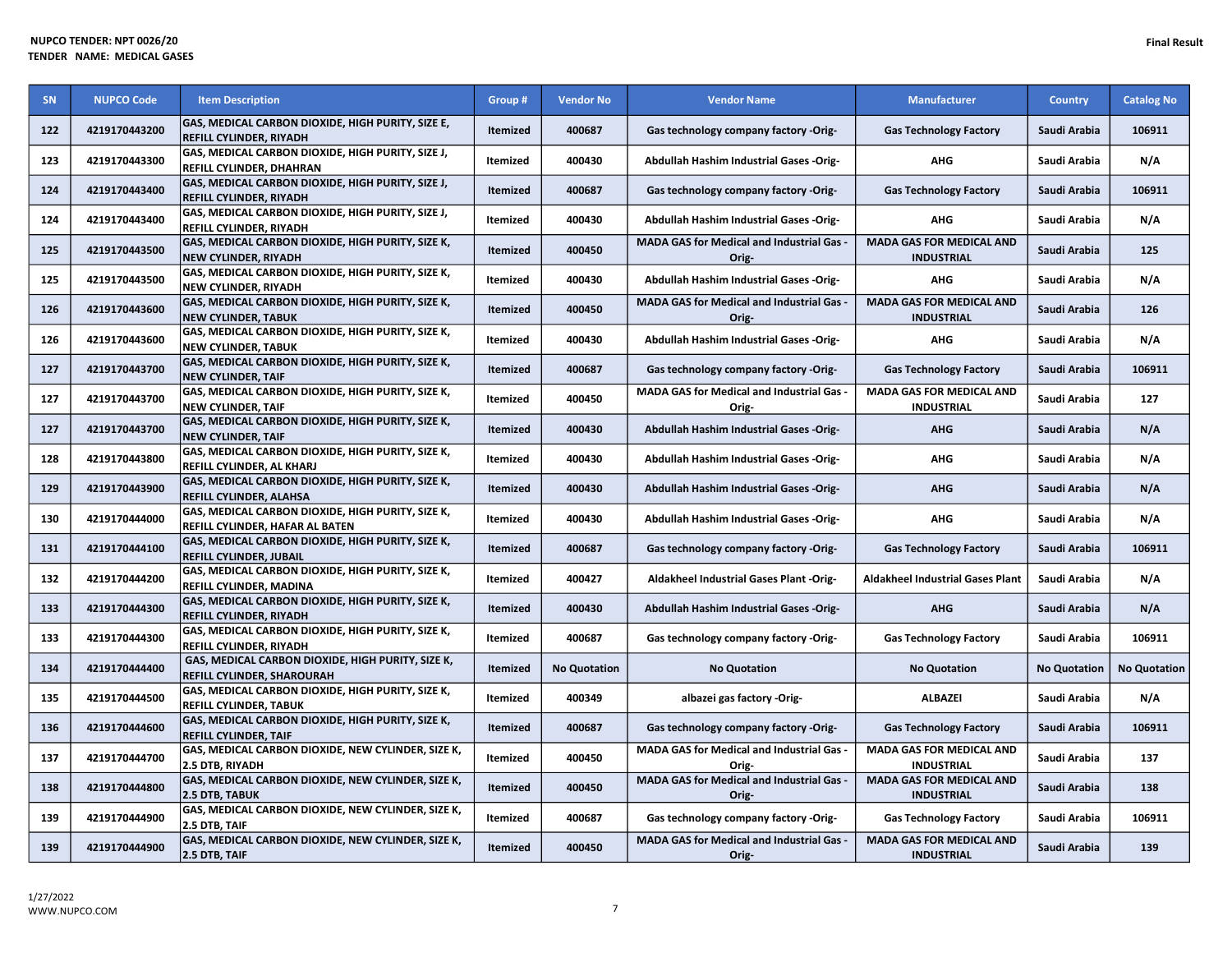| <b>SN</b> | <b>NUPCO Code</b> | <b>Item Description</b>                                                              | Group #         | <b>Vendor No</b>    | <b>Vendor Name</b>                                        | <b>Manufacturer</b>                                  | <b>Country</b>      | <b>Catalog No</b>   |
|-----------|-------------------|--------------------------------------------------------------------------------------|-----------------|---------------------|-----------------------------------------------------------|------------------------------------------------------|---------------------|---------------------|
| 122       | 4219170443200     | GAS, MEDICAL CARBON DIOXIDE, HIGH PURITY, SIZE E,<br>REFILL CYLINDER, RIYADH         | Itemized        | 400687              | Gas technology company factory -Orig-                     | <b>Gas Technology Factory</b>                        | Saudi Arabia        | 106911              |
| 123       | 4219170443300     | GAS, MEDICAL CARBON DIOXIDE, HIGH PURITY, SIZE J,<br><b>REFILL CYLINDER, DHAHRAN</b> | Itemized        | 400430              | Abdullah Hashim Industrial Gases -Orig-                   | <b>AHG</b>                                           | Saudi Arabia        | N/A                 |
| 124       | 4219170443400     | GAS, MEDICAL CARBON DIOXIDE, HIGH PURITY, SIZE J,<br>REFILL CYLINDER, RIYADH         | <b>Itemized</b> | 400687              | Gas technology company factory -Orig-                     | <b>Gas Technology Factory</b>                        | Saudi Arabia        | 106911              |
| 124       | 4219170443400     | GAS, MEDICAL CARBON DIOXIDE, HIGH PURITY, SIZE J,<br>REFILL CYLINDER, RIYADH         | Itemized        | 400430              | Abdullah Hashim Industrial Gases -Orig-                   | <b>AHG</b>                                           | Saudi Arabia        | N/A                 |
| 125       | 4219170443500     | GAS, MEDICAL CARBON DIOXIDE, HIGH PURITY, SIZE K,<br><b>NEW CYLINDER, RIYADH</b>     | <b>Itemized</b> | 400450              | MADA GAS for Medical and Industrial Gas -<br>Orig-        | <b>MADA GAS FOR MEDICAL AND</b><br><b>INDUSTRIAL</b> | Saudi Arabia        | 125                 |
| 125       | 4219170443500     | GAS, MEDICAL CARBON DIOXIDE, HIGH PURITY, SIZE K,<br><b>NEW CYLINDER, RIYADH</b>     | Itemized        | 400430              | Abdullah Hashim Industrial Gases -Orig-                   | AHG                                                  | Saudi Arabia        | N/A                 |
| 126       | 4219170443600     | GAS, MEDICAL CARBON DIOXIDE, HIGH PURITY, SIZE K,<br><b>NEW CYLINDER, TABUK</b>      | <b>Itemized</b> | 400450              | <b>MADA GAS for Medical and Industrial Gas -</b><br>Orig- | <b>MADA GAS FOR MEDICAL AND</b><br><b>INDUSTRIAL</b> | Saudi Arabia        | 126                 |
| 126       | 4219170443600     | GAS, MEDICAL CARBON DIOXIDE, HIGH PURITY, SIZE K,<br><b>NEW CYLINDER, TABUK</b>      | Itemized        | 400430              | Abdullah Hashim Industrial Gases -Orig-                   | <b>AHG</b>                                           | Saudi Arabia        | N/A                 |
| 127       | 4219170443700     | GAS, MEDICAL CARBON DIOXIDE, HIGH PURITY, SIZE K,<br><b>NEW CYLINDER, TAIF</b>       | <b>Itemized</b> | 400687              | Gas technology company factory -Orig-                     | <b>Gas Technology Factory</b>                        | Saudi Arabia        | 106911              |
| 127       | 4219170443700     | GAS, MEDICAL CARBON DIOXIDE, HIGH PURITY, SIZE K,<br><b>NEW CYLINDER, TAIF</b>       | Itemized        | 400450              | MADA GAS for Medical and Industrial Gas -<br>Orig-        | <b>MADA GAS FOR MEDICAL AND</b><br><b>INDUSTRIAL</b> | Saudi Arabia        | 127                 |
| 127       | 4219170443700     | GAS, MEDICAL CARBON DIOXIDE, HIGH PURITY, SIZE K,<br><b>NEW CYLINDER, TAIF</b>       | <b>Itemized</b> | 400430              | Abdullah Hashim Industrial Gases -Orig-                   | <b>AHG</b>                                           | Saudi Arabia        | N/A                 |
| 128       | 4219170443800     | GAS, MEDICAL CARBON DIOXIDE, HIGH PURITY, SIZE K,<br>REFILL CYLINDER, AL KHARJ       | Itemized        | 400430              | Abdullah Hashim Industrial Gases -Orig-                   | <b>AHG</b>                                           | Saudi Arabia        | N/A                 |
| 129       | 4219170443900     | GAS, MEDICAL CARBON DIOXIDE, HIGH PURITY, SIZE K,<br>REFILL CYLINDER, ALAHSA         | <b>Itemized</b> | 400430              | <b>Abdullah Hashim Industrial Gases -Orig-</b>            | <b>AHG</b>                                           | Saudi Arabia        | N/A                 |
| 130       | 4219170444000     | GAS, MEDICAL CARBON DIOXIDE, HIGH PURITY, SIZE K,<br>REFILL CYLINDER, HAFAR AL BATEN | Itemized        | 400430              | Abdullah Hashim Industrial Gases -Orig-                   | <b>AHG</b>                                           | Saudi Arabia        | N/A                 |
| 131       | 4219170444100     | GAS, MEDICAL CARBON DIOXIDE, HIGH PURITY, SIZE K,<br>REFILL CYLINDER, JUBAIL         | <b>Itemized</b> | 400687              | Gas technology company factory -Orig-                     | <b>Gas Technology Factory</b>                        | Saudi Arabia        | 106911              |
| 132       | 4219170444200     | GAS, MEDICAL CARBON DIOXIDE, HIGH PURITY, SIZE K,<br>REFILL CYLINDER, MADINA         | Itemized        | 400427              | Aldakheel Industrial Gases Plant -Orig-                   | <b>Aldakheel Industrial Gases Plant</b>              | Saudi Arabia        | N/A                 |
| 133       | 4219170444300     | GAS, MEDICAL CARBON DIOXIDE, HIGH PURITY, SIZE K,<br>REFILL CYLINDER, RIYADH         | <b>Itemized</b> | 400430              | Abdullah Hashim Industrial Gases -Orig-                   | <b>AHG</b>                                           | Saudi Arabia        | N/A                 |
| 133       | 4219170444300     | GAS, MEDICAL CARBON DIOXIDE, HIGH PURITY, SIZE K,<br>REFILL CYLINDER, RIYADH         | Itemized        | 400687              | Gas technology company factory -Orig-                     | <b>Gas Technology Factory</b>                        | Saudi Arabia        | 106911              |
| 134       | 4219170444400     | GAS, MEDICAL CARBON DIOXIDE, HIGH PURITY, SIZE K,<br>REFILL CYLINDER, SHAROURAH      | <b>Itemized</b> | <b>No Quotation</b> | <b>No Quotation</b>                                       | <b>No Quotation</b>                                  | <b>No Quotation</b> | <b>No Quotation</b> |
| 135       | 4219170444500     | GAS, MEDICAL CARBON DIOXIDE, HIGH PURITY, SIZE K,<br><b>REFILL CYLINDER, TABUK</b>   | Itemized        | 400349              | albazei gas factory -Orig-                                | <b>ALBAZEI</b>                                       | Saudi Arabia        | N/A                 |
| 136       | 4219170444600     | GAS, MEDICAL CARBON DIOXIDE, HIGH PURITY, SIZE K,<br><b>REFILL CYLINDER, TAIF</b>    | <b>Itemized</b> | 400687              | Gas technology company factory -Orig-                     | <b>Gas Technology Factory</b>                        | Saudi Arabia        | 106911              |
| 137       | 4219170444700     | GAS, MEDICAL CARBON DIOXIDE, NEW CYLINDER, SIZE K,<br>2.5 DTB, RIYADH                | Itemized        | 400450              | <b>MADA GAS for Medical and Industrial Gas -</b><br>Orig- | <b>MADA GAS FOR MEDICAL AND</b><br><b>INDUSTRIAL</b> | Saudi Arabia        | 137                 |
| 138       | 4219170444800     | GAS, MEDICAL CARBON DIOXIDE, NEW CYLINDER, SIZE K,<br>2.5 DTB, TABUK                 | Itemized        | 400450              | MADA GAS for Medical and Industrial Gas -<br>Orig-        | <b>MADA GAS FOR MEDICAL AND</b><br><b>INDUSTRIAL</b> | Saudi Arabia        | 138                 |
| 139       | 4219170444900     | GAS, MEDICAL CARBON DIOXIDE, NEW CYLINDER, SIZE K,<br>2.5 DTB. TAIF                  | Itemized        | 400687              | Gas technology company factory -Orig-                     | <b>Gas Technology Factory</b>                        | Saudi Arabia        | 106911              |
| 139       | 4219170444900     | GAS, MEDICAL CARBON DIOXIDE, NEW CYLINDER, SIZE K,<br>2.5 DTB, TAIF                  | <b>Itemized</b> | 400450              | <b>MADA GAS for Medical and Industrial Gas -</b><br>Orig- | <b>MADA GAS FOR MEDICAL AND</b><br><b>INDUSTRIAL</b> | Saudi Arabia        | 139                 |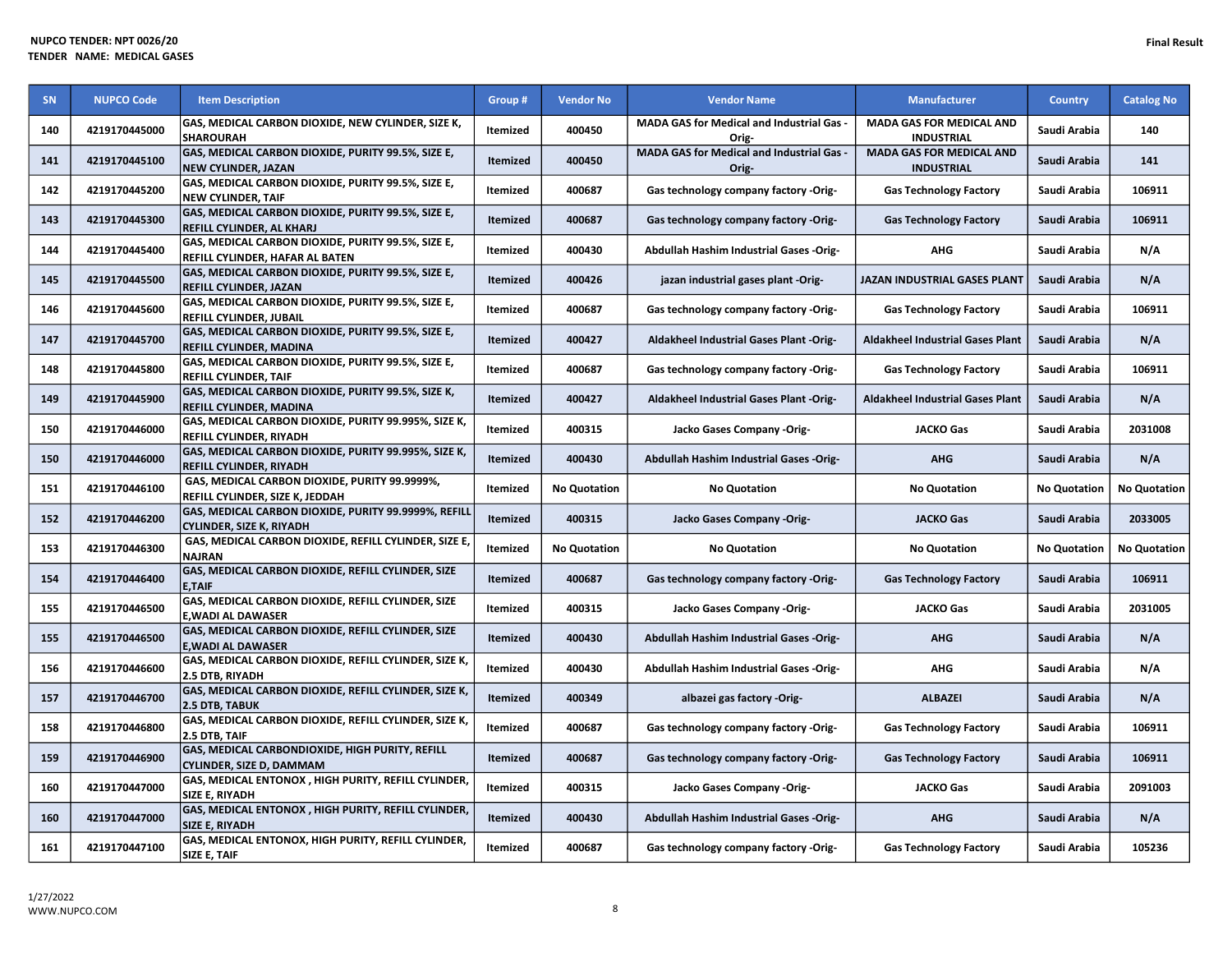| <b>SN</b> | <b>NUPCO Code</b> | <b>Item Description</b>                                                                 | Group #         | <b>Vendor No</b>    | <b>Vendor Name</b>                                        | <b>Manufacturer</b>                                  | <b>Country</b>      | <b>Catalog No</b>   |
|-----------|-------------------|-----------------------------------------------------------------------------------------|-----------------|---------------------|-----------------------------------------------------------|------------------------------------------------------|---------------------|---------------------|
| 140       | 4219170445000     | GAS, MEDICAL CARBON DIOXIDE, NEW CYLINDER, SIZE K,<br><b>SHAROURAH</b>                  | Itemized        | 400450              | <b>MADA GAS for Medical and Industrial Gas -</b><br>Orig- | <b>MADA GAS FOR MEDICAL AND</b><br><b>INDUSTRIAL</b> | Saudi Arabia        | 140                 |
| 141       | 4219170445100     | GAS, MEDICAL CARBON DIOXIDE, PURITY 99.5%, SIZE E,<br><b>NEW CYLINDER, JAZAN</b>        | <b>Itemized</b> | 400450              | MADA GAS for Medical and Industrial Gas -<br>Orig-        | <b>MADA GAS FOR MEDICAL AND</b><br><b>INDUSTRIAL</b> | Saudi Arabia        | 141                 |
| 142       | 4219170445200     | GAS, MEDICAL CARBON DIOXIDE, PURITY 99.5%, SIZE E,<br><b>NEW CYLINDER, TAIF</b>         | Itemized        | 400687              | Gas technology company factory -Orig-                     | <b>Gas Technology Factory</b>                        | Saudi Arabia        | 106911              |
| 143       | 4219170445300     | GAS, MEDICAL CARBON DIOXIDE, PURITY 99.5%, SIZE E,<br>REFILL CYLINDER, AL KHARJ         | <b>Itemized</b> | 400687              | Gas technology company factory -Orig-                     | <b>Gas Technology Factory</b>                        | Saudi Arabia        | 106911              |
| 144       | 4219170445400     | GAS, MEDICAL CARBON DIOXIDE, PURITY 99.5%, SIZE E,<br>REFILL CYLINDER, HAFAR AL BATEN   | Itemized        | 400430              | Abdullah Hashim Industrial Gases -Orig-                   | AHG                                                  | Saudi Arabia        | N/A                 |
| 145       | 4219170445500     | GAS, MEDICAL CARBON DIOXIDE, PURITY 99.5%, SIZE E,<br><b>REFILL CYLINDER, JAZAN</b>     | <b>Itemized</b> | 400426              | jazan industrial gases plant -Orig-                       | JAZAN INDUSTRIAL GASES PLANT                         | Saudi Arabia        | N/A                 |
| 146       | 4219170445600     | GAS, MEDICAL CARBON DIOXIDE, PURITY 99.5%, SIZE E,<br>REFILL CYLINDER, JUBAIL           | Itemized        | 400687              | Gas technology company factory -Orig-                     | <b>Gas Technology Factory</b>                        | Saudi Arabia        | 106911              |
| 147       | 4219170445700     | GAS, MEDICAL CARBON DIOXIDE, PURITY 99.5%, SIZE E,<br>REFILL CYLINDER, MADINA           | <b>Itemized</b> | 400427              | <b>Aldakheel Industrial Gases Plant -Orig-</b>            | <b>Aldakheel Industrial Gases Plant</b>              | Saudi Arabia        | N/A                 |
| 148       | 4219170445800     | GAS, MEDICAL CARBON DIOXIDE, PURITY 99.5%, SIZE E,<br><b>REFILL CYLINDER, TAIF</b>      | Itemized        | 400687              | Gas technology company factory -Orig-                     | <b>Gas Technology Factory</b>                        | Saudi Arabia        | 106911              |
| 149       | 4219170445900     | GAS, MEDICAL CARBON DIOXIDE, PURITY 99.5%, SIZE K,<br><b>REFILL CYLINDER, MADINA</b>    | Itemized        | 400427              | Aldakheel Industrial Gases Plant -Orig-                   | <b>Aldakheel Industrial Gases Plant</b>              | Saudi Arabia        | N/A                 |
| 150       | 4219170446000     | GAS, MEDICAL CARBON DIOXIDE, PURITY 99.995%, SIZE K,<br>REFILL CYLINDER, RIYADH         | Itemized        | 400315              | Jacko Gases Company -Orig-                                | <b>JACKO Gas</b>                                     | Saudi Arabia        | 2031008             |
| 150       | 4219170446000     | GAS, MEDICAL CARBON DIOXIDE, PURITY 99.995%, SIZE K,<br><b>REFILL CYLINDER. RIYADH</b>  | <b>Itemized</b> | 400430              | Abdullah Hashim Industrial Gases -Orig-                   | <b>AHG</b>                                           | Saudi Arabia        | N/A                 |
| 151       | 4219170446100     | GAS, MEDICAL CARBON DIOXIDE, PURITY 99.9999%,<br>REFILL CYLINDER, SIZE K, JEDDAH        | Itemized        | <b>No Quotation</b> | <b>No Quotation</b>                                       | <b>No Quotation</b>                                  | <b>No Quotation</b> | <b>No Quotation</b> |
| 152       | 4219170446200     | GAS, MEDICAL CARBON DIOXIDE, PURITY 99.9999%, REFILL<br><b>CYLINDER, SIZE K, RIYADH</b> | <b>Itemized</b> | 400315              | Jacko Gases Company -Orig-                                | <b>JACKO Gas</b>                                     | Saudi Arabia        | 2033005             |
| 153       | 4219170446300     | GAS, MEDICAL CARBON DIOXIDE, REFILL CYLINDER, SIZE E<br><b>NAJRAN</b>                   | Itemized        | <b>No Quotation</b> | <b>No Quotation</b>                                       | <b>No Quotation</b>                                  | <b>No Quotation</b> | <b>No Quotation</b> |
| 154       | 4219170446400     | GAS, MEDICAL CARBON DIOXIDE, REFILL CYLINDER, SIZE<br><b>E,TAIF</b>                     | <b>Itemized</b> | 400687              | Gas technology company factory -Orig-                     | <b>Gas Technology Factory</b>                        | Saudi Arabia        | 106911              |
| 155       | 4219170446500     | GAS, MEDICAL CARBON DIOXIDE, REFILL CYLINDER, SIZE<br><b>E,WADI AL DAWASER</b>          | Itemized        | 400315              | Jacko Gases Company -Orig-                                | <b>JACKO Gas</b>                                     | Saudi Arabia        | 2031005             |
| 155       | 4219170446500     | GAS, MEDICAL CARBON DIOXIDE, REFILL CYLINDER, SIZE<br><b>E.WADI AL DAWASER</b>          | <b>Itemized</b> | 400430              | <b>Abdullah Hashim Industrial Gases -Orig-</b>            | <b>AHG</b>                                           | Saudi Arabia        | N/A                 |
| 156       | 4219170446600     | GAS, MEDICAL CARBON DIOXIDE, REFILL CYLINDER, SIZE K,<br>2.5 DTB, RIYADH                | Itemized        | 400430              | Abdullah Hashim Industrial Gases -Orig-                   | <b>AHG</b>                                           | Saudi Arabia        | N/A                 |
| 157       | 4219170446700     | GAS, MEDICAL CARBON DIOXIDE, REFILL CYLINDER, SIZE K,<br>2.5 DTB, TABUK                 | <b>Itemized</b> | 400349              | albazei gas factory -Orig-                                | <b>ALBAZEI</b>                                       | Saudi Arabia        | N/A                 |
| 158       | 4219170446800     | GAS, MEDICAL CARBON DIOXIDE, REFILL CYLINDER, SIZE K,<br>2.5 DTB, TAIF                  | <b>Itemized</b> | 400687              | Gas technology company factory -Orig-                     | <b>Gas Technology Factory</b>                        | Saudi Arabia        | 106911              |
| 159       | 4219170446900     | GAS, MEDICAL CARBONDIOXIDE, HIGH PURITY, REFILL<br><b>CYLINDER, SIZE D, DAMMAM</b>      | <b>Itemized</b> | 400687              | Gas technology company factory -Orig-                     | <b>Gas Technology Factory</b>                        | Saudi Arabia        | 106911              |
| 160       | 4219170447000     | GAS, MEDICAL ENTONOX, HIGH PURITY, REFILL CYLINDER,<br><b>SIZE E, RIYADH</b>            | <b>Itemized</b> | 400315              | Jacko Gases Company -Orig-                                | <b>JACKO Gas</b>                                     | Saudi Arabia        | 2091003             |
| 160       | 4219170447000     | GAS, MEDICAL ENTONOX, HIGH PURITY, REFILL CYLINDER,<br><b>SIZE E, RIYADH</b>            | Itemized        | 400430              | Abdullah Hashim Industrial Gases -Orig-                   | <b>AHG</b>                                           | Saudi Arabia        | N/A                 |
| 161       | 4219170447100     | GAS, MEDICAL ENTONOX, HIGH PURITY, REFILL CYLINDER,<br>SIZE E, TAIF                     | Itemized        | 400687              | Gas technology company factory -Orig-                     | <b>Gas Technology Factory</b>                        | Saudi Arabia        | 105236              |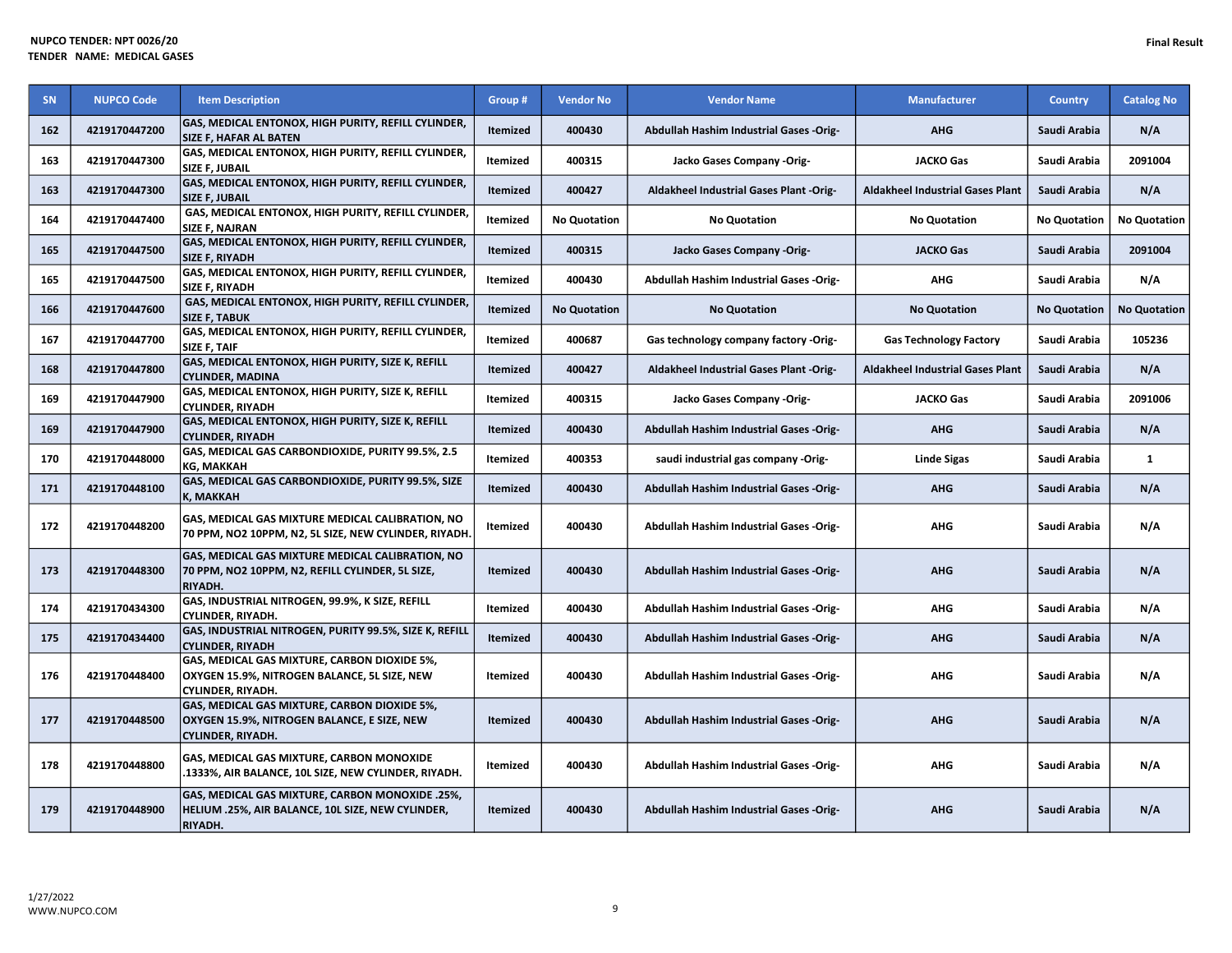| <b>SN</b> | <b>NUPCO Code</b> | <b>Item Description</b>                                                                                                  | Group #         | <b>Vendor No</b>    | <b>Vendor Name</b>                             | <b>Manufacturer</b>                     | <b>Country</b>      | <b>Catalog No</b>   |
|-----------|-------------------|--------------------------------------------------------------------------------------------------------------------------|-----------------|---------------------|------------------------------------------------|-----------------------------------------|---------------------|---------------------|
| 162       | 4219170447200     | GAS, MEDICAL ENTONOX, HIGH PURITY, REFILL CYLINDER,<br>SIZE F, HAFAR AL BATEN                                            | <b>Itemized</b> | 400430              | Abdullah Hashim Industrial Gases -Orig-        | <b>AHG</b>                              | Saudi Arabia        | N/A                 |
| 163       | 4219170447300     | GAS, MEDICAL ENTONOX, HIGH PURITY, REFILL CYLINDER,<br>SIZE F, JUBAIL                                                    | Itemized        | 400315              | Jacko Gases Company -Orig-                     | <b>JACKO Gas</b>                        | Saudi Arabia        | 2091004             |
| 163       | 4219170447300     | GAS, MEDICAL ENTONOX, HIGH PURITY, REFILL CYLINDER,<br><b>SIZE F, JUBAIL</b>                                             | <b>Itemized</b> | 400427              | <b>Aldakheel Industrial Gases Plant -Orig-</b> | <b>Aldakheel Industrial Gases Plant</b> | Saudi Arabia        | N/A                 |
| 164       | 4219170447400     | GAS, MEDICAL ENTONOX, HIGH PURITY, REFILL CYLINDER,<br>SIZE F, NAJRAN                                                    | Itemized        | <b>No Quotation</b> | <b>No Quotation</b>                            | <b>No Quotation</b>                     | <b>No Quotation</b> | <b>No Quotation</b> |
| 165       | 4219170447500     | GAS, MEDICAL ENTONOX, HIGH PURITY, REFILL CYLINDER,<br><b>SIZE F, RIYADH</b>                                             | <b>Itemized</b> | 400315              | Jacko Gases Company -Orig-                     | <b>JACKO Gas</b>                        | Saudi Arabia        | 2091004             |
| 165       | 4219170447500     | GAS, MEDICAL ENTONOX, HIGH PURITY, REFILL CYLINDER,<br>SIZE F, RIYADH                                                    | Itemized        | 400430              | Abdullah Hashim Industrial Gases -Orig-        | <b>AHG</b>                              | Saudi Arabia        | N/A                 |
| 166       | 4219170447600     | GAS, MEDICAL ENTONOX, HIGH PURITY, REFILL CYLINDER,<br><b>SIZE F, TABUK</b>                                              | <b>Itemized</b> | <b>No Quotation</b> | <b>No Quotation</b>                            | <b>No Quotation</b>                     | <b>No Quotation</b> | <b>No Quotation</b> |
| 167       | 4219170447700     | GAS, MEDICAL ENTONOX, HIGH PURITY, REFILL CYLINDER,<br>SIZE F, TAIF                                                      | Itemized        | 400687              | Gas technology company factory -Orig-          | <b>Gas Technology Factory</b>           | Saudi Arabia        | 105236              |
| 168       | 4219170447800     | GAS, MEDICAL ENTONOX, HIGH PURITY, SIZE K, REFILL<br><b>CYLINDER, MADINA</b>                                             | <b>Itemized</b> | 400427              | <b>Aldakheel Industrial Gases Plant -Orig-</b> | <b>Aldakheel Industrial Gases Plant</b> | Saudi Arabia        | N/A                 |
| 169       | 4219170447900     | GAS, MEDICAL ENTONOX, HIGH PURITY, SIZE K, REFILL<br><b>CYLINDER, RIYADH</b>                                             | Itemized        | 400315              | Jacko Gases Company -Orig-                     | <b>JACKO Gas</b>                        | Saudi Arabia        | 2091006             |
| 169       | 4219170447900     | GAS, MEDICAL ENTONOX, HIGH PURITY, SIZE K, REFILL<br><b>CYLINDER, RIYADH</b>                                             | <b>Itemized</b> | 400430              | Abdullah Hashim Industrial Gases -Orig-        | <b>AHG</b>                              | Saudi Arabia        | N/A                 |
| 170       | 4219170448000     | GAS, MEDICAL GAS CARBONDIOXIDE, PURITY 99.5%, 2.5<br><b>KG, MAKKAH</b>                                                   | Itemized        | 400353              | saudi industrial gas company -Orig-            | <b>Linde Sigas</b>                      | Saudi Arabia        | 1                   |
| 171       | 4219170448100     | GAS, MEDICAL GAS CARBONDIOXIDE, PURITY 99.5%, SIZE<br><b>K. MAKKAH</b>                                                   | Itemized        | 400430              | Abdullah Hashim Industrial Gases -Orig-        | <b>AHG</b>                              | Saudi Arabia        | N/A                 |
| 172       | 4219170448200     | GAS, MEDICAL GAS MIXTURE MEDICAL CALIBRATION, NO<br>70 PPM, NO2 10PPM, N2, 5L SIZE, NEW CYLINDER, RIYADH.                | Itemized        | 400430              | Abdullah Hashim Industrial Gases -Orig-        | <b>AHG</b>                              | Saudi Arabia        | N/A                 |
| 173       | 4219170448300     | GAS, MEDICAL GAS MIXTURE MEDICAL CALIBRATION, NO<br>70 PPM, NO2 10PPM, N2, REFILL CYLINDER, 5L SIZE,<br>RIYADH.          | <b>Itemized</b> | 400430              | Abdullah Hashim Industrial Gases -Orig-        | <b>AHG</b>                              | Saudi Arabia        | N/A                 |
| 174       | 4219170434300     | GAS, INDUSTRIAL NITROGEN, 99.9%, K SIZE, REFILL<br>CYLINDER, RIYADH.                                                     | Itemized        | 400430              | <b>Abdullah Hashim Industrial Gases -Orig-</b> | <b>AHG</b>                              | Saudi Arabia        | N/A                 |
| 175       | 4219170434400     | GAS, INDUSTRIAL NITROGEN, PURITY 99.5%, SIZE K, REFILL<br><b>CYLINDER, RIYADH</b>                                        | <b>Itemized</b> | 400430              | Abdullah Hashim Industrial Gases -Orig-        | <b>AHG</b>                              | Saudi Arabia        | N/A                 |
| 176       | 4219170448400     | GAS, MEDICAL GAS MIXTURE, CARBON DIOXIDE 5%,<br>OXYGEN 15.9%, NITROGEN BALANCE, 5L SIZE, NEW<br><b>CYLINDER, RIYADH.</b> | Itemized        | 400430              | <b>Abdullah Hashim Industrial Gases -Orig-</b> | <b>AHG</b>                              | Saudi Arabia        | N/A                 |
| 177       | 4219170448500     | GAS, MEDICAL GAS MIXTURE, CARBON DIOXIDE 5%,<br>OXYGEN 15.9%, NITROGEN BALANCE, E SIZE, NEW<br><b>CYLINDER, RIYADH.</b>  | <b>Itemized</b> | 400430              | Abdullah Hashim Industrial Gases -Orig-        | <b>AHG</b>                              | Saudi Arabia        | N/A                 |
| 178       | 4219170448800     | GAS, MEDICAL GAS MIXTURE, CARBON MONOXIDE<br>.1333%, AIR BALANCE, 10L SIZE, NEW CYLINDER, RIYADH.                        | Itemized        | 400430              | Abdullah Hashim Industrial Gases -Orig-        | <b>AHG</b>                              | Saudi Arabia        | N/A                 |
| 179       | 4219170448900     | GAS, MEDICAL GAS MIXTURE, CARBON MONOXIDE .25%,<br>HELIUM .25%, AIR BALANCE, 10L SIZE, NEW CYLINDER,<br>RIYADH.          | <b>Itemized</b> | 400430              | Abdullah Hashim Industrial Gases -Orig-        | <b>AHG</b>                              | Saudi Arabia        | N/A                 |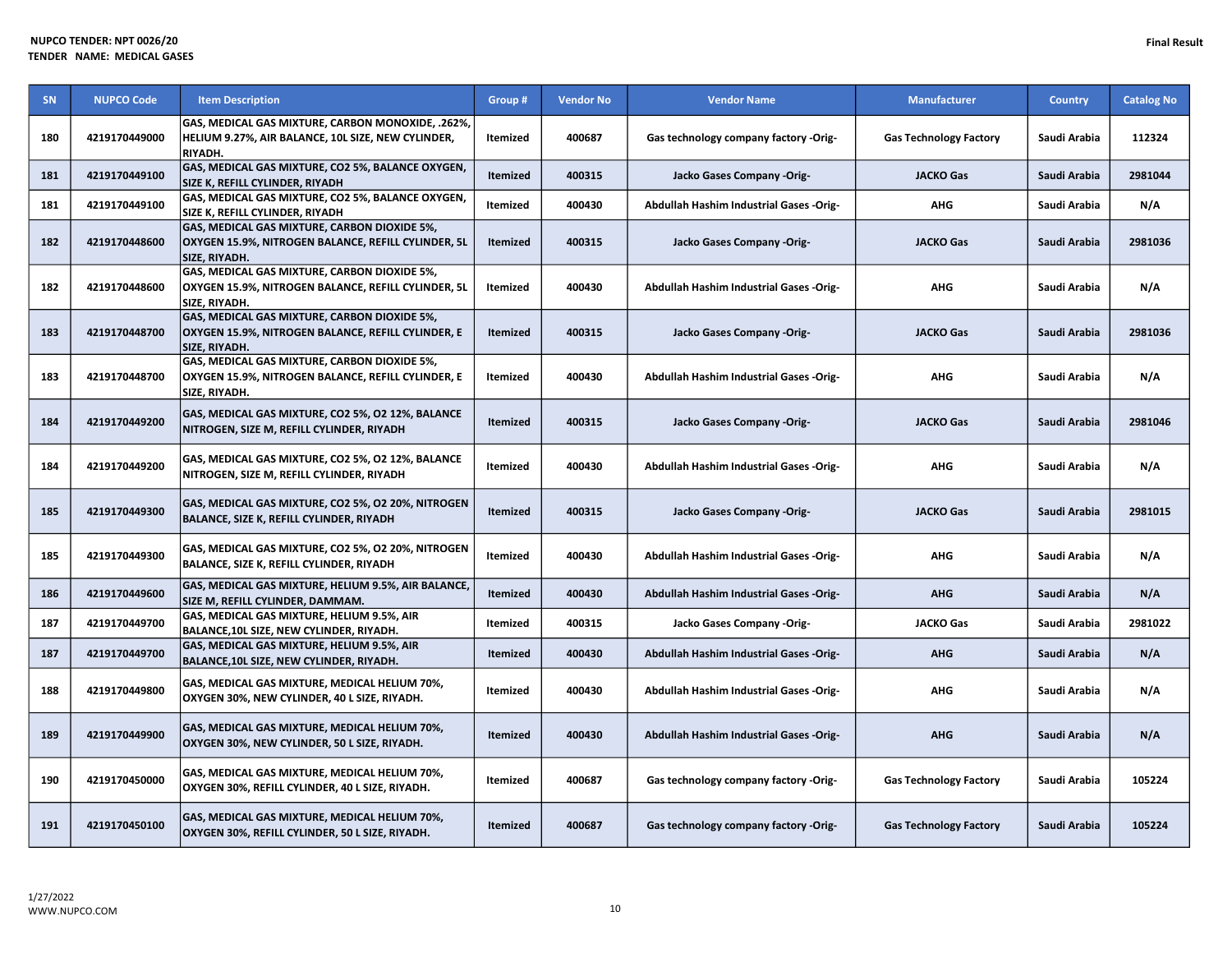| SN  | <b>NUPCO Code</b> | <b>Item Description</b>                                                                                              | Group #         | <b>Vendor No</b> | <b>Vendor Name</b>                             | <b>Manufacturer</b>           | <b>Country</b> | <b>Catalog No</b> |
|-----|-------------------|----------------------------------------------------------------------------------------------------------------------|-----------------|------------------|------------------------------------------------|-------------------------------|----------------|-------------------|
| 180 | 4219170449000     | GAS, MEDICAL GAS MIXTURE, CARBON MONOXIDE, .262%,<br>HELIUM 9.27%, AIR BALANCE, 10L SIZE, NEW CYLINDER,<br>RIYADH.   | Itemized        | 400687           | Gas technology company factory -Orig-          | <b>Gas Technology Factory</b> | Saudi Arabia   | 112324            |
| 181 | 4219170449100     | GAS, MEDICAL GAS MIXTURE, CO2 5%, BALANCE OXYGEN,<br>SIZE K, REFILL CYLINDER, RIYADH                                 | Itemized        | 400315           | Jacko Gases Company -Orig-                     | <b>JACKO Gas</b>              | Saudi Arabia   | 2981044           |
| 181 | 4219170449100     | GAS, MEDICAL GAS MIXTURE, CO2 5%, BALANCE OXYGEN,<br>SIZE K, REFILL CYLINDER, RIYADH                                 | Itemized        | 400430           | Abdullah Hashim Industrial Gases -Orig-        | AHG                           | Saudi Arabia   | N/A               |
| 182 | 4219170448600     | GAS, MEDICAL GAS MIXTURE, CARBON DIOXIDE 5%,<br>OXYGEN 15.9%, NITROGEN BALANCE, REFILL CYLINDER, 5L<br>SIZE. RIYADH. | <b>Itemized</b> | 400315           | Jacko Gases Company -Orig-                     | <b>JACKO Gas</b>              | Saudi Arabia   | 2981036           |
| 182 | 4219170448600     | GAS, MEDICAL GAS MIXTURE, CARBON DIOXIDE 5%,<br>OXYGEN 15.9%, NITROGEN BALANCE, REFILL CYLINDER, 5L<br>SIZE, RIYADH. | Itemized        | 400430           | Abdullah Hashim Industrial Gases -Orig-        | AHG                           | Saudi Arabia   | N/A               |
| 183 | 4219170448700     | GAS, MEDICAL GAS MIXTURE, CARBON DIOXIDE 5%,<br>OXYGEN 15.9%, NITROGEN BALANCE, REFILL CYLINDER, E<br>SIZE, RIYADH.  | <b>Itemized</b> | 400315           | Jacko Gases Company -Orig-                     | <b>JACKO Gas</b>              | Saudi Arabia   | 2981036           |
| 183 | 4219170448700     | GAS, MEDICAL GAS MIXTURE, CARBON DIOXIDE 5%,<br>OXYGEN 15.9%, NITROGEN BALANCE, REFILL CYLINDER, E<br>SIZE, RIYADH.  | Itemized        | 400430           | <b>Abdullah Hashim Industrial Gases -Orig-</b> | AHG                           | Saudi Arabia   | N/A               |
| 184 | 4219170449200     | GAS, MEDICAL GAS MIXTURE, CO2 5%, O2 12%, BALANCE<br>NITROGEN, SIZE M, REFILL CYLINDER, RIYADH                       | <b>Itemized</b> | 400315           | Jacko Gases Company -Orig-                     | <b>JACKO Gas</b>              | Saudi Arabia   | 2981046           |
| 184 | 4219170449200     | GAS, MEDICAL GAS MIXTURE, CO2 5%, O2 12%, BALANCE<br>NITROGEN, SIZE M, REFILL CYLINDER, RIYADH                       | Itemized        | 400430           | Abdullah Hashim Industrial Gases -Orig-        | <b>AHG</b>                    | Saudi Arabia   | N/A               |
| 185 | 4219170449300     | GAS, MEDICAL GAS MIXTURE, CO2 5%, O2 20%, NITROGEN<br>BALANCE, SIZE K, REFILL CYLINDER, RIYADH                       | <b>Itemized</b> | 400315           | Jacko Gases Company -Orig-                     | <b>JACKO Gas</b>              | Saudi Arabia   | 2981015           |
| 185 | 4219170449300     | GAS, MEDICAL GAS MIXTURE, CO2 5%, O2 20%, NITROGEN<br>BALANCE, SIZE K, REFILL CYLINDER, RIYADH                       | Itemized        | 400430           | <b>Abdullah Hashim Industrial Gases -Orig-</b> | <b>AHG</b>                    | Saudi Arabia   | N/A               |
| 186 | 4219170449600     | GAS, MEDICAL GAS MIXTURE, HELIUM 9.5%, AIR BALANCE,<br>SIZE M, REFILL CYLINDER, DAMMAM.                              | <b>Itemized</b> | 400430           | Abdullah Hashim Industrial Gases -Orig-        | <b>AHG</b>                    | Saudi Arabia   | N/A               |
| 187 | 4219170449700     | GAS, MEDICAL GAS MIXTURE, HELIUM 9.5%, AIR<br>BALANCE, 10L SIZE, NEW CYLINDER, RIYADH.                               | Itemized        | 400315           | Jacko Gases Company -Orig-                     | <b>JACKO Gas</b>              | Saudi Arabia   | 2981022           |
| 187 | 4219170449700     | GAS, MEDICAL GAS MIXTURE, HELIUM 9.5%, AIR<br>BALANCE,10L SIZE, NEW CYLINDER, RIYADH.                                | <b>Itemized</b> | 400430           | <b>Abdullah Hashim Industrial Gases -Orig-</b> | <b>AHG</b>                    | Saudi Arabia   | N/A               |
| 188 | 4219170449800     | GAS, MEDICAL GAS MIXTURE, MEDICAL HELIUM 70%,<br>OXYGEN 30%, NEW CYLINDER, 40 L SIZE, RIYADH.                        | Itemized        | 400430           | <b>Abdullah Hashim Industrial Gases -Orig-</b> | <b>AHG</b>                    | Saudi Arabia   | N/A               |
| 189 | 4219170449900     | GAS, MEDICAL GAS MIXTURE, MEDICAL HELIUM 70%,<br>OXYGEN 30%, NEW CYLINDER, 50 L SIZE, RIYADH.                        | <b>Itemized</b> | 400430           | Abdullah Hashim Industrial Gases -Orig-        | <b>AHG</b>                    | Saudi Arabia   | N/A               |
| 190 | 4219170450000     | GAS, MEDICAL GAS MIXTURE, MEDICAL HELIUM 70%,<br>OXYGEN 30%, REFILL CYLINDER, 40 L SIZE, RIYADH.                     | Itemized        | 400687           | Gas technology company factory -Orig-          | <b>Gas Technology Factory</b> | Saudi Arabia   | 105224            |
| 191 | 4219170450100     | GAS, MEDICAL GAS MIXTURE, MEDICAL HELIUM 70%,<br>OXYGEN 30%, REFILL CYLINDER, 50 L SIZE, RIYADH.                     | Itemized        | 400687           | Gas technology company factory -Orig-          | <b>Gas Technology Factory</b> | Saudi Arabia   | 105224            |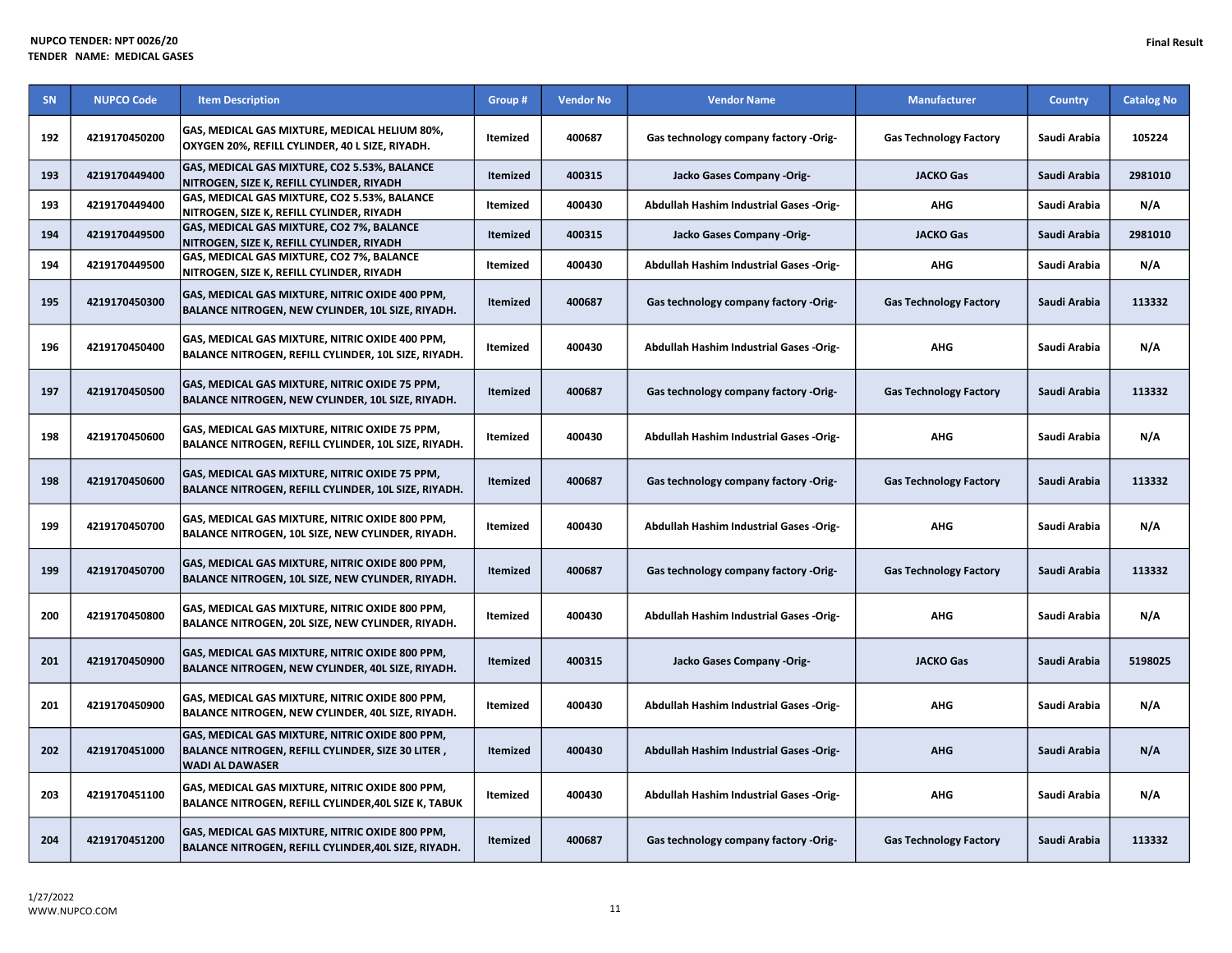| <b>SN</b> | <b>NUPCO Code</b> | <b>Item Description</b>                                                                                                        | Group #         | <b>Vendor No</b> | <b>Vendor Name</b>                             | <b>Manufacturer</b>           | <b>Country</b> | <b>Catalog No</b> |
|-----------|-------------------|--------------------------------------------------------------------------------------------------------------------------------|-----------------|------------------|------------------------------------------------|-------------------------------|----------------|-------------------|
| 192       | 4219170450200     | GAS, MEDICAL GAS MIXTURE, MEDICAL HELIUM 80%,<br>OXYGEN 20%, REFILL CYLINDER, 40 L SIZE, RIYADH.                               | Itemized        | 400687           | Gas technology company factory -Orig-          | <b>Gas Technology Factory</b> | Saudi Arabia   | 105224            |
| 193       | 4219170449400     | GAS, MEDICAL GAS MIXTURE, CO2 5.53%, BALANCE<br>NITROGEN, SIZE K, REFILL CYLINDER, RIYADH                                      | <b>Itemized</b> | 400315           | Jacko Gases Company -Orig-                     | <b>JACKO Gas</b>              | Saudi Arabia   | 2981010           |
| 193       | 4219170449400     | GAS, MEDICAL GAS MIXTURE, CO2 5.53%, BALANCE<br>NITROGEN, SIZE K, REFILL CYLINDER, RIYADH                                      | Itemized        | 400430           | Abdullah Hashim Industrial Gases -Orig-        | <b>AHG</b>                    | Saudi Arabia   | N/A               |
| 194       | 4219170449500     | GAS, MEDICAL GAS MIXTURE, CO2 7%, BALANCE<br>NITROGEN, SIZE K, REFILL CYLINDER, RIYADH                                         | <b>Itemized</b> | 400315           | Jacko Gases Company -Orig-                     | <b>JACKO Gas</b>              | Saudi Arabia   | 2981010           |
| 194       | 4219170449500     | GAS, MEDICAL GAS MIXTURE, CO2 7%, BALANCE<br>NITROGEN, SIZE K, REFILL CYLINDER, RIYADH                                         | Itemized        | 400430           | Abdullah Hashim Industrial Gases -Orig-        | <b>AHG</b>                    | Saudi Arabia   | N/A               |
| 195       | 4219170450300     | GAS, MEDICAL GAS MIXTURE, NITRIC OXIDE 400 PPM,<br>BALANCE NITROGEN, NEW CYLINDER, 10L SIZE, RIYADH.                           | <b>Itemized</b> | 400687           | Gas technology company factory -Orig-          | <b>Gas Technology Factory</b> | Saudi Arabia   | 113332            |
| 196       | 4219170450400     | GAS, MEDICAL GAS MIXTURE, NITRIC OXIDE 400 PPM,<br>BALANCE NITROGEN, REFILL CYLINDER, 10L SIZE, RIYADH.                        | <b>Itemized</b> | 400430           | Abdullah Hashim Industrial Gases -Orig-        | <b>AHG</b>                    | Saudi Arabia   | N/A               |
| 197       | 4219170450500     | GAS, MEDICAL GAS MIXTURE, NITRIC OXIDE 75 PPM,<br>BALANCE NITROGEN, NEW CYLINDER, 10L SIZE, RIYADH.                            | <b>Itemized</b> | 400687           | Gas technology company factory -Orig-          | <b>Gas Technology Factory</b> | Saudi Arabia   | 113332            |
| 198       | 4219170450600     | GAS, MEDICAL GAS MIXTURE, NITRIC OXIDE 75 PPM,<br>BALANCE NITROGEN, REFILL CYLINDER, 10L SIZE, RIYADH.                         | Itemized        | 400430           | <b>Abdullah Hashim Industrial Gases -Orig-</b> | <b>AHG</b>                    | Saudi Arabia   | N/A               |
| 198       | 4219170450600     | GAS, MEDICAL GAS MIXTURE, NITRIC OXIDE 75 PPM,<br>BALANCE NITROGEN, REFILL CYLINDER, 10L SIZE, RIYADH.                         | <b>Itemized</b> | 400687           | Gas technology company factory -Orig-          | <b>Gas Technology Factory</b> | Saudi Arabia   | 113332            |
| 199       | 4219170450700     | GAS, MEDICAL GAS MIXTURE, NITRIC OXIDE 800 PPM,<br>BALANCE NITROGEN, 10L SIZE, NEW CYLINDER, RIYADH.                           | Itemized        | 400430           | Abdullah Hashim Industrial Gases -Orig-        | <b>AHG</b>                    | Saudi Arabia   | N/A               |
| 199       | 4219170450700     | GAS, MEDICAL GAS MIXTURE, NITRIC OXIDE 800 PPM,<br>BALANCE NITROGEN, 10L SIZE, NEW CYLINDER, RIYADH.                           | <b>Itemized</b> | 400687           | Gas technology company factory -Orig-          | <b>Gas Technology Factory</b> | Saudi Arabia   | 113332            |
| 200       | 4219170450800     | GAS, MEDICAL GAS MIXTURE, NITRIC OXIDE 800 PPM,<br>BALANCE NITROGEN, 20L SIZE, NEW CYLINDER, RIYADH.                           | Itemized        | 400430           | Abdullah Hashim Industrial Gases -Orig-        | <b>AHG</b>                    | Saudi Arabia   | N/A               |
| 201       | 4219170450900     | GAS, MEDICAL GAS MIXTURE, NITRIC OXIDE 800 PPM,<br>BALANCE NITROGEN, NEW CYLINDER, 40L SIZE, RIYADH.                           | <b>Itemized</b> | 400315           | Jacko Gases Company -Orig-                     | <b>JACKO Gas</b>              | Saudi Arabia   | 5198025           |
| 201       | 4219170450900     | GAS, MEDICAL GAS MIXTURE, NITRIC OXIDE 800 PPM,<br>BALANCE NITROGEN, NEW CYLINDER, 40L SIZE, RIYADH.                           | Itemized        | 400430           | Abdullah Hashim Industrial Gases -Orig-        | AHG                           | Saudi Arabia   | N/A               |
| 202       | 4219170451000     | GAS, MEDICAL GAS MIXTURE, NITRIC OXIDE 800 PPM,<br>BALANCE NITROGEN, REFILL CYLINDER, SIZE 30 LITER,<br><b>WADI AL DAWASER</b> | Itemized        | 400430           | Abdullah Hashim Industrial Gases -Orig-        | <b>AHG</b>                    | Saudi Arabia   | N/A               |
| 203       | 4219170451100     | GAS, MEDICAL GAS MIXTURE, NITRIC OXIDE 800 PPM,<br>BALANCE NITROGEN, REFILL CYLINDER, 40L SIZE K, TABUK                        | Itemized        | 400430           | Abdullah Hashim Industrial Gases -Orig-        | <b>AHG</b>                    | Saudi Arabia   | N/A               |
| 204       | 4219170451200     | GAS, MEDICAL GAS MIXTURE, NITRIC OXIDE 800 PPM,<br>BALANCE NITROGEN, REFILL CYLINDER, 40L SIZE, RIYADH.                        | <b>Itemized</b> | 400687           | Gas technology company factory -Orig-          | <b>Gas Technology Factory</b> | Saudi Arabia   | 113332            |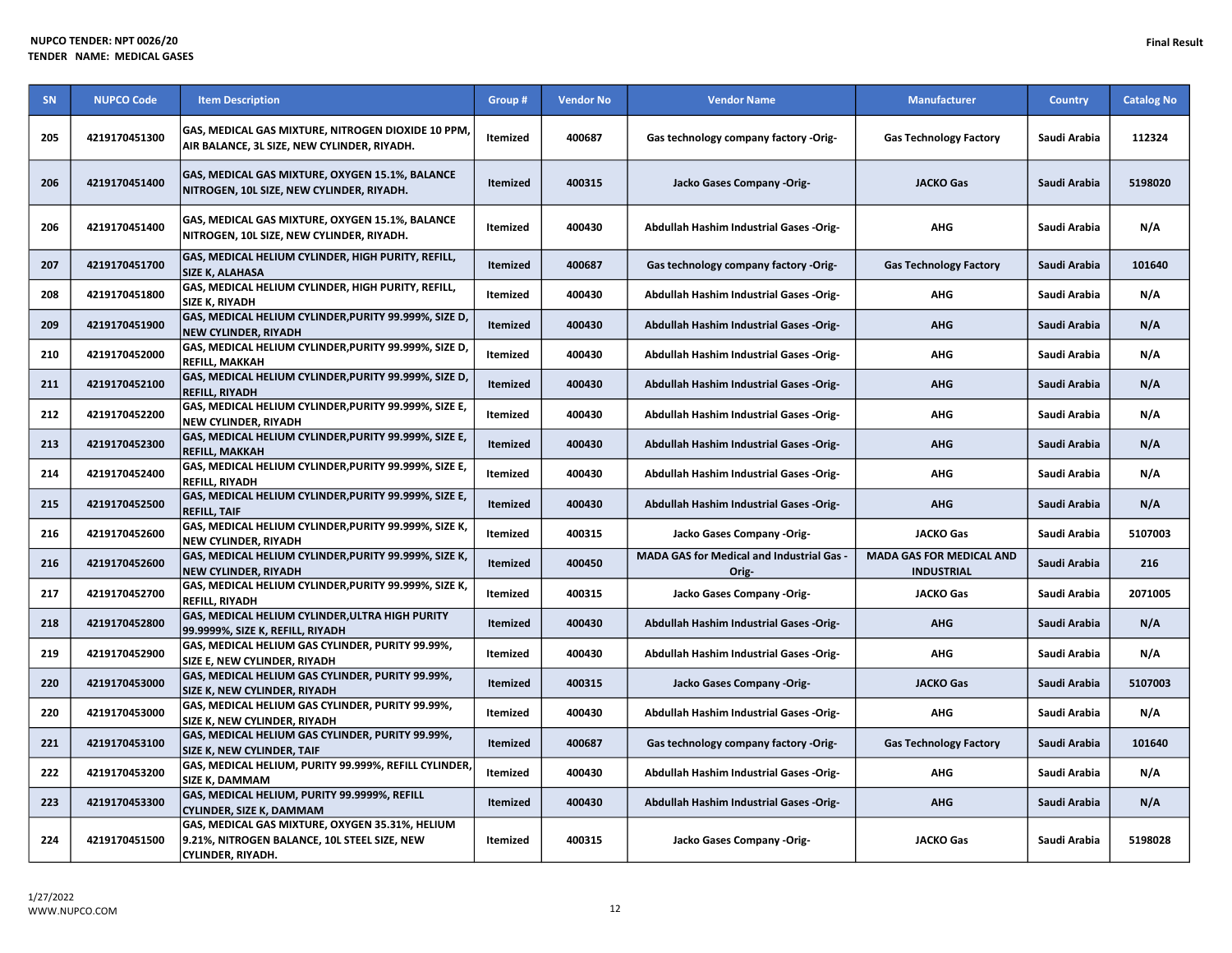| <b>SN</b> | <b>NUPCO Code</b> | <b>Item Description</b>                                                                                              | Group #         | <b>Vendor No</b> | <b>Vendor Name</b>                                 | <b>Manufacturer</b>                                  | <b>Country</b> | <b>Catalog No</b> |
|-----------|-------------------|----------------------------------------------------------------------------------------------------------------------|-----------------|------------------|----------------------------------------------------|------------------------------------------------------|----------------|-------------------|
| 205       | 4219170451300     | GAS, MEDICAL GAS MIXTURE, NITROGEN DIOXIDE 10 PPM,<br>AIR BALANCE, 3L SIZE, NEW CYLINDER, RIYADH.                    | <b>Itemized</b> | 400687           | Gas technology company factory -Orig-              | <b>Gas Technology Factory</b>                        | Saudi Arabia   | 112324            |
| 206       | 4219170451400     | GAS, MEDICAL GAS MIXTURE, OXYGEN 15.1%, BALANCE<br>NITROGEN, 10L SIZE, NEW CYLINDER, RIYADH.                         | <b>Itemized</b> | 400315           | Jacko Gases Company -Orig-                         | <b>JACKO Gas</b>                                     | Saudi Arabia   | 5198020           |
| 206       | 4219170451400     | GAS, MEDICAL GAS MIXTURE, OXYGEN 15.1%, BALANCE<br>NITROGEN, 10L SIZE, NEW CYLINDER, RIYADH.                         | <b>Itemized</b> | 400430           | Abdullah Hashim Industrial Gases -Orig-            | AHG                                                  | Saudi Arabia   | N/A               |
| 207       | 4219170451700     | GAS, MEDICAL HELIUM CYLINDER, HIGH PURITY, REFILL,<br><b>SIZE K, ALAHASA</b>                                         | <b>Itemized</b> | 400687           | Gas technology company factory -Orig-              | <b>Gas Technology Factory</b>                        | Saudi Arabia   | 101640            |
| 208       | 4219170451800     | GAS, MEDICAL HELIUM CYLINDER, HIGH PURITY, REFILL,<br>SIZE K, RIYADH                                                 | <b>Itemized</b> | 400430           | <b>Abdullah Hashim Industrial Gases -Orig-</b>     | <b>AHG</b>                                           | Saudi Arabia   | N/A               |
| 209       | 4219170451900     | GAS, MEDICAL HELIUM CYLINDER, PURITY 99.999%, SIZE D,<br><b>NEW CYLINDER, RIYADH</b>                                 | <b>Itemized</b> | 400430           | Abdullah Hashim Industrial Gases -Orig-            | <b>AHG</b>                                           | Saudi Arabia   | N/A               |
| 210       | 4219170452000     | GAS, MEDICAL HELIUM CYLINDER, PURITY 99.999%, SIZE D,<br><b>REFILL, MAKKAH</b>                                       | <b>Itemized</b> | 400430           | <b>Abdullah Hashim Industrial Gases -Orig-</b>     | <b>AHG</b>                                           | Saudi Arabia   | N/A               |
| 211       | 4219170452100     | GAS, MEDICAL HELIUM CYLINDER, PURITY 99.999%, SIZE D,<br><b>REFILL, RIYADH</b>                                       | Itemized        | 400430           | Abdullah Hashim Industrial Gases -Orig-            | <b>AHG</b>                                           | Saudi Arabia   | N/A               |
| 212       | 4219170452200     | GAS, MEDICAL HELIUM CYLINDER, PURITY 99.999%, SIZE E,<br><b>NEW CYLINDER, RIYADH</b>                                 | <b>Itemized</b> | 400430           | <b>Abdullah Hashim Industrial Gases -Orig-</b>     | <b>AHG</b>                                           | Saudi Arabia   | N/A               |
| 213       | 4219170452300     | GAS, MEDICAL HELIUM CYLINDER, PURITY 99.999%, SIZE E,<br><b>REFILL, MAKKAH</b>                                       | <b>Itemized</b> | 400430           | Abdullah Hashim Industrial Gases -Orig-            | <b>AHG</b>                                           | Saudi Arabia   | N/A               |
| 214       | 4219170452400     | GAS, MEDICAL HELIUM CYLINDER, PURITY 99.999%, SIZE E,<br><b>REFILL, RIYADH</b>                                       | Itemized        | 400430           | <b>Abdullah Hashim Industrial Gases -Orig-</b>     | <b>AHG</b>                                           | Saudi Arabia   | N/A               |
| 215       | 4219170452500     | GAS, MEDICAL HELIUM CYLINDER, PURITY 99.999%, SIZE E,<br><b>REFILL, TAIF</b>                                         | Itemized        | 400430           | Abdullah Hashim Industrial Gases -Orig-            | <b>AHG</b>                                           | Saudi Arabia   | N/A               |
| 216       | 4219170452600     | GAS, MEDICAL HELIUM CYLINDER, PURITY 99.999%, SIZE K,<br><b>NEW CYLINDER, RIYADH</b>                                 | Itemized        | 400315           | Jacko Gases Company -Orig-                         | <b>JACKO Gas</b>                                     | Saudi Arabia   | 5107003           |
| 216       | 4219170452600     | GAS, MEDICAL HELIUM CYLINDER, PURITY 99.999%, SIZE K,<br><b>NEW CYLINDER, RIYADH</b>                                 | Itemized        | 400450           | MADA GAS for Medical and Industrial Gas -<br>Orig- | <b>MADA GAS FOR MEDICAL AND</b><br><b>INDUSTRIAL</b> | Saudi Arabia   | 216               |
| 217       | 4219170452700     | GAS, MEDICAL HELIUM CYLINDER, PURITY 99.999%, SIZE K,<br><b>REFILL, RIYADH</b>                                       | Itemized        | 400315           | Jacko Gases Company -Orig-                         | <b>JACKO Gas</b>                                     | Saudi Arabia   | 2071005           |
| 218       | 4219170452800     | <b>GAS, MEDICAL HELIUM CYLINDER, ULTRA HIGH PURITY</b><br>99.9999%, SIZE K, REFILL, RIYADH                           | <b>Itemized</b> | 400430           | Abdullah Hashim Industrial Gases -Orig-            | <b>AHG</b>                                           | Saudi Arabia   | N/A               |
| 219       | 4219170452900     | GAS, MEDICAL HELIUM GAS CYLINDER, PURITY 99.99%,<br>SIZE E, NEW CYLINDER, RIYADH                                     | Itemized        | 400430           | Abdullah Hashim Industrial Gases -Orig-            | <b>AHG</b>                                           | Saudi Arabia   | N/A               |
| 220       | 4219170453000     | GAS, MEDICAL HELIUM GAS CYLINDER, PURITY 99.99%,<br><b>SIZE K, NEW CYLINDER, RIYADH</b>                              | <b>Itemized</b> | 400315           | Jacko Gases Company -Orig-                         | <b>JACKO Gas</b>                                     | Saudi Arabia   | 5107003           |
| 220       | 4219170453000     | GAS, MEDICAL HELIUM GAS CYLINDER, PURITY 99.99%,<br>SIZE K, NEW CYLINDER, RIYADH                                     | Itemized        | 400430           | Abdullah Hashim Industrial Gases -Orig-            | <b>AHG</b>                                           | Saudi Arabia   | N/A               |
| 221       | 4219170453100     | GAS, MEDICAL HELIUM GAS CYLINDER, PURITY 99.99%,<br><b>SIZE K, NEW CYLINDER, TAIF</b>                                | Itemized        | 400687           | Gas technology company factory -Orig-              | <b>Gas Technology Factory</b>                        | Saudi Arabia   | 101640            |
| 222       | 4219170453200     | GAS, MEDICAL HELIUM, PURITY 99.999%, REFILL CYLINDER,<br><b>SIZE K. DAMMAM</b>                                       | Itemized        | 400430           | <b>Abdullah Hashim Industrial Gases -Orig-</b>     | <b>AHG</b>                                           | Saudi Arabia   | N/A               |
| 223       | 4219170453300     | GAS, MEDICAL HELIUM, PURITY 99.9999%, REFILL<br><b>CYLINDER, SIZE K, DAMMAM</b>                                      | Itemized        | 400430           | Abdullah Hashim Industrial Gases -Orig-            | <b>AHG</b>                                           | Saudi Arabia   | N/A               |
| 224       | 4219170451500     | GAS, MEDICAL GAS MIXTURE, OXYGEN 35.31%, HELIUM<br>9.21%, NITROGEN BALANCE, 10L STEEL SIZE, NEW<br>CYLINDER, RIYADH. | Itemized        | 400315           | Jacko Gases Company -Orig-                         | <b>JACKO Gas</b>                                     | Saudi Arabia   | 5198028           |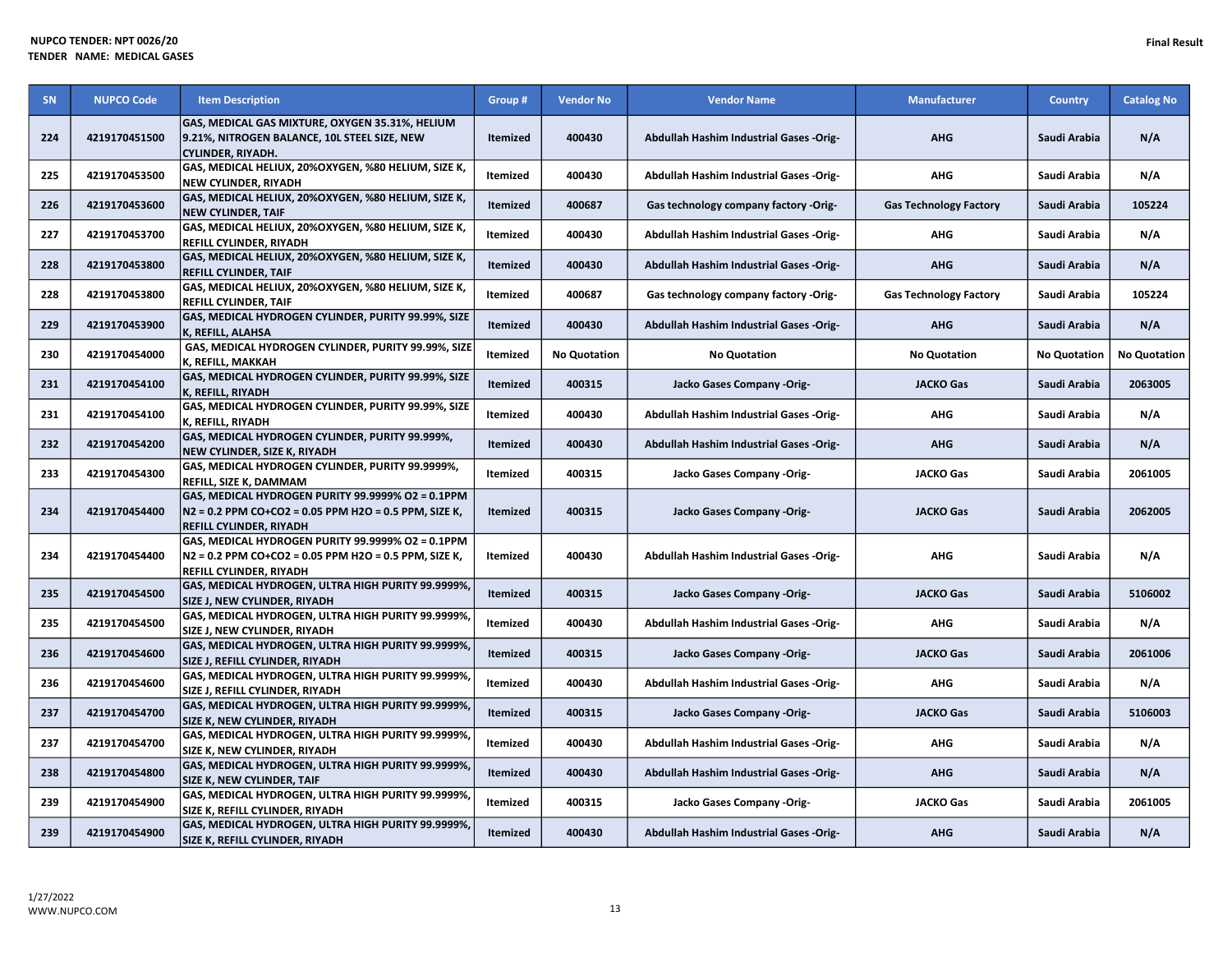| <b>SN</b> | <b>NUPCO Code</b> | <b>Item Description</b>                                                                                                               | Group #         | <b>Vendor No</b>    | <b>Vendor Name</b>                             | <b>Manufacturer</b>           | <b>Country</b>      | <b>Catalog No</b>   |
|-----------|-------------------|---------------------------------------------------------------------------------------------------------------------------------------|-----------------|---------------------|------------------------------------------------|-------------------------------|---------------------|---------------------|
| 224       | 4219170451500     | GAS, MEDICAL GAS MIXTURE, OXYGEN 35.31%, HELIUM<br>9.21%, NITROGEN BALANCE, 10L STEEL SIZE, NEW<br>CYLINDER, RIYADH.                  | Itemized        | 400430              | <b>Abdullah Hashim Industrial Gases -Orig-</b> | <b>AHG</b>                    | Saudi Arabia        | N/A                 |
| 225       | 4219170453500     | GAS, MEDICAL HELIUX, 20%OXYGEN, %80 HELIUM, SIZE K,<br>NEW CYLINDER, RIYADH                                                           | Itemized        | 400430              | Abdullah Hashim Industrial Gases -Orig-        | <b>AHG</b>                    | Saudi Arabia        | N/A                 |
| 226       | 4219170453600     | GAS, MEDICAL HELIUX, 20%OXYGEN, %80 HELIUM, SIZE K,<br><b>NEW CYLINDER, TAIF</b>                                                      | Itemized        | 400687              | Gas technology company factory -Orig-          | <b>Gas Technology Factory</b> | Saudi Arabia        | 105224              |
| 227       | 4219170453700     | GAS, MEDICAL HELIUX, 20%OXYGEN, %80 HELIUM, SIZE K,<br>REFILL CYLINDER, RIYADH                                                        | Itemized        | 400430              | Abdullah Hashim Industrial Gases -Orig-        | <b>AHG</b>                    | Saudi Arabia        | N/A                 |
| 228       | 4219170453800     | GAS, MEDICAL HELIUX, 20%OXYGEN, %80 HELIUM, SIZE K,<br><b>REFILL CYLINDER, TAIF</b>                                                   | Itemized        | 400430              | <b>Abdullah Hashim Industrial Gases -Orig-</b> | <b>AHG</b>                    | Saudi Arabia        | N/A                 |
| 228       | 4219170453800     | GAS, MEDICAL HELIUX, 20%OXYGEN, %80 HELIUM, SIZE K,<br>REFILL CYLINDER, TAIF                                                          | Itemized        | 400687              | Gas technology company factory -Orig-          | <b>Gas Technology Factory</b> | Saudi Arabia        | 105224              |
| 229       | 4219170453900     | GAS, MEDICAL HYDROGEN CYLINDER, PURITY 99.99%, SIZE<br>K, REFILL, ALAHSA                                                              | Itemized        | 400430              | Abdullah Hashim Industrial Gases -Orig-        | <b>AHG</b>                    | Saudi Arabia        | N/A                 |
| 230       | 4219170454000     | GAS, MEDICAL HYDROGEN CYLINDER, PURITY 99.99%, SIZE<br>K, REFILL, MAKKAH                                                              | <b>Itemized</b> | <b>No Quotation</b> | <b>No Quotation</b>                            | <b>No Quotation</b>           | <b>No Quotation</b> | <b>No Quotation</b> |
| 231       | 4219170454100     | GAS, MEDICAL HYDROGEN CYLINDER, PURITY 99.99%, SIZE<br>K, REFILL, RIYADH                                                              | Itemized        | 400315              | Jacko Gases Company -Orig-                     | <b>JACKO Gas</b>              | Saudi Arabia        | 2063005             |
| 231       | 4219170454100     | GAS, MEDICAL HYDROGEN CYLINDER, PURITY 99.99%, SIZE<br>K, REFILL, RIYADH                                                              | Itemized        | 400430              | Abdullah Hashim Industrial Gases -Orig-        | <b>AHG</b>                    | Saudi Arabia        | N/A                 |
| 232       | 4219170454200     | GAS, MEDICAL HYDROGEN CYLINDER, PURITY 99.999%,<br>NEW CYLINDER, SIZE K, RIYADH                                                       | Itemized        | 400430              | Abdullah Hashim Industrial Gases -Orig-        | <b>AHG</b>                    | Saudi Arabia        | N/A                 |
| 233       | 4219170454300     | GAS, MEDICAL HYDROGEN CYLINDER, PURITY 99.9999%,<br>REFILL, SIZE K, DAMMAM                                                            | Itemized        | 400315              | Jacko Gases Company -Orig-                     | <b>JACKO Gas</b>              | Saudi Arabia        | 2061005             |
| 234       | 4219170454400     | GAS, MEDICAL HYDROGEN PURITY 99.9999% O2 = 0.1PPM<br>N2 = 0.2 PPM CO+CO2 = 0.05 PPM H2O = 0.5 PPM, SIZE K,<br>REFILL CYLINDER, RIYADH | Itemized        | 400315              | Jacko Gases Company -Orig-                     | <b>JACKO Gas</b>              | Saudi Arabia        | 2062005             |
| 234       | 4219170454400     | GAS, MEDICAL HYDROGEN PURITY 99.9999% O2 = 0.1PPM<br>N2 = 0.2 PPM CO+CO2 = 0.05 PPM H2O = 0.5 PPM, SIZE K,<br>REFILL CYLINDER, RIYADH | Itemized        | 400430              | Abdullah Hashim Industrial Gases -Orig-        | AHG                           | Saudi Arabia        | N/A                 |
| 235       | 4219170454500     | GAS, MEDICAL HYDROGEN, ULTRA HIGH PURITY 99.9999%,<br>SIZE J, NEW CYLINDER, RIYADH                                                    | Itemized        | 400315              | Jacko Gases Company -Orig-                     | <b>JACKO Gas</b>              | Saudi Arabia        | 5106002             |
| 235       | 4219170454500     | GAS, MEDICAL HYDROGEN, ULTRA HIGH PURITY 99.9999%,<br>SIZE J, NEW CYLINDER, RIYADH                                                    | Itemized        | 400430              | Abdullah Hashim Industrial Gases -Orig-        | AHG                           | Saudi Arabia        | N/A                 |
| 236       | 4219170454600     | GAS, MEDICAL HYDROGEN, ULTRA HIGH PURITY 99.9999%,<br>SIZE J, REFILL CYLINDER, RIYADH                                                 | Itemized        | 400315              | Jacko Gases Company -Orig-                     | <b>JACKO Gas</b>              | Saudi Arabia        | 2061006             |
| 236       | 4219170454600     | GAS, MEDICAL HYDROGEN, ULTRA HIGH PURITY 99.9999%,<br>SIZE J, REFILL CYLINDER, RIYADH                                                 | Itemized        | 400430              | Abdullah Hashim Industrial Gases -Orig-        | <b>AHG</b>                    | Saudi Arabia        | N/A                 |
| 237       | 4219170454700     | GAS, MEDICAL HYDROGEN, ULTRA HIGH PURITY 99.9999%,<br><b>SIZE K, NEW CYLINDER, RIYADH</b>                                             | Itemized        | 400315              | Jacko Gases Company -Orig-                     | <b>JACKO Gas</b>              | Saudi Arabia        | 5106003             |
| 237       | 4219170454700     | GAS, MEDICAL HYDROGEN, ULTRA HIGH PURITY 99.9999%,<br>SIZE K, NEW CYLINDER, RIYADH                                                    | Itemized        | 400430              | Abdullah Hashim Industrial Gases -Orig-        | AHG                           | Saudi Arabia        | N/A                 |
| 238       | 4219170454800     | GAS, MEDICAL HYDROGEN, ULTRA HIGH PURITY 99.9999%,<br><b>SIZE K, NEW CYLINDER, TAIF</b>                                               | Itemized        | 400430              | Abdullah Hashim Industrial Gases -Orig-        | <b>AHG</b>                    | Saudi Arabia        | N/A                 |
| 239       | 4219170454900     | GAS, MEDICAL HYDROGEN, ULTRA HIGH PURITY 99.9999%,<br>SIZE K, REFILL CYLINDER, RIYADH                                                 | Itemized        | 400315              | Jacko Gases Company -Orig-                     | <b>JACKO Gas</b>              | Saudi Arabia        | 2061005             |
| 239       | 4219170454900     | GAS, MEDICAL HYDROGEN, ULTRA HIGH PURITY 99.9999%,<br>SIZE K, REFILL CYLINDER, RIYADH                                                 | Itemized        | 400430              | Abdullah Hashim Industrial Gases -Orig-        | <b>AHG</b>                    | Saudi Arabia        | N/A                 |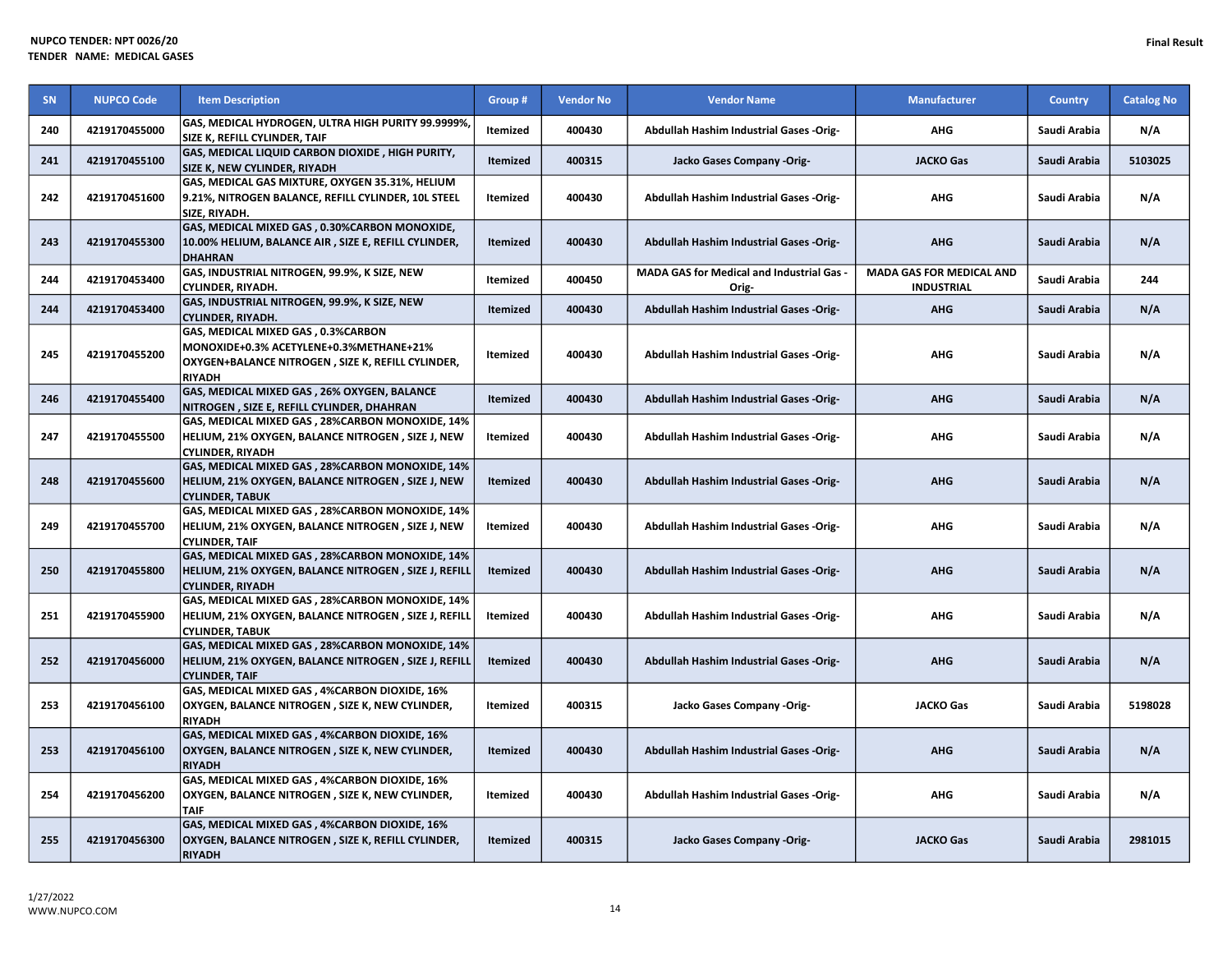| <b>SN</b> | <b>NUPCO Code</b> | <b>Item Description</b>                                                                                                                             | Group #         | <b>Vendor No</b> | <b>Vendor Name</b>                                      | <b>Manufacturer</b>                                  | <b>Country</b> | <b>Catalog No</b> |
|-----------|-------------------|-----------------------------------------------------------------------------------------------------------------------------------------------------|-----------------|------------------|---------------------------------------------------------|------------------------------------------------------|----------------|-------------------|
| 240       | 4219170455000     | GAS, MEDICAL HYDROGEN, ULTRA HIGH PURITY 99.9999%,<br>SIZE K, REFILL CYLINDER, TAIF                                                                 | Itemized        | 400430           | Abdullah Hashim Industrial Gases -Orig-                 | <b>AHG</b>                                           | Saudi Arabia   | N/A               |
| 241       | 4219170455100     | GAS, MEDICAL LIQUID CARBON DIOXIDE, HIGH PURITY,<br>SIZE K. NEW CYLINDER. RIYADH                                                                    | <b>Itemized</b> | 400315           | Jacko Gases Company -Orig-                              | <b>JACKO Gas</b>                                     | Saudi Arabia   | 5103025           |
| 242       | 4219170451600     | GAS, MEDICAL GAS MIXTURE, OXYGEN 35.31%, HELIUM<br>9.21%, NITROGEN BALANCE, REFILL CYLINDER, 10L STEEL<br>SIZE, RIYADH.                             | <b>Itemized</b> | 400430           | Abdullah Hashim Industrial Gases -Orig-                 | <b>AHG</b>                                           | Saudi Arabia   | N/A               |
| 243       | 4219170455300     | GAS, MEDICAL MIXED GAS, 0.30%CARBON MONOXIDE,<br>10.00% HELIUM, BALANCE AIR, SIZE E, REFILL CYLINDER,<br><b>DHAHRAN</b>                             | <b>Itemized</b> | 400430           | Abdullah Hashim Industrial Gases -Orig-                 | <b>AHG</b>                                           | Saudi Arabia   | N/A               |
| 244       | 4219170453400     | GAS, INDUSTRIAL NITROGEN, 99.9%, K SIZE, NEW<br>CYLINDER, RIYADH.                                                                                   | Itemized        | 400450           | <b>MADA GAS for Medical and Industrial Gas</b><br>Orig- | <b>MADA GAS FOR MEDICAL AND</b><br><b>INDUSTRIAL</b> | Saudi Arabia   | 244               |
| 244       | 4219170453400     | GAS, INDUSTRIAL NITROGEN, 99.9%, K SIZE, NEW<br>CYLINDER, RIYADH.                                                                                   | <b>Itemized</b> | 400430           | Abdullah Hashim Industrial Gases -Orig-                 | <b>AHG</b>                                           | Saudi Arabia   | N/A               |
| 245       | 4219170455200     | GAS, MEDICAL MIXED GAS, 0.3%CARBON<br>MONOXIDE+0.3% ACETYLENE+0.3%METHANE+21%<br>OXYGEN+BALANCE NITROGEN, SIZE K, REFILL CYLINDER,<br><b>RIYADH</b> | <b>Itemized</b> | 400430           | Abdullah Hashim Industrial Gases -Orig-                 | <b>AHG</b>                                           | Saudi Arabia   | N/A               |
| 246       | 4219170455400     | GAS, MEDICAL MIXED GAS, 26% OXYGEN, BALANCE<br>NITROGEN, SIZE E, REFILL CYLINDER, DHAHRAN                                                           | Itemized        | 400430           | Abdullah Hashim Industrial Gases -Orig-                 | <b>AHG</b>                                           | Saudi Arabia   | N/A               |
| 247       | 4219170455500     | GAS, MEDICAL MIXED GAS, 28%CARBON MONOXIDE, 14%<br>HELIUM, 21% OXYGEN, BALANCE NITROGEN, SIZE J, NEW<br><b>CYLINDER, RIYADH</b>                     | Itemized        | 400430           | <b>Abdullah Hashim Industrial Gases -Orig-</b>          | <b>AHG</b>                                           | Saudi Arabia   | N/A               |
| 248       | 4219170455600     | GAS, MEDICAL MIXED GAS, 28%CARBON MONOXIDE, 14%<br>HELIUM, 21% OXYGEN, BALANCE NITROGEN, SIZE J, NEW<br><b>CYLINDER, TABUK</b>                      | <b>Itemized</b> | 400430           | Abdullah Hashim Industrial Gases -Orig-                 | <b>AHG</b>                                           | Saudi Arabia   | N/A               |
| 249       | 4219170455700     | GAS, MEDICAL MIXED GAS, 28%CARBON MONOXIDE, 14%<br>HELIUM, 21% OXYGEN, BALANCE NITROGEN, SIZE J, NEW<br><b>CYLINDER, TAIF</b>                       | Itemized        | 400430           | Abdullah Hashim Industrial Gases -Orig-                 | <b>AHG</b>                                           | Saudi Arabia   | N/A               |
| 250       | 4219170455800     | GAS, MEDICAL MIXED GAS, 28%CARBON MONOXIDE, 14%<br>HELIUM, 21% OXYGEN, BALANCE NITROGEN , SIZE J, REFILL<br><b>CYLINDER, RIYADH</b>                 | <b>Itemized</b> | 400430           | Abdullah Hashim Industrial Gases -Orig-                 | <b>AHG</b>                                           | Saudi Arabia   | N/A               |
| 251       | 4219170455900     | GAS, MEDICAL MIXED GAS, 28%CARBON MONOXIDE, 14%<br>HELIUM, 21% OXYGEN, BALANCE NITROGEN, SIZE J, REFILL<br><b>CYLINDER, TABUK</b>                   | Itemized        | 400430           | Abdullah Hashim Industrial Gases -Orig-                 | <b>AHG</b>                                           | Saudi Arabia   | N/A               |
| 252       | 4219170456000     | GAS, MEDICAL MIXED GAS, 28%CARBON MONOXIDE, 14%<br>HELIUM, 21% OXYGEN, BALANCE NITROGEN, SIZE J, REFILL<br><b>CYLINDER, TAIF</b>                    | <b>Itemized</b> | 400430           | Abdullah Hashim Industrial Gases -Orig-                 | <b>AHG</b>                                           | Saudi Arabia   | N/A               |
| 253       | 4219170456100     | GAS, MEDICAL MIXED GAS, 4%CARBON DIOXIDE, 16%<br>OXYGEN, BALANCE NITROGEN, SIZE K, NEW CYLINDER,<br><b>RIYADH</b>                                   | <b>Itemized</b> | 400315           | Jacko Gases Company -Orig-                              | <b>JACKO Gas</b>                                     | Saudi Arabia   | 5198028           |
| 253       | 4219170456100     | GAS, MEDICAL MIXED GAS, 4%CARBON DIOXIDE, 16%<br>OXYGEN, BALANCE NITROGEN, SIZE K, NEW CYLINDER,<br><b>RIYADH</b>                                   | <b>Itemized</b> | 400430           | Abdullah Hashim Industrial Gases -Orig-                 | <b>AHG</b>                                           | Saudi Arabia   | N/A               |
| 254       | 4219170456200     | GAS, MEDICAL MIXED GAS, 4%CARBON DIOXIDE, 16%<br>OXYGEN, BALANCE NITROGEN, SIZE K, NEW CYLINDER,<br>TAIF                                            | Itemized        | 400430           | Abdullah Hashim Industrial Gases -Orig-                 | <b>AHG</b>                                           | Saudi Arabia   | N/A               |
| 255       | 4219170456300     | GAS, MEDICAL MIXED GAS, 4%CARBON DIOXIDE, 16%<br>OXYGEN, BALANCE NITROGEN, SIZE K, REFILL CYLINDER,<br><b>RIYADH</b>                                | <b>Itemized</b> | 400315           | Jacko Gases Company -Orig-                              | <b>JACKO Gas</b>                                     | Saudi Arabia   | 2981015           |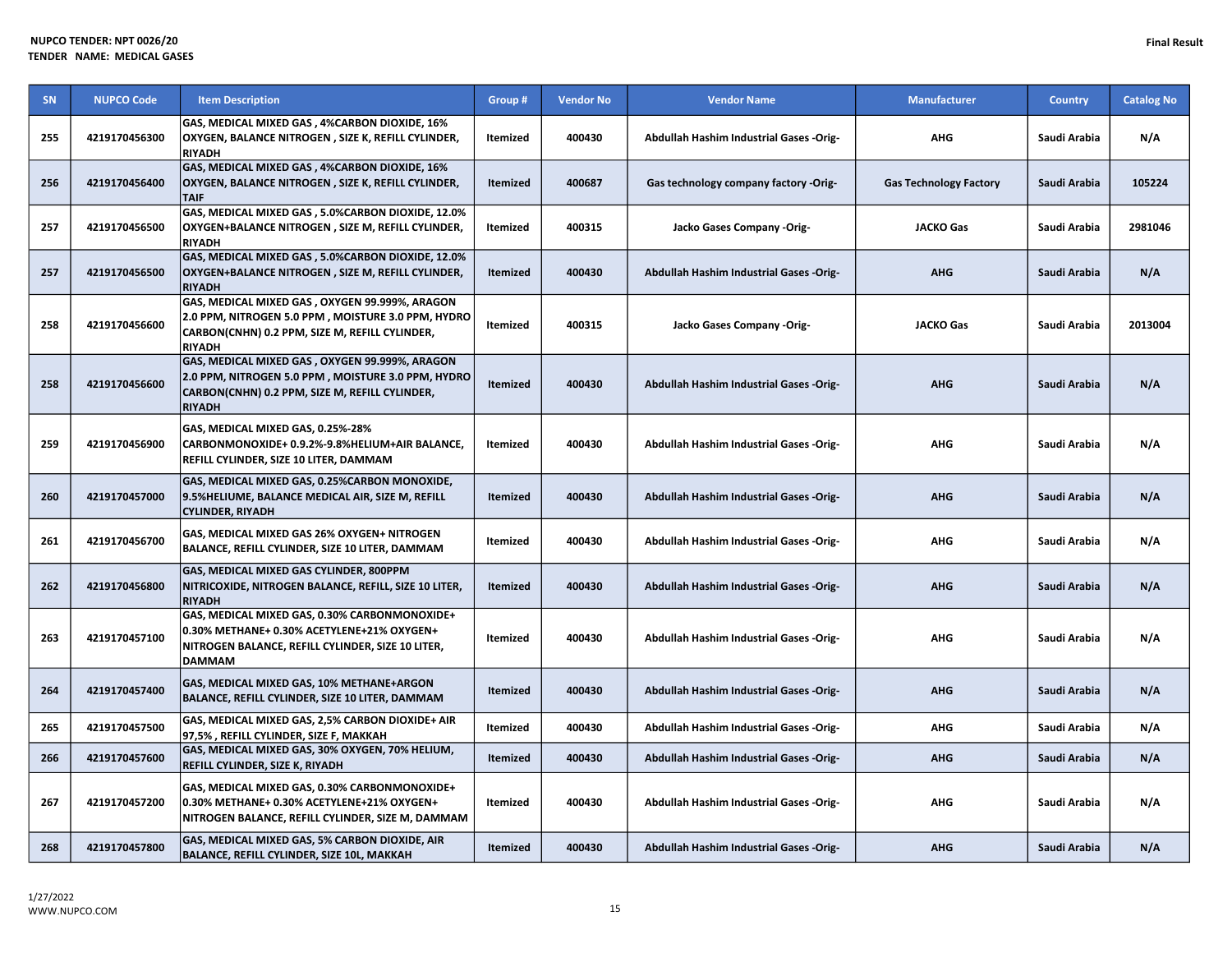| SN  | <b>NUPCO Code</b> | <b>Item Description</b>                                                                                                                                                  | Group #         | <b>Vendor No</b> | <b>Vendor Name</b>                             | <b>Manufacturer</b>           | <b>Country</b> | <b>Catalog No</b> |
|-----|-------------------|--------------------------------------------------------------------------------------------------------------------------------------------------------------------------|-----------------|------------------|------------------------------------------------|-------------------------------|----------------|-------------------|
| 255 | 4219170456300     | GAS, MEDICAL MIXED GAS, 4%CARBON DIOXIDE, 16%<br>OXYGEN, BALANCE NITROGEN, SIZE K, REFILL CYLINDER,<br><b>RIYADH</b>                                                     | Itemized        | 400430           | Abdullah Hashim Industrial Gases -Orig-        | <b>AHG</b>                    | Saudi Arabia   | N/A               |
| 256 | 4219170456400     | GAS, MEDICAL MIXED GAS, 4%CARBON DIOXIDE, 16%<br>OXYGEN, BALANCE NITROGEN, SIZE K, REFILL CYLINDER,<br><b>TAIF</b>                                                       | Itemized        | 400687           | Gas technology company factory -Orig-          | <b>Gas Technology Factory</b> | Saudi Arabia   | 105224            |
| 257 | 4219170456500     | GAS, MEDICAL MIXED GAS, 5.0%CARBON DIOXIDE, 12.0%<br>OXYGEN+BALANCE NITROGEN, SIZE M, REFILL CYLINDER,<br><b>RIYADH</b>                                                  | <b>Itemized</b> | 400315           | Jacko Gases Company -Orig-                     | <b>JACKO Gas</b>              | Saudi Arabia   | 2981046           |
| 257 | 4219170456500     | GAS, MEDICAL MIXED GAS, 5.0%CARBON DIOXIDE, 12.0%<br>OXYGEN+BALANCE NITROGEN, SIZE M, REFILL CYLINDER,<br><b>RIYADH</b>                                                  | <b>Itemized</b> | 400430           | Abdullah Hashim Industrial Gases -Orig-        | <b>AHG</b>                    | Saudi Arabia   | N/A               |
| 258 | 4219170456600     | GAS, MEDICAL MIXED GAS, OXYGEN 99.999%, ARAGON<br>2.0 PPM, NITROGEN 5.0 PPM , MOISTURE 3.0 PPM, HYDRO<br>CARBON(CNHN) 0.2 PPM, SIZE M, REFILL CYLINDER,<br><b>RIYADH</b> | Itemized        | 400315           | Jacko Gases Company -Orig-                     | <b>JACKO Gas</b>              | Saudi Arabia   | 2013004           |
| 258 | 4219170456600     | GAS, MEDICAL MIXED GAS, OXYGEN 99.999%, ARAGON<br>2.0 PPM, NITROGEN 5.0 PPM, MOISTURE 3.0 PPM, HYDRO<br>CARBON(CNHN) 0.2 PPM, SIZE M, REFILL CYLINDER,<br><b>RIYADH</b>  | <b>Itemized</b> | 400430           | <b>Abdullah Hashim Industrial Gases -Orig-</b> | <b>AHG</b>                    | Saudi Arabia   | N/A               |
| 259 | 4219170456900     | GAS, MEDICAL MIXED GAS, 0.25%-28%<br>CARBONMONOXIDE+ 0.9.2%-9.8%HELIUM+AIR BALANCE,<br>REFILL CYLINDER, SIZE 10 LITER, DAMMAM                                            | Itemized        | 400430           | <b>Abdullah Hashim Industrial Gases -Orig-</b> | AHG                           | Saudi Arabia   | N/A               |
| 260 | 4219170457000     | GAS, MEDICAL MIXED GAS, 0.25%CARBON MONOXIDE,<br>9.5%HELIUME, BALANCE MEDICAL AIR, SIZE M, REFILL<br><b>CYLINDER, RIYADH</b>                                             | <b>Itemized</b> | 400430           | Abdullah Hashim Industrial Gases -Orig-        | <b>AHG</b>                    | Saudi Arabia   | N/A               |
| 261 | 4219170456700     | GAS, MEDICAL MIXED GAS 26% OXYGEN+ NITROGEN<br>BALANCE, REFILL CYLINDER, SIZE 10 LITER, DAMMAM                                                                           | <b>Itemized</b> | 400430           | <b>Abdullah Hashim Industrial Gases -Orig-</b> | <b>AHG</b>                    | Saudi Arabia   | N/A               |
| 262 | 4219170456800     | GAS, MEDICAL MIXED GAS CYLINDER, 800PPM<br>NITRICOXIDE, NITROGEN BALANCE, REFILL, SIZE 10 LITER,<br><b>RIYADH</b>                                                        | <b>Itemized</b> | 400430           | Abdullah Hashim Industrial Gases -Orig-        | <b>AHG</b>                    | Saudi Arabia   | N/A               |
| 263 | 4219170457100     | GAS, MEDICAL MIXED GAS, 0.30% CARBONMONOXIDE+<br>0.30% METHANE+ 0.30% ACETYLENE+21% OXYGEN+<br>NITROGEN BALANCE, REFILL CYLINDER, SIZE 10 LITER,<br><b>DAMMAM</b>        | Itemized        | 400430           | Abdullah Hashim Industrial Gases -Orig-        | AHG                           | Saudi Arabia   | N/A               |
| 264 | 4219170457400     | GAS, MEDICAL MIXED GAS, 10% METHANE+ARGON<br>BALANCE, REFILL CYLINDER, SIZE 10 LITER, DAMMAM                                                                             | <b>Itemized</b> | 400430           | Abdullah Hashim Industrial Gases -Orig-        | <b>AHG</b>                    | Saudi Arabia   | N/A               |
| 265 | 4219170457500     | GAS, MEDICAL MIXED GAS, 2,5% CARBON DIOXIDE+ AIR<br>97,5%, REFILL CYLINDER, SIZE F, MAKKAH                                                                               | Itemized        | 400430           | Abdullah Hashim Industrial Gases -Orig-        | <b>AHG</b>                    | Saudi Arabia   | N/A               |
| 266 | 4219170457600     | GAS, MEDICAL MIXED GAS, 30% OXYGEN, 70% HELIUM,<br>REFILL CYLINDER, SIZE K, RIYADH                                                                                       | <b>Itemized</b> | 400430           | Abdullah Hashim Industrial Gases -Orig-        | <b>AHG</b>                    | Saudi Arabia   | N/A               |
| 267 | 4219170457200     | GAS, MEDICAL MIXED GAS, 0.30% CARBONMONOXIDE+<br>0.30% METHANE+ 0.30% ACETYLENE+21% OXYGEN+<br>NITROGEN BALANCE, REFILL CYLINDER, SIZE M, DAMMAM                         | Itemized        | 400430           | Abdullah Hashim Industrial Gases -Orig-        | AHG                           | Saudi Arabia   | N/A               |
| 268 | 4219170457800     | GAS, MEDICAL MIXED GAS, 5% CARBON DIOXIDE, AIR<br>BALANCE, REFILL CYLINDER, SIZE 10L, MAKKAH                                                                             | Itemized        | 400430           | Abdullah Hashim Industrial Gases -Orig-        | <b>AHG</b>                    | Saudi Arabia   | N/A               |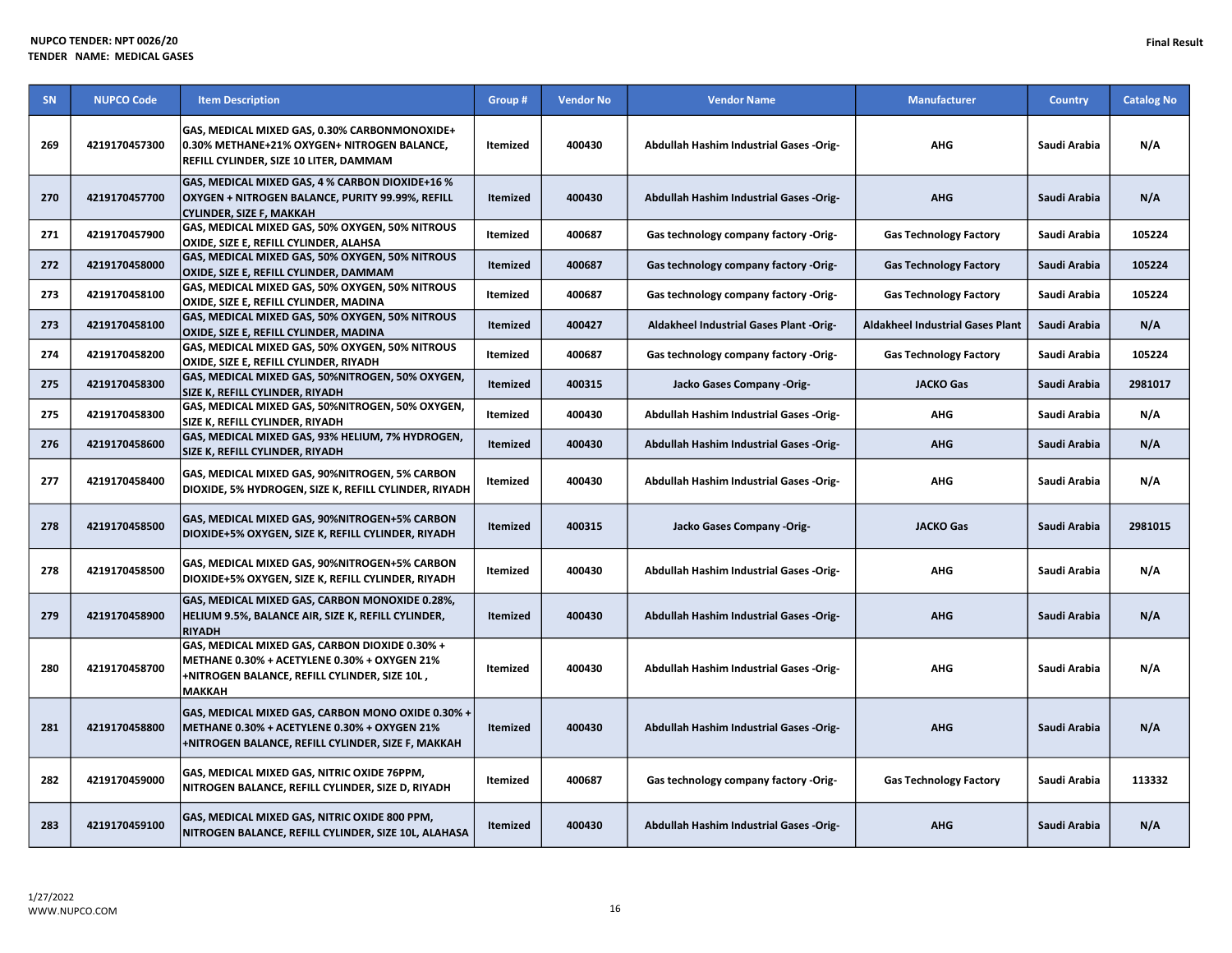| SN  | <b>NUPCO Code</b> | <b>Item Description</b>                                                                                                                                   | Group #         | <b>Vendor No</b> | <b>Vendor Name</b>                             | <b>Manufacturer</b>                     | <b>Country</b> | <b>Catalog No</b> |
|-----|-------------------|-----------------------------------------------------------------------------------------------------------------------------------------------------------|-----------------|------------------|------------------------------------------------|-----------------------------------------|----------------|-------------------|
| 269 | 4219170457300     | GAS, MEDICAL MIXED GAS, 0.30% CARBONMONOXIDE+<br>0.30% METHANE+21% OXYGEN+ NITROGEN BALANCE,<br>REFILL CYLINDER, SIZE 10 LITER, DAMMAM                    | <b>Itemized</b> | 400430           | Abdullah Hashim Industrial Gases -Orig-        | <b>AHG</b>                              | Saudi Arabia   | N/A               |
| 270 | 4219170457700     | GAS, MEDICAL MIXED GAS, 4 % CARBON DIOXIDE+16 %<br>OXYGEN + NITROGEN BALANCE, PURITY 99.99%, REFILL<br><b>CYLINDER, SIZE F, MAKKAH</b>                    | <b>Itemized</b> | 400430           | Abdullah Hashim Industrial Gases -Orig-        | <b>AHG</b>                              | Saudi Arabia   | N/A               |
| 271 | 4219170457900     | GAS, MEDICAL MIXED GAS, 50% OXYGEN, 50% NITROUS<br>OXIDE, SIZE E, REFILL CYLINDER, ALAHSA                                                                 | Itemized        | 400687           | Gas technology company factory -Orig-          | <b>Gas Technology Factory</b>           | Saudi Arabia   | 105224            |
| 272 | 4219170458000     | GAS, MEDICAL MIXED GAS, 50% OXYGEN, 50% NITROUS<br>OXIDE, SIZE E, REFILL CYLINDER, DAMMAM                                                                 | <b>Itemized</b> | 400687           | Gas technology company factory -Orig-          | <b>Gas Technology Factory</b>           | Saudi Arabia   | 105224            |
| 273 | 4219170458100     | GAS, MEDICAL MIXED GAS, 50% OXYGEN, 50% NITROUS<br>OXIDE, SIZE E, REFILL CYLINDER, MADINA                                                                 | Itemized        | 400687           | Gas technology company factory -Orig-          | <b>Gas Technology Factory</b>           | Saudi Arabia   | 105224            |
| 273 | 4219170458100     | GAS, MEDICAL MIXED GAS, 50% OXYGEN, 50% NITROUS<br>OXIDE, SIZE E, REFILL CYLINDER, MADINA                                                                 | <b>Itemized</b> | 400427           | Aldakheel Industrial Gases Plant -Orig-        | <b>Aldakheel Industrial Gases Plant</b> | Saudi Arabia   | N/A               |
| 274 | 4219170458200     | GAS, MEDICAL MIXED GAS, 50% OXYGEN, 50% NITROUS<br>OXIDE, SIZE E, REFILL CYLINDER, RIYADH                                                                 | Itemized        | 400687           | Gas technology company factory -Orig-          | <b>Gas Technology Factory</b>           | Saudi Arabia   | 105224            |
| 275 | 4219170458300     | GAS, MEDICAL MIXED GAS, 50%NITROGEN, 50% OXYGEN,<br><b>SIZE K, REFILL CYLINDER, RIYADH</b>                                                                | <b>Itemized</b> | 400315           | Jacko Gases Company -Orig-                     | <b>JACKO Gas</b>                        | Saudi Arabia   | 2981017           |
| 275 | 4219170458300     | GAS, MEDICAL MIXED GAS, 50%NITROGEN, 50% OXYGEN,<br>SIZE K, REFILL CYLINDER, RIYADH                                                                       | Itemized        | 400430           | <b>Abdullah Hashim Industrial Gases -Orig-</b> | <b>AHG</b>                              | Saudi Arabia   | N/A               |
| 276 | 4219170458600     | GAS, MEDICAL MIXED GAS, 93% HELIUM, 7% HYDROGEN,<br>SIZE K, REFILL CYLINDER, RIYADH                                                                       | Itemized        | 400430           | Abdullah Hashim Industrial Gases -Orig-        | <b>AHG</b>                              | Saudi Arabia   | N/A               |
| 277 | 4219170458400     | GAS, MEDICAL MIXED GAS, 90%NITROGEN, 5% CARBON<br>DIOXIDE, 5% HYDROGEN, SIZE K, REFILL CYLINDER, RIYADH                                                   | Itemized        | 400430           | <b>Abdullah Hashim Industrial Gases -Orig-</b> | <b>AHG</b>                              | Saudi Arabia   | N/A               |
| 278 | 4219170458500     | GAS, MEDICAL MIXED GAS, 90%NITROGEN+5% CARBON<br>DIOXIDE+5% OXYGEN, SIZE K, REFILL CYLINDER, RIYADH                                                       | <b>Itemized</b> | 400315           | Jacko Gases Company -Orig-                     | <b>JACKO Gas</b>                        | Saudi Arabia   | 2981015           |
| 278 | 4219170458500     | GAS, MEDICAL MIXED GAS, 90%NITROGEN+5% CARBON<br>DIOXIDE+5% OXYGEN, SIZE K, REFILL CYLINDER, RIYADH                                                       | Itemized        | 400430           | Abdullah Hashim Industrial Gases -Orig-        | <b>AHG</b>                              | Saudi Arabia   | N/A               |
| 279 | 4219170458900     | GAS, MEDICAL MIXED GAS, CARBON MONOXIDE 0.28%,<br>HELIUM 9.5%, BALANCE AIR, SIZE K, REFILL CYLINDER,<br><b>RIYADH</b>                                     | <b>Itemized</b> | 400430           | Abdullah Hashim Industrial Gases -Orig-        | <b>AHG</b>                              | Saudi Arabia   | N/A               |
| 280 | 4219170458700     | GAS, MEDICAL MIXED GAS, CARBON DIOXIDE 0.30% +<br>METHANE 0.30% + ACETYLENE 0.30% + OXYGEN 21%<br>+NITROGEN BALANCE, REFILL CYLINDER, SIZE 10L,<br>МАККАН | <b>Itemized</b> | 400430           | Abdullah Hashim Industrial Gases -Orig-        | <b>AHG</b>                              | Saudi Arabia   | N/A               |
| 281 | 4219170458800     | GAS, MEDICAL MIXED GAS, CARBON MONO OXIDE 0.30% +<br>METHANE 0.30% + ACETYLENE 0.30% + OXYGEN 21%<br>+NITROGEN BALANCE, REFILL CYLINDER, SIZE F, MAKKAH   | <b>Itemized</b> | 400430           | Abdullah Hashim Industrial Gases -Orig-        | <b>AHG</b>                              | Saudi Arabia   | N/A               |
| 282 | 4219170459000     | GAS, MEDICAL MIXED GAS, NITRIC OXIDE 76PPM,<br>NITROGEN BALANCE, REFILL CYLINDER, SIZE D, RIYADH                                                          | Itemized        | 400687           | Gas technology company factory -Orig-          | <b>Gas Technology Factory</b>           | Saudi Arabia   | 113332            |
| 283 | 4219170459100     | GAS, MEDICAL MIXED GAS, NITRIC OXIDE 800 PPM,<br>NITROGEN BALANCE, REFILL CYLINDER, SIZE 10L, ALAHASA                                                     | <b>Itemized</b> | 400430           | Abdullah Hashim Industrial Gases -Orig-        | <b>AHG</b>                              | Saudi Arabia   | N/A               |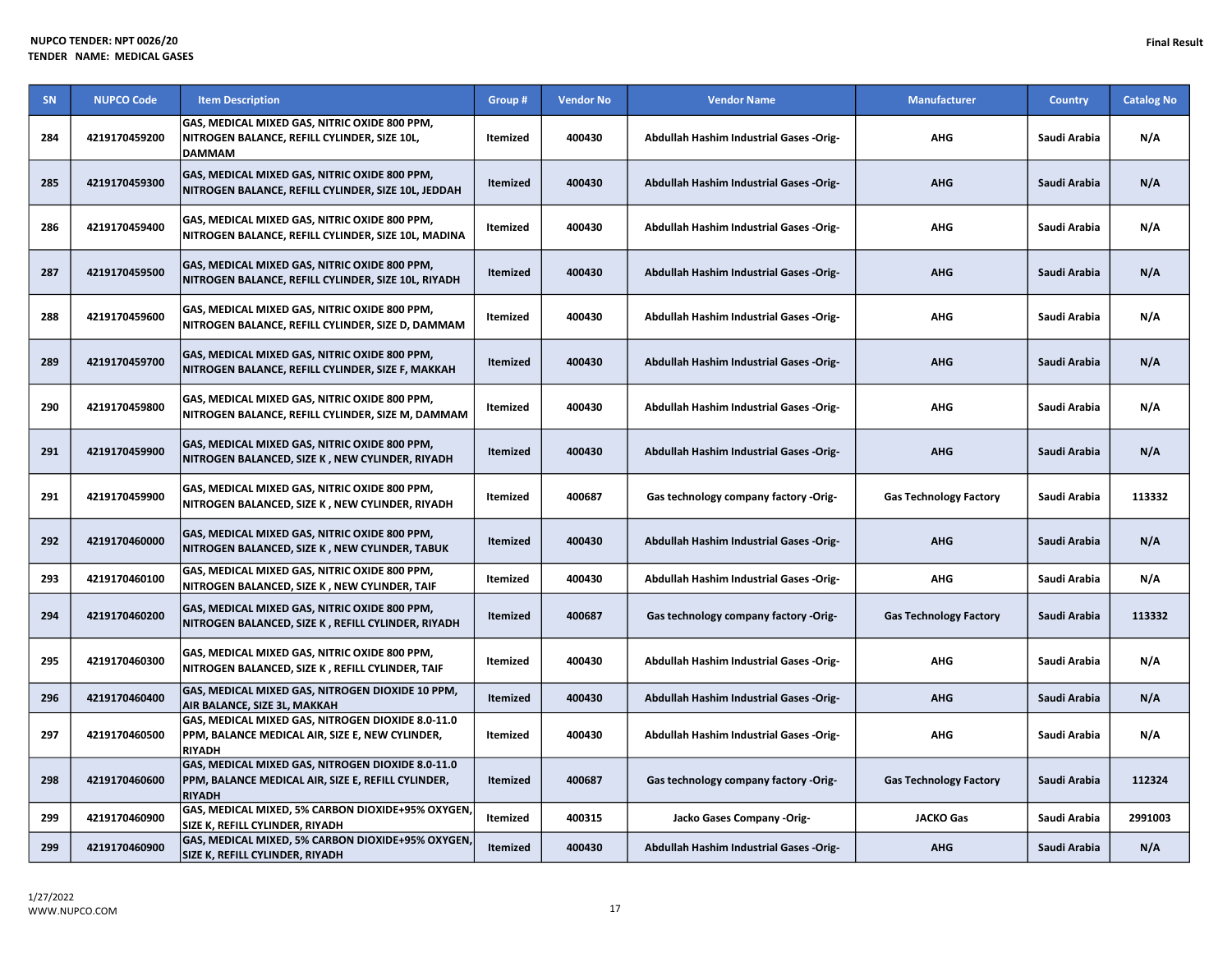| SN  | <b>NUPCO Code</b> | <b>Item Description</b>                                                                                                  | Group #         | <b>Vendor No</b> | <b>Vendor Name</b>                             | <b>Manufacturer</b>           | <b>Country</b> | <b>Catalog No</b> |
|-----|-------------------|--------------------------------------------------------------------------------------------------------------------------|-----------------|------------------|------------------------------------------------|-------------------------------|----------------|-------------------|
| 284 | 4219170459200     | GAS, MEDICAL MIXED GAS, NITRIC OXIDE 800 PPM,<br>NITROGEN BALANCE, REFILL CYLINDER, SIZE 10L,<br><b>DAMMAM</b>           | Itemized        | 400430           | Abdullah Hashim Industrial Gases -Orig-        | <b>AHG</b>                    | Saudi Arabia   | N/A               |
| 285 | 4219170459300     | GAS, MEDICAL MIXED GAS, NITRIC OXIDE 800 PPM,<br>NITROGEN BALANCE, REFILL CYLINDER, SIZE 10L, JEDDAH                     | Itemized        | 400430           | Abdullah Hashim Industrial Gases -Orig-        | <b>AHG</b>                    | Saudi Arabia   | N/A               |
| 286 | 4219170459400     | GAS, MEDICAL MIXED GAS, NITRIC OXIDE 800 PPM,<br>NITROGEN BALANCE, REFILL CYLINDER, SIZE 10L, MADINA                     | <b>Itemized</b> | 400430           | Abdullah Hashim Industrial Gases -Orig-        | AHG                           | Saudi Arabia   | N/A               |
| 287 | 4219170459500     | GAS, MEDICAL MIXED GAS, NITRIC OXIDE 800 PPM,<br>NITROGEN BALANCE, REFILL CYLINDER, SIZE 10L, RIYADH                     | Itemized        | 400430           | Abdullah Hashim Industrial Gases -Orig-        | <b>AHG</b>                    | Saudi Arabia   | N/A               |
| 288 | 4219170459600     | GAS, MEDICAL MIXED GAS, NITRIC OXIDE 800 PPM,<br>NITROGEN BALANCE, REFILL CYLINDER, SIZE D, DAMMAM                       | Itemized        | 400430           | Abdullah Hashim Industrial Gases -Orig-        | <b>AHG</b>                    | Saudi Arabia   | N/A               |
| 289 | 4219170459700     | GAS, MEDICAL MIXED GAS, NITRIC OXIDE 800 PPM,<br>NITROGEN BALANCE, REFILL CYLINDER, SIZE F, MAKKAH                       | <b>Itemized</b> | 400430           | <b>Abdullah Hashim Industrial Gases -Orig-</b> | <b>AHG</b>                    | Saudi Arabia   | N/A               |
| 290 | 4219170459800     | GAS, MEDICAL MIXED GAS, NITRIC OXIDE 800 PPM,<br>NITROGEN BALANCE, REFILL CYLINDER, SIZE M, DAMMAM                       | Itemized        | 400430           | Abdullah Hashim Industrial Gases -Orig-        | <b>AHG</b>                    | Saudi Arabia   | N/A               |
| 291 | 4219170459900     | GAS, MEDICAL MIXED GAS, NITRIC OXIDE 800 PPM,<br>NITROGEN BALANCED, SIZE K, NEW CYLINDER, RIYADH                         | Itemized        | 400430           | <b>Abdullah Hashim Industrial Gases -Orig-</b> | <b>AHG</b>                    | Saudi Arabia   | N/A               |
| 291 | 4219170459900     | GAS, MEDICAL MIXED GAS, NITRIC OXIDE 800 PPM,<br>NITROGEN BALANCED, SIZE K, NEW CYLINDER, RIYADH                         | <b>Itemized</b> | 400687           | Gas technology company factory -Orig-          | <b>Gas Technology Factory</b> | Saudi Arabia   | 113332            |
| 292 | 4219170460000     | GAS, MEDICAL MIXED GAS, NITRIC OXIDE 800 PPM,<br>NITROGEN BALANCED, SIZE K, NEW CYLINDER, TABUK                          | <b>Itemized</b> | 400430           | <b>Abdullah Hashim Industrial Gases -Orig-</b> | <b>AHG</b>                    | Saudi Arabia   | N/A               |
| 293 | 4219170460100     | GAS, MEDICAL MIXED GAS, NITRIC OXIDE 800 PPM,<br>NITROGEN BALANCED, SIZE K, NEW CYLINDER, TAIF                           | Itemized        | 400430           | Abdullah Hashim Industrial Gases -Orig-        | AHG                           | Saudi Arabia   | N/A               |
| 294 | 4219170460200     | GAS, MEDICAL MIXED GAS, NITRIC OXIDE 800 PPM,<br>NITROGEN BALANCED, SIZE K, REFILL CYLINDER, RIYADH                      | Itemized        | 400687           | Gas technology company factory -Orig-          | <b>Gas Technology Factory</b> | Saudi Arabia   | 113332            |
| 295 | 4219170460300     | GAS, MEDICAL MIXED GAS, NITRIC OXIDE 800 PPM,<br>NITROGEN BALANCED, SIZE K , REFILL CYLINDER, TAIF                       | Itemized        | 400430           | Abdullah Hashim Industrial Gases -Orig-        | <b>AHG</b>                    | Saudi Arabia   | N/A               |
| 296 | 4219170460400     | GAS, MEDICAL MIXED GAS, NITROGEN DIOXIDE 10 PPM,<br>AIR BALANCE, SIZE 3L, MAKKAH                                         | Itemized        | 400430           | Abdullah Hashim Industrial Gases -Orig-        | <b>AHG</b>                    | Saudi Arabia   | N/A               |
| 297 | 4219170460500     | GAS, MEDICAL MIXED GAS, NITROGEN DIOXIDE 8.0-11.0<br>PPM, BALANCE MEDICAL AIR, SIZE E, NEW CYLINDER,<br><b>RIYADH</b>    | Itemized        | 400430           | Abdullah Hashim Industrial Gases -Orig-        | AHG                           | Saudi Arabia   | N/A               |
| 298 | 4219170460600     | GAS, MEDICAL MIXED GAS, NITROGEN DIOXIDE 8.0-11.0<br>PPM, BALANCE MEDICAL AIR, SIZE E, REFILL CYLINDER,<br><b>RIYADH</b> | Itemized        | 400687           | Gas technology company factory -Orig-          | <b>Gas Technology Factory</b> | Saudi Arabia   | 112324            |
| 299 | 4219170460900     | GAS, MEDICAL MIXED, 5% CARBON DIOXIDE+95% OXYGEN<br>SIZE K, REFILL CYLINDER, RIYADH                                      | Itemized        | 400315           | Jacko Gases Company -Orig-                     | <b>JACKO Gas</b>              | Saudi Arabia   | 2991003           |
| 299 | 4219170460900     | GAS, MEDICAL MIXED, 5% CARBON DIOXIDE+95% OXYGEN<br>SIZE K, REFILL CYLINDER, RIYADH                                      | Itemized        | 400430           | Abdullah Hashim Industrial Gases -Orig-        | <b>AHG</b>                    | Saudi Arabia   | N/A               |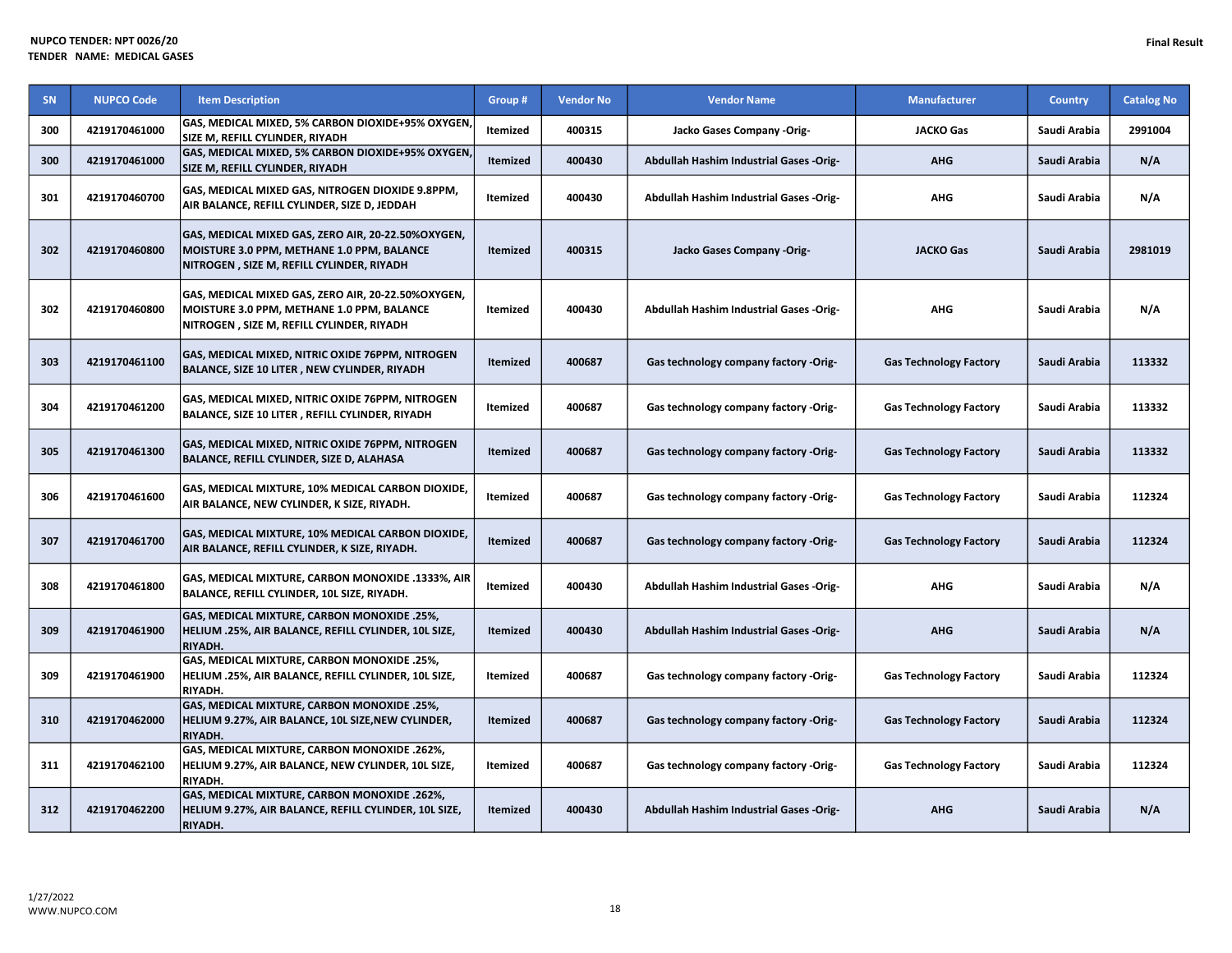| <b>SN</b> | <b>NUPCO Code</b> | <b>Item Description</b>                                                                                                                        | Group #         | <b>Vendor No</b> | <b>Vendor Name</b>                             | Manufacturer                  | <b>Country</b> | <b>Catalog No</b> |
|-----------|-------------------|------------------------------------------------------------------------------------------------------------------------------------------------|-----------------|------------------|------------------------------------------------|-------------------------------|----------------|-------------------|
| 300       | 4219170461000     | GAS, MEDICAL MIXED, 5% CARBON DIOXIDE+95% OXYGEN,<br>SIZE M, REFILL CYLINDER, RIYADH                                                           | Itemized        | 400315           | Jacko Gases Company -Orig-                     | <b>JACKO Gas</b>              | Saudi Arabia   | 2991004           |
| 300       | 4219170461000     | GAS, MEDICAL MIXED, 5% CARBON DIOXIDE+95% OXYGEN,<br>SIZE M, REFILL CYLINDER, RIYADH                                                           | <b>Itemized</b> | 400430           | <b>Abdullah Hashim Industrial Gases -Orig-</b> | <b>AHG</b>                    | Saudi Arabia   | N/A               |
| 301       | 4219170460700     | GAS, MEDICAL MIXED GAS, NITROGEN DIOXIDE 9.8PPM,<br>AIR BALANCE, REFILL CYLINDER, SIZE D, JEDDAH                                               | Itemized        | 400430           | Abdullah Hashim Industrial Gases -Orig-        | <b>AHG</b>                    | Saudi Arabia   | N/A               |
| 302       | 4219170460800     | GAS, MEDICAL MIXED GAS, ZERO AIR, 20-22.50%OXYGEN,<br>MOISTURE 3.0 PPM, METHANE 1.0 PPM, BALANCE<br>NITROGEN, SIZE M, REFILL CYLINDER, RIYADH  | <b>Itemized</b> | 400315           | Jacko Gases Company -Orig-                     | <b>JACKO Gas</b>              | Saudi Arabia   | 2981019           |
| 302       | 4219170460800     | GAS, MEDICAL MIXED GAS, ZERO AIR, 20-22.50%OXYGEN,<br>MOISTURE 3.0 PPM, METHANE 1.0 PPM, BALANCE<br>NITROGEN , SIZE M, REFILL CYLINDER, RIYADH | Itemized        | 400430           | Abdullah Hashim Industrial Gases -Orig-        | <b>AHG</b>                    | Saudi Arabia   | N/A               |
| 303       | 4219170461100     | GAS, MEDICAL MIXED, NITRIC OXIDE 76PPM, NITROGEN<br>BALANCE, SIZE 10 LITER , NEW CYLINDER, RIYADH                                              | <b>Itemized</b> | 400687           | Gas technology company factory -Orig-          | <b>Gas Technology Factory</b> | Saudi Arabia   | 113332            |
| 304       | 4219170461200     | GAS, MEDICAL MIXED, NITRIC OXIDE 76PPM, NITROGEN<br>BALANCE, SIZE 10 LITER, REFILL CYLINDER, RIYADH                                            | Itemized        | 400687           | Gas technology company factory -Orig-          | <b>Gas Technology Factory</b> | Saudi Arabia   | 113332            |
| 305       | 4219170461300     | <b>GAS, MEDICAL MIXED, NITRIC OXIDE 76PPM, NITROGEN</b><br>BALANCE, REFILL CYLINDER, SIZE D, ALAHASA                                           | <b>Itemized</b> | 400687           | Gas technology company factory -Orig-          | <b>Gas Technology Factory</b> | Saudi Arabia   | 113332            |
| 306       | 4219170461600     | GAS, MEDICAL MIXTURE, 10% MEDICAL CARBON DIOXIDE,<br>AIR BALANCE, NEW CYLINDER, K SIZE, RIYADH.                                                | Itemized        | 400687           | Gas technology company factory -Orig-          | <b>Gas Technology Factory</b> | Saudi Arabia   | 112324            |
| 307       | 4219170461700     | GAS, MEDICAL MIXTURE, 10% MEDICAL CARBON DIOXIDE,<br>AIR BALANCE, REFILL CYLINDER, K SIZE, RIYADH.                                             | <b>Itemized</b> | 400687           | Gas technology company factory -Orig-          | <b>Gas Technology Factory</b> | Saudi Arabia   | 112324            |
| 308       | 4219170461800     | GAS, MEDICAL MIXTURE, CARBON MONOXIDE .1333%, AIR<br>BALANCE, REFILL CYLINDER, 10L SIZE, RIYADH.                                               | Itemized        | 400430           | <b>Abdullah Hashim Industrial Gases -Orig-</b> | <b>AHG</b>                    | Saudi Arabia   | N/A               |
| 309       | 4219170461900     | GAS, MEDICAL MIXTURE, CARBON MONOXIDE .25%,<br>HELIUM .25%, AIR BALANCE, REFILL CYLINDER, 10L SIZE,<br><b>RIYADH.</b>                          | <b>Itemized</b> | 400430           | Abdullah Hashim Industrial Gases -Orig-        | <b>AHG</b>                    | Saudi Arabia   | N/A               |
| 309       | 4219170461900     | <b>GAS, MEDICAL MIXTURE, CARBON MONOXIDE .25%,</b><br>HELIUM .25%, AIR BALANCE, REFILL CYLINDER, 10L SIZE,<br><b>RIYADH.</b>                   | Itemized        | 400687           | Gas technology company factory -Orig-          | <b>Gas Technology Factory</b> | Saudi Arabia   | 112324            |
| 310       | 4219170462000     | <b>GAS, MEDICAL MIXTURE, CARBON MONOXIDE .25%,</b><br>HELIUM 9.27%, AIR BALANCE, 10L SIZE, NEW CYLINDER,<br><b>RIYADH.</b>                     | <b>Itemized</b> | 400687           | Gas technology company factory -Orig-          | <b>Gas Technology Factory</b> | Saudi Arabia   | 112324            |
| 311       | 4219170462100     | <b>GAS, MEDICAL MIXTURE, CARBON MONOXIDE .262%,</b><br>HELIUM 9.27%, AIR BALANCE, NEW CYLINDER, 10L SIZE,<br><b>RIYADH.</b>                    | Itemized        | 400687           | Gas technology company factory -Orig-          | <b>Gas Technology Factory</b> | Saudi Arabia   | 112324            |
| 312       | 4219170462200     | <b>GAS, MEDICAL MIXTURE, CARBON MONOXIDE .262%,</b><br>HELIUM 9.27%, AIR BALANCE, REFILL CYLINDER, 10L SIZE,<br><b>RIYADH.</b>                 | <b>Itemized</b> | 400430           | Abdullah Hashim Industrial Gases -Orig-        | <b>AHG</b>                    | Saudi Arabia   | N/A               |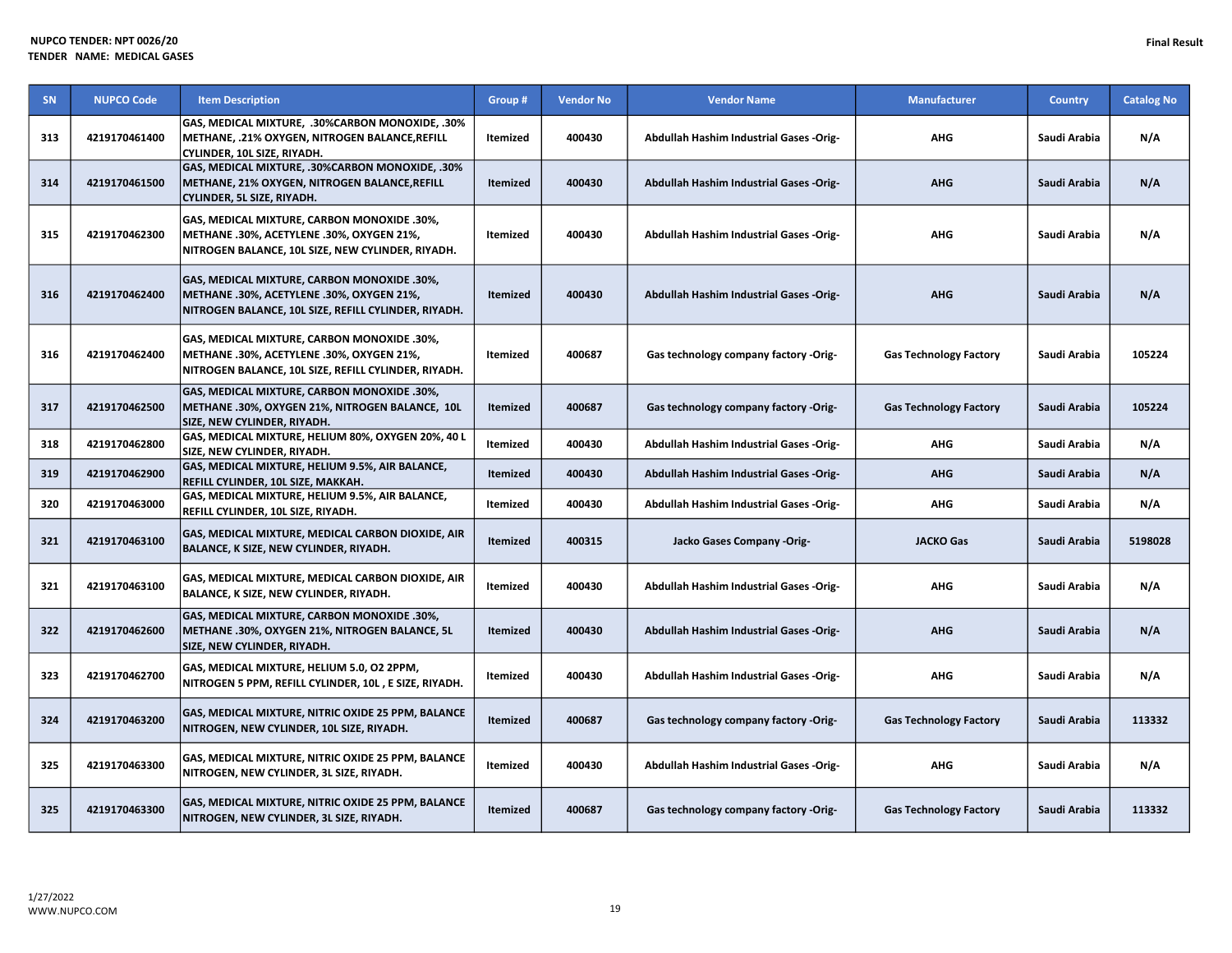| SN  | <b>NUPCO Code</b> | <b>Item Description</b>                                                                                                                          | Group #         | <b>Vendor No</b> | <b>Vendor Name</b>                             | <b>Manufacturer</b>           | <b>Country</b> | <b>Catalog No</b> |
|-----|-------------------|--------------------------------------------------------------------------------------------------------------------------------------------------|-----------------|------------------|------------------------------------------------|-------------------------------|----------------|-------------------|
| 313 | 4219170461400     | GAS, MEDICAL MIXTURE, .30%CARBON MONOXIDE, .30%<br>METHANE, .21% OXYGEN, NITROGEN BALANCE, REFILL<br>CYLINDER, 10L SIZE, RIYADH.                 | Itemized        | 400430           | Abdullah Hashim Industrial Gases -Orig-        | <b>AHG</b>                    | Saudi Arabia   | N/A               |
| 314 | 4219170461500     | GAS, MEDICAL MIXTURE, .30%CARBON MONOXIDE, .30%<br>METHANE, 21% OXYGEN, NITROGEN BALANCE, REFILL<br>CYLINDER, 5L SIZE, RIYADH.                   | <b>Itemized</b> | 400430           | Abdullah Hashim Industrial Gases -Orig-        | <b>AHG</b>                    | Saudi Arabia   | N/A               |
| 315 | 4219170462300     | GAS, MEDICAL MIXTURE, CARBON MONOXIDE .30%,<br>METHANE .30%, ACETYLENE .30%, OXYGEN 21%,<br>NITROGEN BALANCE, 10L SIZE, NEW CYLINDER, RIYADH.    | Itemized        | 400430           | Abdullah Hashim Industrial Gases -Orig-        | <b>AHG</b>                    | Saudi Arabia   | N/A               |
| 316 | 4219170462400     | GAS, MEDICAL MIXTURE, CARBON MONOXIDE .30%,<br>METHANE .30%, ACETYLENE .30%, OXYGEN 21%,<br>NITROGEN BALANCE, 10L SIZE, REFILL CYLINDER, RIYADH. | <b>Itemized</b> | 400430           | Abdullah Hashim Industrial Gases -Orig-        | <b>AHG</b>                    | Saudi Arabia   | N/A               |
| 316 | 4219170462400     | GAS, MEDICAL MIXTURE, CARBON MONOXIDE .30%,<br>METHANE .30%, ACETYLENE .30%, OXYGEN 21%,<br>NITROGEN BALANCE, 10L SIZE, REFILL CYLINDER, RIYADH. | <b>Itemized</b> | 400687           | Gas technology company factory -Orig-          | <b>Gas Technology Factory</b> | Saudi Arabia   | 105224            |
| 317 | 4219170462500     | GAS, MEDICAL MIXTURE, CARBON MONOXIDE .30%,<br>METHANE .30%, OXYGEN 21%, NITROGEN BALANCE, 10L<br>SIZE, NEW CYLINDER, RIYADH.                    | <b>Itemized</b> | 400687           | Gas technology company factory -Orig-          | <b>Gas Technology Factory</b> | Saudi Arabia   | 105224            |
| 318 | 4219170462800     | GAS, MEDICAL MIXTURE, HELIUM 80%, OXYGEN 20%, 40 L<br>SIZE, NEW CYLINDER, RIYADH.                                                                | Itemized        | 400430           | Abdullah Hashim Industrial Gases -Orig-        | <b>AHG</b>                    | Saudi Arabia   | N/A               |
| 319 | 4219170462900     | GAS, MEDICAL MIXTURE, HELIUM 9.5%, AIR BALANCE,<br>REFILL CYLINDER, 10L SIZE, MAKKAH.                                                            | Itemized        | 400430           | Abdullah Hashim Industrial Gases -Orig-        | <b>AHG</b>                    | Saudi Arabia   | N/A               |
| 320 | 4219170463000     | GAS, MEDICAL MIXTURE, HELIUM 9.5%, AIR BALANCE,<br>REFILL CYLINDER, 10L SIZE, RIYADH.                                                            | Itemized        | 400430           | <b>Abdullah Hashim Industrial Gases -Orig-</b> | <b>AHG</b>                    | Saudi Arabia   | N/A               |
| 321 | 4219170463100     | GAS, MEDICAL MIXTURE, MEDICAL CARBON DIOXIDE, AIR<br>BALANCE, K SIZE, NEW CYLINDER, RIYADH.                                                      | <b>Itemized</b> | 400315           | Jacko Gases Company -Orig-                     | <b>JACKO Gas</b>              | Saudi Arabia   | 5198028           |
| 321 | 4219170463100     | GAS, MEDICAL MIXTURE, MEDICAL CARBON DIOXIDE, AIR<br>BALANCE, K SIZE, NEW CYLINDER, RIYADH.                                                      | Itemized        | 400430           | <b>Abdullah Hashim Industrial Gases -Orig-</b> | <b>AHG</b>                    | Saudi Arabia   | N/A               |
| 322 | 4219170462600     | GAS, MEDICAL MIXTURE, CARBON MONOXIDE .30%,<br>METHANE .30%, OXYGEN 21%, NITROGEN BALANCE, 5L<br>SIZE, NEW CYLINDER, RIYADH.                     | <b>Itemized</b> | 400430           | Abdullah Hashim Industrial Gases -Orig-        | <b>AHG</b>                    | Saudi Arabia   | N/A               |
| 323 | 4219170462700     | GAS, MEDICAL MIXTURE, HELIUM 5.0, O2 2PPM,<br>NITROGEN 5 PPM, REFILL CYLINDER, 10L, E SIZE, RIYADH.                                              | Itemized        | 400430           | Abdullah Hashim Industrial Gases -Orig-        | <b>AHG</b>                    | Saudi Arabia   | N/A               |
| 324 | 4219170463200     | GAS, MEDICAL MIXTURE, NITRIC OXIDE 25 PPM, BALANCE<br>NITROGEN, NEW CYLINDER, 10L SIZE, RIYADH.                                                  | <b>Itemized</b> | 400687           | Gas technology company factory -Orig-          | <b>Gas Technology Factory</b> | Saudi Arabia   | 113332            |
| 325 | 4219170463300     | GAS, MEDICAL MIXTURE, NITRIC OXIDE 25 PPM, BALANCE<br>NITROGEN, NEW CYLINDER, 3L SIZE, RIYADH.                                                   | Itemized        | 400430           | Abdullah Hashim Industrial Gases -Orig-        | AHG                           | Saudi Arabia   | N/A               |
| 325 | 4219170463300     | GAS, MEDICAL MIXTURE, NITRIC OXIDE 25 PPM, BALANCE<br>NITROGEN, NEW CYLINDER, 3L SIZE, RIYADH.                                                   | Itemized        | 400687           | Gas technology company factory -Orig-          | <b>Gas Technology Factory</b> | Saudi Arabia   | 113332            |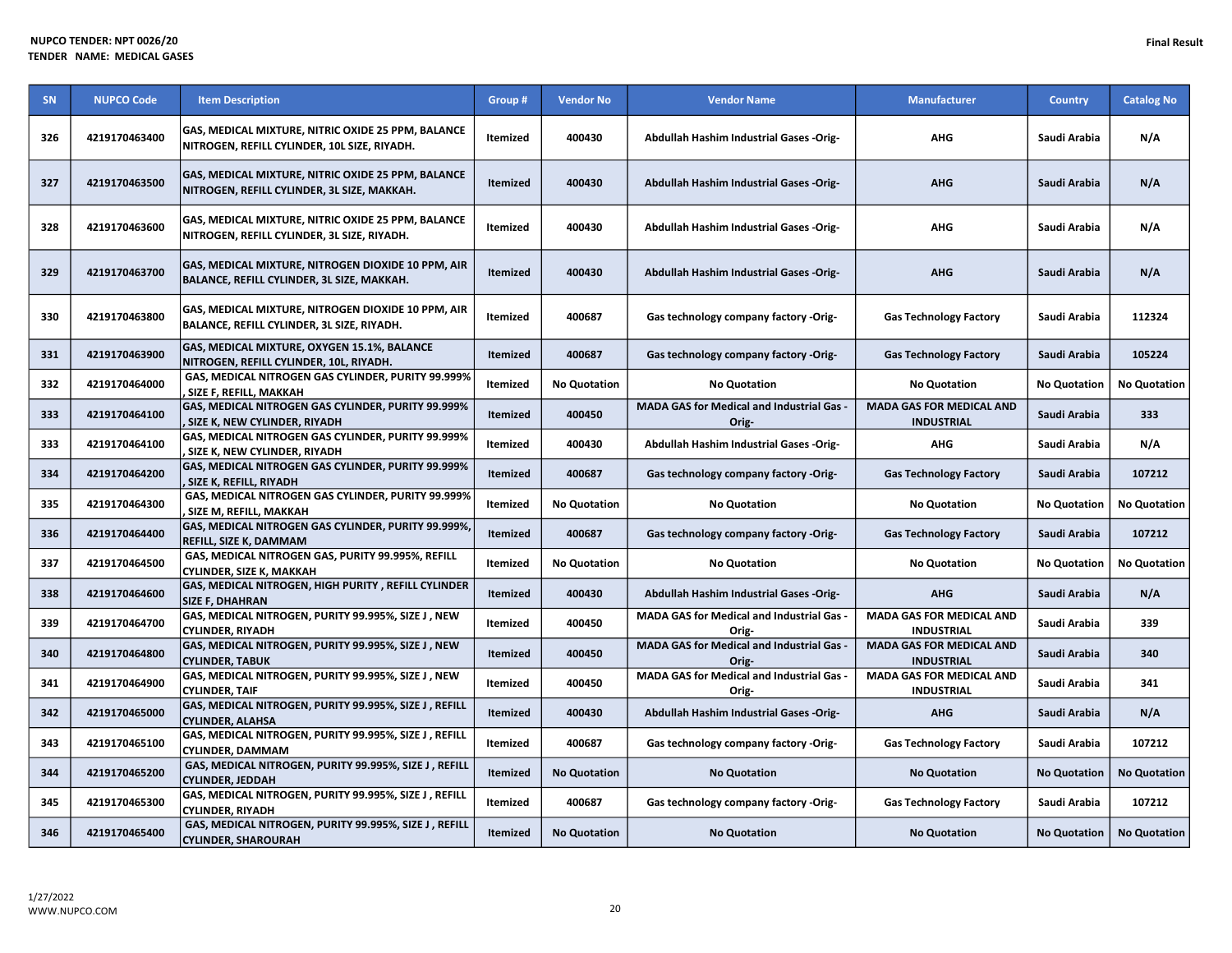| SN  | <b>NUPCO Code</b> | <b>Item Description</b>                                                                            | Group #         | <b>Vendor No</b>    | <b>Vendor Name</b>                                      | <b>Manufacturer</b>                                  | <b>Country</b>      | <b>Catalog No</b>   |
|-----|-------------------|----------------------------------------------------------------------------------------------------|-----------------|---------------------|---------------------------------------------------------|------------------------------------------------------|---------------------|---------------------|
| 326 | 4219170463400     | GAS, MEDICAL MIXTURE, NITRIC OXIDE 25 PPM, BALANCE<br>NITROGEN, REFILL CYLINDER, 10L SIZE, RIYADH. | <b>Itemized</b> | 400430              | Abdullah Hashim Industrial Gases -Orig-                 | <b>AHG</b>                                           | Saudi Arabia        | N/A                 |
| 327 | 4219170463500     | GAS, MEDICAL MIXTURE, NITRIC OXIDE 25 PPM, BALANCE<br>NITROGEN, REFILL CYLINDER, 3L SIZE, MAKKAH.  | Itemized        | 400430              | Abdullah Hashim Industrial Gases -Orig-                 | <b>AHG</b>                                           | Saudi Arabia        | N/A                 |
| 328 | 4219170463600     | GAS, MEDICAL MIXTURE, NITRIC OXIDE 25 PPM, BALANCE<br>NITROGEN, REFILL CYLINDER, 3L SIZE, RIYADH.  | <b>Itemized</b> | 400430              | Abdullah Hashim Industrial Gases -Orig-                 | <b>AHG</b>                                           | Saudi Arabia        | N/A                 |
| 329 | 4219170463700     | GAS, MEDICAL MIXTURE, NITROGEN DIOXIDE 10 PPM, AIR<br>BALANCE, REFILL CYLINDER, 3L SIZE, MAKKAH.   | Itemized        | 400430              | Abdullah Hashim Industrial Gases -Orig-                 | <b>AHG</b>                                           | Saudi Arabia        | N/A                 |
| 330 | 4219170463800     | GAS, MEDICAL MIXTURE, NITROGEN DIOXIDE 10 PPM, AIR<br>BALANCE, REFILL CYLINDER, 3L SIZE, RIYADH.   | Itemized        | 400687              | Gas technology company factory -Orig-                   | <b>Gas Technology Factory</b>                        | Saudi Arabia        | 112324              |
| 331 | 4219170463900     | GAS, MEDICAL MIXTURE, OXYGEN 15.1%, BALANCE<br>NITROGEN, REFILL CYLINDER, 10L, RIYADH.             | <b>Itemized</b> | 400687              | Gas technology company factory -Orig-                   | <b>Gas Technology Factory</b>                        | Saudi Arabia        | 105224              |
| 332 | 4219170464000     | GAS, MEDICAL NITROGEN GAS CYLINDER, PURITY 99.999%<br>SIZE F, REFILL, MAKKAH                       | Itemized        | <b>No Quotation</b> | <b>No Quotation</b>                                     | <b>No Quotation</b>                                  | <b>No Quotation</b> | <b>No Quotation</b> |
| 333 | 4219170464100     | GAS, MEDICAL NITROGEN GAS CYLINDER, PURITY 99.999%<br>SIZE K, NEW CYLINDER, RIYADH                 | <b>Itemized</b> | 400450              | MADA GAS for Medical and Industrial Gas -<br>Orig-      | <b>MADA GAS FOR MEDICAL AND</b><br><b>INDUSTRIAL</b> | Saudi Arabia        | 333                 |
| 333 | 4219170464100     | GAS, MEDICAL NITROGEN GAS CYLINDER, PURITY 99.999%<br>, SIZE K, NEW CYLINDER, RIYADH               | Itemized        | 400430              | Abdullah Hashim Industrial Gases -Orig-                 | <b>AHG</b>                                           | Saudi Arabia        | N/A                 |
| 334 | 4219170464200     | GAS, MEDICAL NITROGEN GAS CYLINDER, PURITY 99.999%<br>SIZE K, REFILL, RIYADH                       | Itemized        | 400687              | Gas technology company factory -Orig-                   | <b>Gas Technology Factory</b>                        | Saudi Arabia        | 107212              |
| 335 | 4219170464300     | GAS, MEDICAL NITROGEN GAS CYLINDER, PURITY 99.999%<br>SIZE M, REFILL, MAKKAH                       | Itemized        | <b>No Quotation</b> | <b>No Quotation</b>                                     | <b>No Quotation</b>                                  | <b>No Quotation</b> | <b>No Quotation</b> |
| 336 | 4219170464400     | GAS, MEDICAL NITROGEN GAS CYLINDER, PURITY 99.999%,<br>REFILL, SIZE K, DAMMAM                      | Itemized        | 400687              | Gas technology company factory -Orig-                   | <b>Gas Technology Factory</b>                        | Saudi Arabia        | 107212              |
| 337 | 4219170464500     | GAS, MEDICAL NITROGEN GAS, PURITY 99.995%, REFILL<br>CYLINDER, SIZE K, MAKKAH                      | <b>Itemized</b> | <b>No Quotation</b> | <b>No Quotation</b>                                     | <b>No Quotation</b>                                  | <b>No Quotation</b> | <b>No Quotation</b> |
| 338 | 4219170464600     | GAS, MEDICAL NITROGEN, HIGH PURITY, REFILL CYLINDER<br><b>SIZE F, DHAHRAN</b>                      | Itemized        | 400430              | <b>Abdullah Hashim Industrial Gases -Orig-</b>          | <b>AHG</b>                                           | Saudi Arabia        | N/A                 |
| 339 | 4219170464700     | GAS, MEDICAL NITROGEN, PURITY 99.995%, SIZE J, NEW<br><b>CYLINDER, RIYADH</b>                      | Itemized        | 400450              | <b>MADA GAS for Medical and Industrial Gas</b><br>Orig- | <b>MADA GAS FOR MEDICAL AND</b><br><b>INDUSTRIAL</b> | Saudi Arabia        | 339                 |
| 340 | 4219170464800     | GAS, MEDICAL NITROGEN, PURITY 99.995%, SIZE J, NEW<br><b>CYLINDER, TABUK</b>                       | <b>Itemized</b> | 400450              | MADA GAS for Medical and Industrial Gas -<br>Orig-      | <b>MADA GAS FOR MEDICAL AND</b><br><b>INDUSTRIAL</b> | Saudi Arabia        | 340                 |
| 341 | 4219170464900     | GAS, MEDICAL NITROGEN, PURITY 99.995%, SIZE J, NEW<br><b>CYLINDER, TAIF</b>                        | Itemized        | 400450              | MADA GAS for Medical and Industrial Gas<br>Orig-        | <b>MADA GAS FOR MEDICAL AND</b><br><b>INDUSTRIAL</b> | Saudi Arabia        | 341                 |
| 342 | 4219170465000     | GAS, MEDICAL NITROGEN, PURITY 99.995%, SIZE J, REFILL<br><b>CYLINDER, ALAHSA</b>                   | <b>Itemized</b> | 400430              | Abdullah Hashim Industrial Gases -Orig-                 | <b>AHG</b>                                           | Saudi Arabia        | N/A                 |
| 343 | 4219170465100     | GAS, MEDICAL NITROGEN, PURITY 99.995%, SIZE J, REFILL<br><b>CYLINDER, DAMMAM</b>                   | Itemized        | 400687              | Gas technology company factory -Orig-                   | <b>Gas Technology Factory</b>                        | Saudi Arabia        | 107212              |
| 344 | 4219170465200     | GAS, MEDICAL NITROGEN, PURITY 99.995%, SIZE J, REFILL<br><b>CYLINDER, JEDDAH</b>                   | Itemized        | <b>No Quotation</b> | <b>No Quotation</b>                                     | <b>No Quotation</b>                                  | <b>No Quotation</b> | <b>No Quotation</b> |
| 345 | 4219170465300     | GAS, MEDICAL NITROGEN, PURITY 99.995%, SIZE J, REFILL<br><b>CYLINDER, RIYADH</b>                   | Itemized        | 400687              | Gas technology company factory -Orig-                   | <b>Gas Technology Factory</b>                        | Saudi Arabia        | 107212              |
| 346 | 4219170465400     | GAS, MEDICAL NITROGEN, PURITY 99.995%, SIZE J, REFILL<br><b>CYLINDER, SHAROURAH</b>                | Itemized        | <b>No Quotation</b> | <b>No Quotation</b>                                     | <b>No Quotation</b>                                  | <b>No Quotation</b> | <b>No Quotation</b> |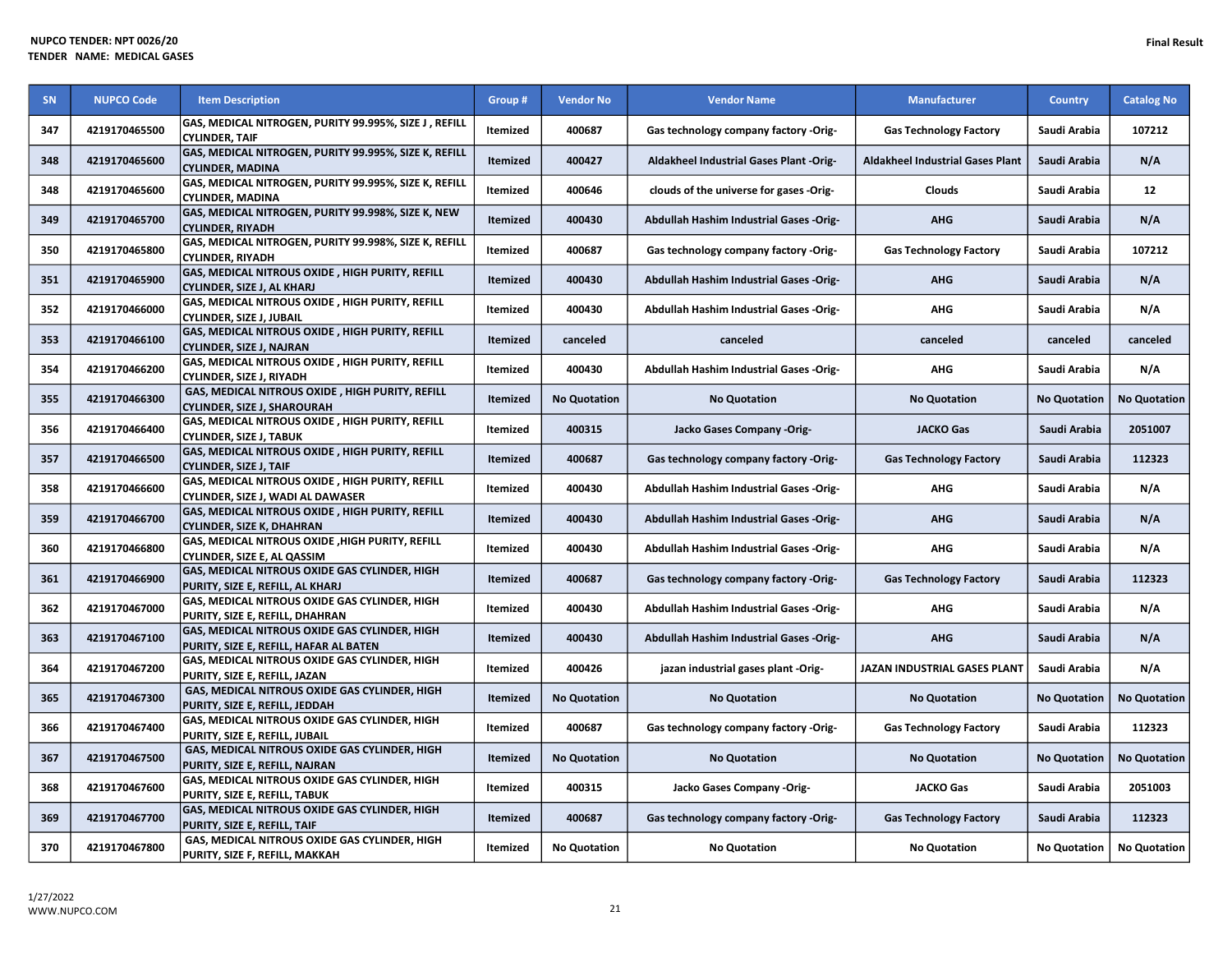| <b>SN</b> | <b>NUPCO Code</b> | <b>Item Description</b>                                                                 | Group #         | <b>Vendor No</b>    | <b>Vendor Name</b>                             | <b>Manufacturer</b>                     | <b>Country</b>      | <b>Catalog No</b>   |
|-----------|-------------------|-----------------------------------------------------------------------------------------|-----------------|---------------------|------------------------------------------------|-----------------------------------------|---------------------|---------------------|
| 347       | 4219170465500     | GAS, MEDICAL NITROGEN, PURITY 99.995%, SIZE J, REFILL<br><b>CYLINDER, TAIF</b>          | Itemized        | 400687              | Gas technology company factory -Orig-          | <b>Gas Technology Factory</b>           | Saudi Arabia        | 107212              |
| 348       | 4219170465600     | GAS, MEDICAL NITROGEN, PURITY 99.995%, SIZE K, REFILL<br><b>CYLINDER, MADINA</b>        | <b>Itemized</b> | 400427              | Aldakheel Industrial Gases Plant -Orig-        | <b>Aldakheel Industrial Gases Plant</b> | Saudi Arabia        | N/A                 |
| 348       | 4219170465600     | GAS, MEDICAL NITROGEN, PURITY 99.995%, SIZE K, REFILL<br><b>CYLINDER, MADINA</b>        | Itemized        | 400646              | clouds of the universe for gases -Orig-        | Clouds                                  | Saudi Arabia        | 12                  |
| 349       | 4219170465700     | GAS, MEDICAL NITROGEN, PURITY 99.998%, SIZE K, NEW<br><b>CYLINDER, RIYADH</b>           | Itemized        | 400430              | Abdullah Hashim Industrial Gases -Orig-        | <b>AHG</b>                              | Saudi Arabia        | N/A                 |
| 350       | 4219170465800     | GAS, MEDICAL NITROGEN, PURITY 99.998%, SIZE K, REFILL<br><b>CYLINDER, RIYADH</b>        | Itemized        | 400687              | Gas technology company factory -Orig-          | <b>Gas Technology Factory</b>           | Saudi Arabia        | 107212              |
| 351       | 4219170465900     | GAS, MEDICAL NITROUS OXIDE, HIGH PURITY, REFILL<br>CYLINDER, SIZE J, AL KHARJ           | <b>Itemized</b> | 400430              | <b>Abdullah Hashim Industrial Gases -Orig-</b> | <b>AHG</b>                              | Saudi Arabia        | N/A                 |
| 352       | 4219170466000     | GAS, MEDICAL NITROUS OXIDE, HIGH PURITY, REFILL<br>CYLINDER, SIZE J, JUBAIL             | Itemized        | 400430              | Abdullah Hashim Industrial Gases -Orig-        | AHG                                     | Saudi Arabia        | N/A                 |
| 353       | 4219170466100     | GAS, MEDICAL NITROUS OXIDE, HIGH PURITY, REFILL<br><b>CYLINDER, SIZE J, NAJRAN</b>      | <b>Itemized</b> | canceled            | canceled                                       | canceled                                | canceled            | canceled            |
| 354       | 4219170466200     | GAS, MEDICAL NITROUS OXIDE, HIGH PURITY, REFILL<br>CYLINDER, SIZE J, RIYADH             | Itemized        | 400430              | Abdullah Hashim Industrial Gases -Orig-        | <b>AHG</b>                              | Saudi Arabia        | N/A                 |
| 355       | 4219170466300     | GAS, MEDICAL NITROUS OXIDE, HIGH PURITY, REFILL<br><b>CYLINDER, SIZE J, SHAROURAH</b>   | Itemized        | <b>No Quotation</b> | <b>No Quotation</b>                            | <b>No Quotation</b>                     | <b>No Quotation</b> | <b>No Quotation</b> |
| 356       | 4219170466400     | GAS, MEDICAL NITROUS OXIDE, HIGH PURITY, REFILL<br><b>CYLINDER, SIZE J, TABUK</b>       | Itemized        | 400315              | Jacko Gases Company -Orig-                     | <b>JACKO Gas</b>                        | Saudi Arabia        | 2051007             |
| 357       | 4219170466500     | GAS, MEDICAL NITROUS OXIDE, HIGH PURITY, REFILL<br><b>CYLINDER, SIZE J, TAIF</b>        | <b>Itemized</b> | 400687              | Gas technology company factory -Orig-          | <b>Gas Technology Factory</b>           | Saudi Arabia        | 112323              |
| 358       | 4219170466600     | GAS, MEDICAL NITROUS OXIDE, HIGH PURITY, REFILL<br>CYLINDER, SIZE J, WADI AL DAWASER    | Itemized        | 400430              | Abdullah Hashim Industrial Gases -Orig-        | <b>AHG</b>                              | Saudi Arabia        | N/A                 |
| 359       | 4219170466700     | GAS, MEDICAL NITROUS OXIDE, HIGH PURITY, REFILL<br><b>CYLINDER, SIZE K, DHAHRAN</b>     | Itemized        | 400430              | Abdullah Hashim Industrial Gases -Orig-        | <b>AHG</b>                              | Saudi Arabia        | N/A                 |
| 360       | 4219170466800     | GAS, MEDICAL NITROUS OXIDE, HIGH PURITY, REFILL<br>CYLINDER, SIZE E, AL QASSIM          | Itemized        | 400430              | <b>Abdullah Hashim Industrial Gases -Orig-</b> | <b>AHG</b>                              | Saudi Arabia        | N/A                 |
| 361       | 4219170466900     | GAS, MEDICAL NITROUS OXIDE GAS CYLINDER, HIGH<br>PURITY, SIZE E, REFILL, AL KHARJ       | Itemized        | 400687              | Gas technology company factory -Orig-          | <b>Gas Technology Factory</b>           | Saudi Arabia        | 112323              |
| 362       | 4219170467000     | GAS, MEDICAL NITROUS OXIDE GAS CYLINDER, HIGH<br>PURITY, SIZE E, REFILL, DHAHRAN        | Itemized        | 400430              | <b>Abdullah Hashim Industrial Gases -Orig-</b> | <b>AHG</b>                              | Saudi Arabia        | N/A                 |
| 363       | 4219170467100     | GAS, MEDICAL NITROUS OXIDE GAS CYLINDER, HIGH<br>PURITY, SIZE E, REFILL, HAFAR AL BATEN | <b>Itemized</b> | 400430              | Abdullah Hashim Industrial Gases -Orig-        | <b>AHG</b>                              | Saudi Arabia        | N/A                 |
| 364       | 4219170467200     | GAS, MEDICAL NITROUS OXIDE GAS CYLINDER, HIGH<br>PURITY, SIZE E, REFILL, JAZAN          | Itemized        | 400426              | jazan industrial gases plant -Orig-            | JAZAN INDUSTRIAL GASES PLANT            | Saudi Arabia        | N/A                 |
| 365       | 4219170467300     | GAS, MEDICAL NITROUS OXIDE GAS CYLINDER, HIGH<br>PURITY, SIZE E, REFILL, JEDDAH         | <b>Itemized</b> | <b>No Quotation</b> | <b>No Quotation</b>                            | <b>No Quotation</b>                     | <b>No Quotation</b> | <b>No Quotation</b> |
| 366       | 4219170467400     | GAS, MEDICAL NITROUS OXIDE GAS CYLINDER, HIGH<br>PURITY, SIZE E, REFILL, JUBAIL         | Itemized        | 400687              | Gas technology company factory -Orig-          | <b>Gas Technology Factory</b>           | Saudi Arabia        | 112323              |
| 367       | 4219170467500     | GAS, MEDICAL NITROUS OXIDE GAS CYLINDER, HIGH<br>PURITY, SIZE E, REFILL, NAJRAN         | Itemized        | <b>No Quotation</b> | <b>No Quotation</b>                            | <b>No Quotation</b>                     | <b>No Quotation</b> | <b>No Quotation</b> |
| 368       | 4219170467600     | GAS, MEDICAL NITROUS OXIDE GAS CYLINDER, HIGH<br>PURITY, SIZE E, REFILL, TABUK          | Itemized        | 400315              | Jacko Gases Company -Orig-                     | <b>JACKO Gas</b>                        | Saudi Arabia        | 2051003             |
| 369       | 4219170467700     | GAS, MEDICAL NITROUS OXIDE GAS CYLINDER, HIGH<br>PURITY, SIZE E, REFILL, TAIF           | Itemized        | 400687              | Gas technology company factory -Orig-          | <b>Gas Technology Factory</b>           | Saudi Arabia        | 112323              |
| 370       | 4219170467800     | GAS, MEDICAL NITROUS OXIDE GAS CYLINDER, HIGH<br>PURITY, SIZE F, REFILL, MAKKAH         | Itemized        | <b>No Quotation</b> | <b>No Quotation</b>                            | <b>No Quotation</b>                     | <b>No Quotation</b> | <b>No Quotation</b> |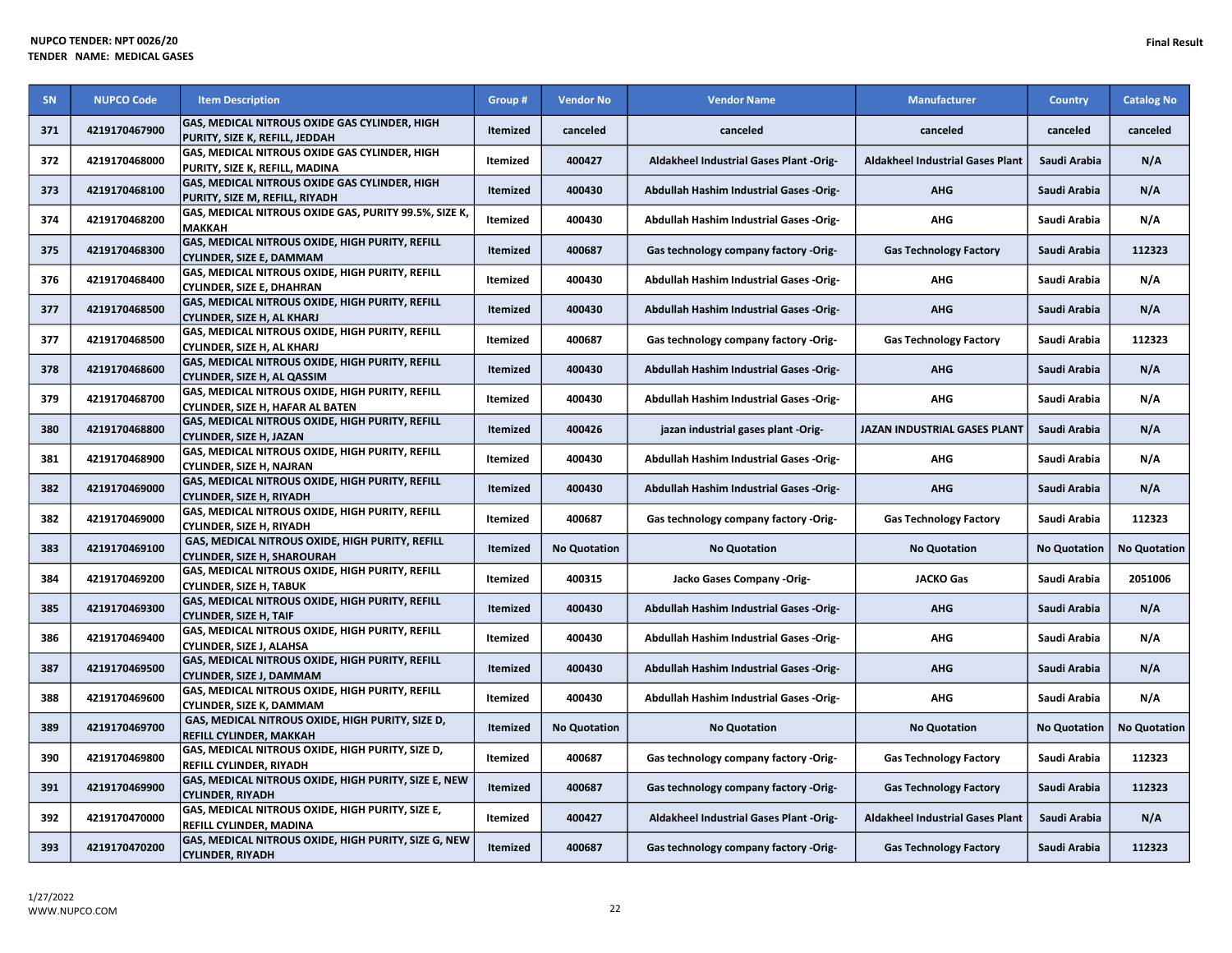| SN  | <b>NUPCO Code</b> | <b>Item Description</b>                                                                     | Group #         | <b>Vendor No</b>                                                                             | <b>Vendor Name</b>                             | <b>Manufacturer</b>                     | <b>Country</b>      | <b>Catalog No</b>   |
|-----|-------------------|---------------------------------------------------------------------------------------------|-----------------|----------------------------------------------------------------------------------------------|------------------------------------------------|-----------------------------------------|---------------------|---------------------|
| 371 | 4219170467900     | GAS, MEDICAL NITROUS OXIDE GAS CYLINDER, HIGH<br>PURITY, SIZE K, REFILL, JEDDAH             | <b>Itemized</b> | canceled                                                                                     | canceled                                       | canceled                                | canceled            | canceled            |
| 372 | 4219170468000     | <b>GAS, MEDICAL NITROUS OXIDE GAS CYLINDER, HIGH</b><br>PURITY, SIZE K, REFILL, MADINA      | Itemized        | 400427<br><b>Aldakheel Industrial Gases Plant</b><br>Aldakheel Industrial Gases Plant -Orig- |                                                | Saudi Arabia                            | N/A                 |                     |
| 373 | 4219170468100     | GAS, MEDICAL NITROUS OXIDE GAS CYLINDER, HIGH<br>PURITY, SIZE M, REFILL, RIYADH             | Itemized        | 400430                                                                                       | Abdullah Hashim Industrial Gases -Orig-        | <b>AHG</b>                              | Saudi Arabia        | N/A                 |
| 374 | 4219170468200     | GAS, MEDICAL NITROUS OXIDE GAS, PURITY 99.5%, SIZE K,<br><b>MAKKAH</b>                      | Itemized        | 400430                                                                                       | Abdullah Hashim Industrial Gases -Orig-        | <b>AHG</b>                              | Saudi Arabia        | N/A                 |
| 375 | 4219170468300     | GAS, MEDICAL NITROUS OXIDE, HIGH PURITY, REFILL<br><b>CYLINDER, SIZE E, DAMMAM</b>          | Itemized        | 400687                                                                                       | Gas technology company factory -Orig-          | <b>Gas Technology Factory</b>           | Saudi Arabia        | 112323              |
| 376 | 4219170468400     | GAS, MEDICAL NITROUS OXIDE, HIGH PURITY, REFILL<br><b>CYLINDER, SIZE E, DHAHRAN</b>         | Itemized        | 400430                                                                                       | Abdullah Hashim Industrial Gases -Orig-        | AHG                                     | Saudi Arabia        | N/A                 |
| 377 | 4219170468500     | <b>GAS, MEDICAL NITROUS OXIDE, HIGH PURITY, REFILL</b><br><b>CYLINDER, SIZE H, AL KHARJ</b> | Itemized        | 400430                                                                                       | Abdullah Hashim Industrial Gases -Orig-        | <b>AHG</b>                              | Saudi Arabia        | N/A                 |
| 377 | 4219170468500     | GAS, MEDICAL NITROUS OXIDE, HIGH PURITY, REFILL<br>CYLINDER, SIZE H, AL KHARJ               | Itemized        | 400687                                                                                       | Gas technology company factory -Orig-          | <b>Gas Technology Factory</b>           | Saudi Arabia        | 112323              |
| 378 | 4219170468600     | GAS, MEDICAL NITROUS OXIDE, HIGH PURITY, REFILL<br>CYLINDER, SIZE H, AL QASSIM              | <b>Itemized</b> | 400430                                                                                       | Abdullah Hashim Industrial Gases -Orig-        | <b>AHG</b>                              | Saudi Arabia        | N/A                 |
| 379 | 4219170468700     | <b>GAS, MEDICAL NITROUS OXIDE, HIGH PURITY, REFILL</b><br>CYLINDER, SIZE H, HAFAR AL BATEN  | Itemized        | 400430                                                                                       | Abdullah Hashim Industrial Gases -Orig-        | <b>AHG</b>                              | Saudi Arabia        | N/A                 |
| 380 | 4219170468800     | GAS, MEDICAL NITROUS OXIDE, HIGH PURITY, REFILL<br><b>CYLINDER, SIZE H, JAZAN</b>           | Itemized        | 400426                                                                                       | jazan industrial gases plant -Orig-            | JAZAN INDUSTRIAL GASES PLANT            | Saudi Arabia        | N/A                 |
| 381 | 4219170468900     | GAS, MEDICAL NITROUS OXIDE, HIGH PURITY, REFILL<br>CYLINDER, SIZE H, NAJRAN                 | Itemized        | 400430                                                                                       | Abdullah Hashim Industrial Gases -Orig-        | <b>AHG</b>                              | Saudi Arabia        | N/A                 |
| 382 | 4219170469000     | GAS, MEDICAL NITROUS OXIDE, HIGH PURITY, REFILL<br><b>CYLINDER, SIZE H, RIYADH</b>          | <b>Itemized</b> | 400430                                                                                       | <b>Abdullah Hashim Industrial Gases -Orig-</b> | <b>AHG</b>                              | Saudi Arabia        | N/A                 |
| 382 | 4219170469000     | GAS, MEDICAL NITROUS OXIDE, HIGH PURITY, REFILL<br>CYLINDER, SIZE H, RIYADH                 | Itemized        | 400687                                                                                       | Gas technology company factory -Orig-          | <b>Gas Technology Factory</b>           | Saudi Arabia        | 112323              |
| 383 | 4219170469100     | GAS, MEDICAL NITROUS OXIDE, HIGH PURITY, REFILL<br><b>CYLINDER, SIZE H, SHAROURAH</b>       | <b>Itemized</b> | <b>No Quotation</b>                                                                          | <b>No Quotation</b>                            | <b>No Quotation</b>                     | <b>No Quotation</b> | <b>No Quotation</b> |
| 384 | 4219170469200     | GAS, MEDICAL NITROUS OXIDE, HIGH PURITY, REFILL<br>CYLINDER. SIZE H. TABUK                  | Itemized        | 400315                                                                                       | Jacko Gases Company -Orig-                     | <b>JACKO Gas</b>                        | Saudi Arabia        | 2051006             |
| 385 | 4219170469300     | GAS, MEDICAL NITROUS OXIDE, HIGH PURITY, REFILL<br><b>CYLINDER, SIZE H, TAIF</b>            | Itemized        | 400430                                                                                       | Abdullah Hashim Industrial Gases -Orig-        | <b>AHG</b>                              | Saudi Arabia        | N/A                 |
| 386 | 4219170469400     | GAS, MEDICAL NITROUS OXIDE, HIGH PURITY, REFILL<br>CYLINDER, SIZE J, ALAHSA                 | Itemized        | 400430                                                                                       | <b>Abdullah Hashim Industrial Gases -Orig-</b> | AHG                                     | Saudi Arabia        | N/A                 |
| 387 | 4219170469500     | GAS, MEDICAL NITROUS OXIDE, HIGH PURITY, REFILL<br><b>CYLINDER, SIZE J, DAMMAM</b>          | <b>Itemized</b> | 400430                                                                                       | Abdullah Hashim Industrial Gases -Orig-        | <b>AHG</b>                              | Saudi Arabia        | N/A                 |
| 388 | 4219170469600     | <b>GAS, MEDICAL NITROUS OXIDE, HIGH PURITY, REFILL</b><br>CYLINDER, SIZE K, DAMMAM          | Itemized        | 400430                                                                                       | <b>Abdullah Hashim Industrial Gases -Orig-</b> | <b>AHG</b>                              | Saudi Arabia        | N/A                 |
| 389 | 4219170469700     | GAS, MEDICAL NITROUS OXIDE, HIGH PURITY, SIZE D,<br><b>REFILL CYLINDER. MAKKAH</b>          | <b>Itemized</b> | <b>No Quotation</b>                                                                          | <b>No Quotation</b>                            | <b>No Quotation</b>                     | <b>No Quotation</b> | <b>No Quotation</b> |
| 390 | 4219170469800     | GAS, MEDICAL NITROUS OXIDE, HIGH PURITY, SIZE D,<br><b>REFILL CYLINDER, RIYADH</b>          | Itemized        | 400687                                                                                       | Gas technology company factory -Orig-          | <b>Gas Technology Factory</b>           | Saudi Arabia        | 112323              |
| 391 | 4219170469900     | GAS, MEDICAL NITROUS OXIDE, HIGH PURITY, SIZE E, NEW<br><b>CYLINDER. RIYADH</b>             | <b>Itemized</b> | 400687                                                                                       | Gas technology company factory -Orig-          | <b>Gas Technology Factory</b>           | Saudi Arabia        | 112323              |
| 392 | 4219170470000     | GAS, MEDICAL NITROUS OXIDE, HIGH PURITY, SIZE E,<br>REFILL CYLINDER, MADINA                 | Itemized        | 400427                                                                                       | Aldakheel Industrial Gases Plant -Orig-        | <b>Aldakheel Industrial Gases Plant</b> | Saudi Arabia        | N/A                 |
| 393 | 4219170470200     | GAS, MEDICAL NITROUS OXIDE, HIGH PURITY, SIZE G, NEW<br><b>CYLINDER, RIYADH</b>             | Itemized        | 400687                                                                                       | Gas technology company factory -Orig-          | <b>Gas Technology Factory</b>           | Saudi Arabia        | 112323              |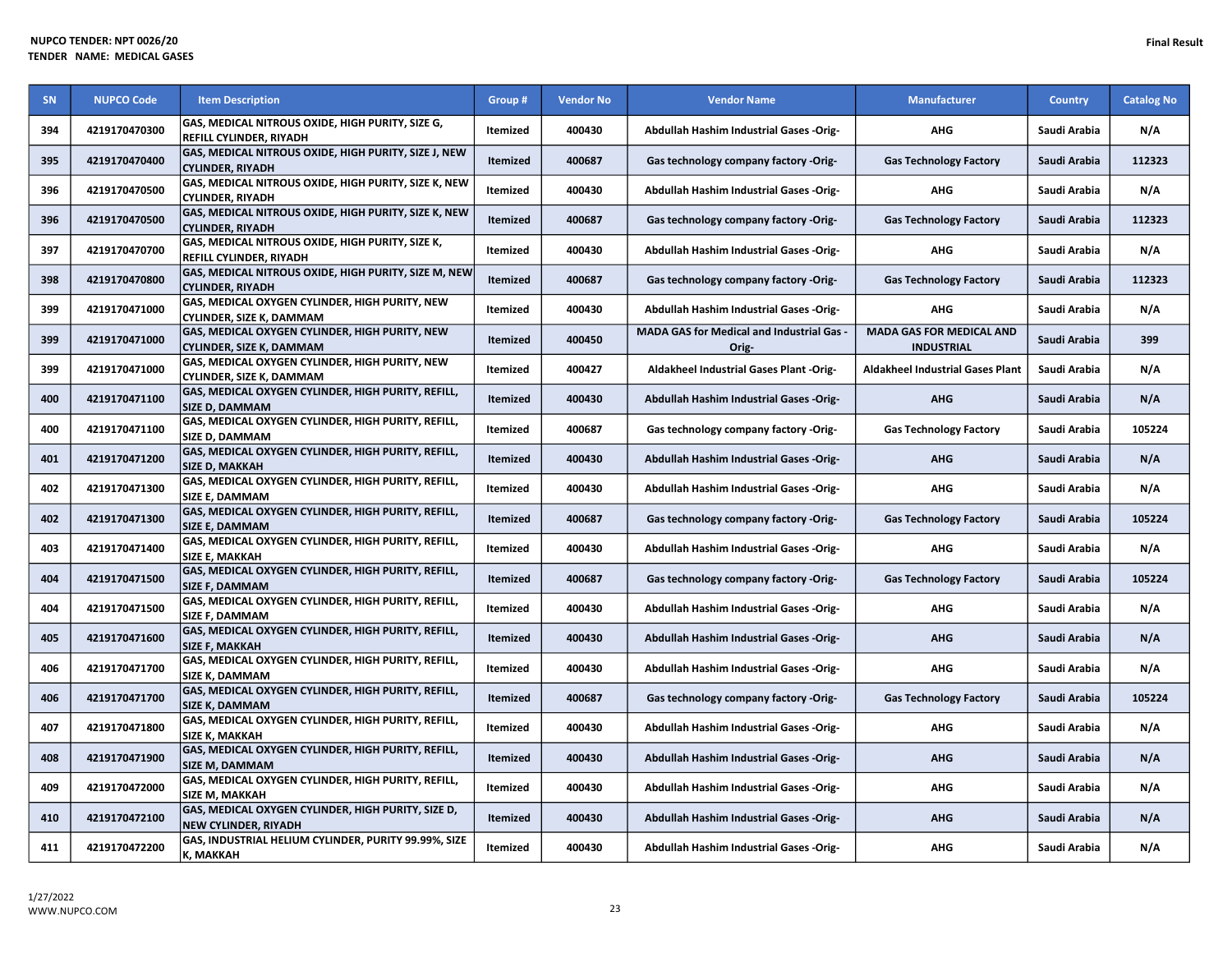| <b>SN</b> | <b>NUPCO Code</b> | <b>Item Description</b>                                                                  | Group #         | <b>Vendor No</b> | <b>Vendor Name</b>                                 | <b>Manufacturer</b>                                  | <b>Country</b> | <b>Catalog No</b> |
|-----------|-------------------|------------------------------------------------------------------------------------------|-----------------|------------------|----------------------------------------------------|------------------------------------------------------|----------------|-------------------|
| 394       | 4219170470300     | GAS, MEDICAL NITROUS OXIDE, HIGH PURITY, SIZE G,<br><b>REFILL CYLINDER, RIYADH</b>       | <b>Itemized</b> | 400430           | Abdullah Hashim Industrial Gases -Orig-            | <b>AHG</b>                                           | Saudi Arabia   | N/A               |
| 395       | 4219170470400     | GAS, MEDICAL NITROUS OXIDE, HIGH PURITY, SIZE J, NEW<br><b>CYLINDER, RIYADH</b>          | Itemized        | 400687           | Gas technology company factory -Orig-              | <b>Gas Technology Factory</b>                        | Saudi Arabia   | 112323            |
| 396       | 4219170470500     | GAS, MEDICAL NITROUS OXIDE, HIGH PURITY, SIZE K, NEW<br><b>CYLINDER, RIYADH</b>          | Itemized        | 400430           | Abdullah Hashim Industrial Gases -Orig-            | <b>AHG</b>                                           | Saudi Arabia   | N/A               |
| 396       | 4219170470500     | GAS, MEDICAL NITROUS OXIDE, HIGH PURITY, SIZE K, NEW<br><b>CYLINDER, RIYADH</b>          | Itemized        | 400687           | Gas technology company factory -Orig-              | <b>Gas Technology Factory</b>                        | Saudi Arabia   | 112323            |
| 397       | 4219170470700     | GAS, MEDICAL NITROUS OXIDE, HIGH PURITY, SIZE K,<br><b>REFILL CYLINDER, RIYADH</b>       | Itemized        | 400430           | Abdullah Hashim Industrial Gases -Orig-            | <b>AHG</b>                                           | Saudi Arabia   | N/A               |
| 398       | 4219170470800     | <b>GAS, MEDICAL NITROUS OXIDE, HIGH PURITY, SIZE M, NEW</b><br><b>CYLINDER, RIYADH</b>   | <b>Itemized</b> | 400687           | Gas technology company factory -Orig-              | <b>Gas Technology Factory</b>                        | Saudi Arabia   | 112323            |
| 399       | 4219170471000     | GAS, MEDICAL OXYGEN CYLINDER, HIGH PURITY, NEW<br><b>CYLINDER, SIZE K, DAMMAM</b>        | Itemized        | 400430           | Abdullah Hashim Industrial Gases -Orig-            | <b>AHG</b>                                           | Saudi Arabia   | N/A               |
| 399       | 4219170471000     | <b>GAS, MEDICAL OXYGEN CYLINDER, HIGH PURITY, NEW</b><br><b>CYLINDER, SIZE K, DAMMAM</b> | Itemized        | 400450           | MADA GAS for Medical and Industrial Gas -<br>Orig- | <b>MADA GAS FOR MEDICAL AND</b><br><b>INDUSTRIAL</b> | Saudi Arabia   | 399               |
| 399       | 4219170471000     | GAS, MEDICAL OXYGEN CYLINDER, HIGH PURITY, NEW<br><b>CYLINDER, SIZE K, DAMMAM</b>        | Itemized        | 400427           | Aldakheel Industrial Gases Plant -Orig-            | <b>Aldakheel Industrial Gases Plant</b>              | Saudi Arabia   | N/A               |
| 400       | 4219170471100     | GAS, MEDICAL OXYGEN CYLINDER, HIGH PURITY, REFILL,<br><b>SIZE D. DAMMAM</b>              | Itemized        | 400430           | Abdullah Hashim Industrial Gases -Orig-            | <b>AHG</b>                                           | Saudi Arabia   | N/A               |
| 400       | 4219170471100     | GAS, MEDICAL OXYGEN CYLINDER, HIGH PURITY, REFILL,<br>SIZE D, DAMMAM                     | Itemized        | 400687           | Gas technology company factory -Orig-              | <b>Gas Technology Factory</b>                        | Saudi Arabia   | 105224            |
| 401       | 4219170471200     | GAS, MEDICAL OXYGEN CYLINDER, HIGH PURITY, REFILL,<br><b>SIZE D, MAKKAH</b>              | Itemized        | 400430           | Abdullah Hashim Industrial Gases -Orig-            | <b>AHG</b>                                           | Saudi Arabia   | N/A               |
| 402       | 4219170471300     | GAS, MEDICAL OXYGEN CYLINDER, HIGH PURITY, REFILL,<br>SIZE E, DAMMAM                     | Itemized        | 400430           | Abdullah Hashim Industrial Gases -Orig-            | <b>AHG</b>                                           | Saudi Arabia   | N/A               |
| 402       | 4219170471300     | GAS, MEDICAL OXYGEN CYLINDER, HIGH PURITY, REFILL,<br><b>SIZE E, DAMMAM</b>              | Itemized        | 400687           | Gas technology company factory -Orig-              | <b>Gas Technology Factory</b>                        | Saudi Arabia   | 105224            |
| 403       | 4219170471400     | GAS, MEDICAL OXYGEN CYLINDER, HIGH PURITY, REFILL,<br><b>SIZE E, MAKKAH</b>              | Itemized        | 400430           | Abdullah Hashim Industrial Gases -Orig-            | <b>AHG</b>                                           | Saudi Arabia   | N/A               |
| 404       | 4219170471500     | GAS, MEDICAL OXYGEN CYLINDER, HIGH PURITY, REFILL,<br><b>SIZE F, DAMMAM</b>              | Itemized        | 400687           | Gas technology company factory -Orig-              | <b>Gas Technology Factory</b>                        | Saudi Arabia   | 105224            |
| 404       | 4219170471500     | GAS, MEDICAL OXYGEN CYLINDER, HIGH PURITY, REFILL,<br><b>SIZE F. DAMMAM</b>              | Itemized        | 400430           | Abdullah Hashim Industrial Gases -Orig-            | <b>AHG</b>                                           | Saudi Arabia   | N/A               |
| 405       | 4219170471600     | GAS, MEDICAL OXYGEN CYLINDER, HIGH PURITY, REFILL,<br><b>SIZE F, MAKKAH</b>              | Itemized        | 400430           | <b>Abdullah Hashim Industrial Gases -Orig-</b>     | <b>AHG</b>                                           | Saudi Arabia   | N/A               |
| 406       | 4219170471700     | GAS, MEDICAL OXYGEN CYLINDER, HIGH PURITY, REFILL,<br><b>SIZE K, DAMMAM</b>              | <b>Itemized</b> | 400430           | Abdullah Hashim Industrial Gases -Orig-            | <b>AHG</b>                                           | Saudi Arabia   | N/A               |
| 406       | 4219170471700     | GAS, MEDICAL OXYGEN CYLINDER, HIGH PURITY, REFILL,<br><b>SIZE K, DAMMAM</b>              | Itemized        | 400687           | Gas technology company factory -Orig-              | <b>Gas Technology Factory</b>                        | Saudi Arabia   | 105224            |
| 407       | 4219170471800     | GAS, MEDICAL OXYGEN CYLINDER, HIGH PURITY, REFILL,<br>SIZE K, MAKKAH                     | Itemized        | 400430           | <b>Abdullah Hashim Industrial Gases -Orig-</b>     | <b>AHG</b>                                           | Saudi Arabia   | N/A               |
| 408       | 4219170471900     | GAS, MEDICAL OXYGEN CYLINDER, HIGH PURITY, REFILL,<br><b>SIZE M, DAMMAM</b>              | Itemized        | 400430           | Abdullah Hashim Industrial Gases -Orig-            | <b>AHG</b>                                           | Saudi Arabia   | N/A               |
| 409       | 4219170472000     | GAS, MEDICAL OXYGEN CYLINDER, HIGH PURITY, REFILL,<br><b>SIZE M. MAKKAH</b>              | Itemized        | 400430           | <b>Abdullah Hashim Industrial Gases -Orig-</b>     | <b>AHG</b>                                           | Saudi Arabia   | N/A               |
| 410       | 4219170472100     | GAS, MEDICAL OXYGEN CYLINDER, HIGH PURITY, SIZE D,<br><b>NEW CYLINDER, RIYADH</b>        | Itemized        | 400430           | Abdullah Hashim Industrial Gases -Orig-            | <b>AHG</b>                                           | Saudi Arabia   | N/A               |
| 411       | 4219170472200     | GAS, INDUSTRIAL HELIUM CYLINDER, PURITY 99.99%, SIZE<br>K, MAKKAH                        | Itemized        | 400430           | Abdullah Hashim Industrial Gases -Orig-            | <b>AHG</b>                                           | Saudi Arabia   | N/A               |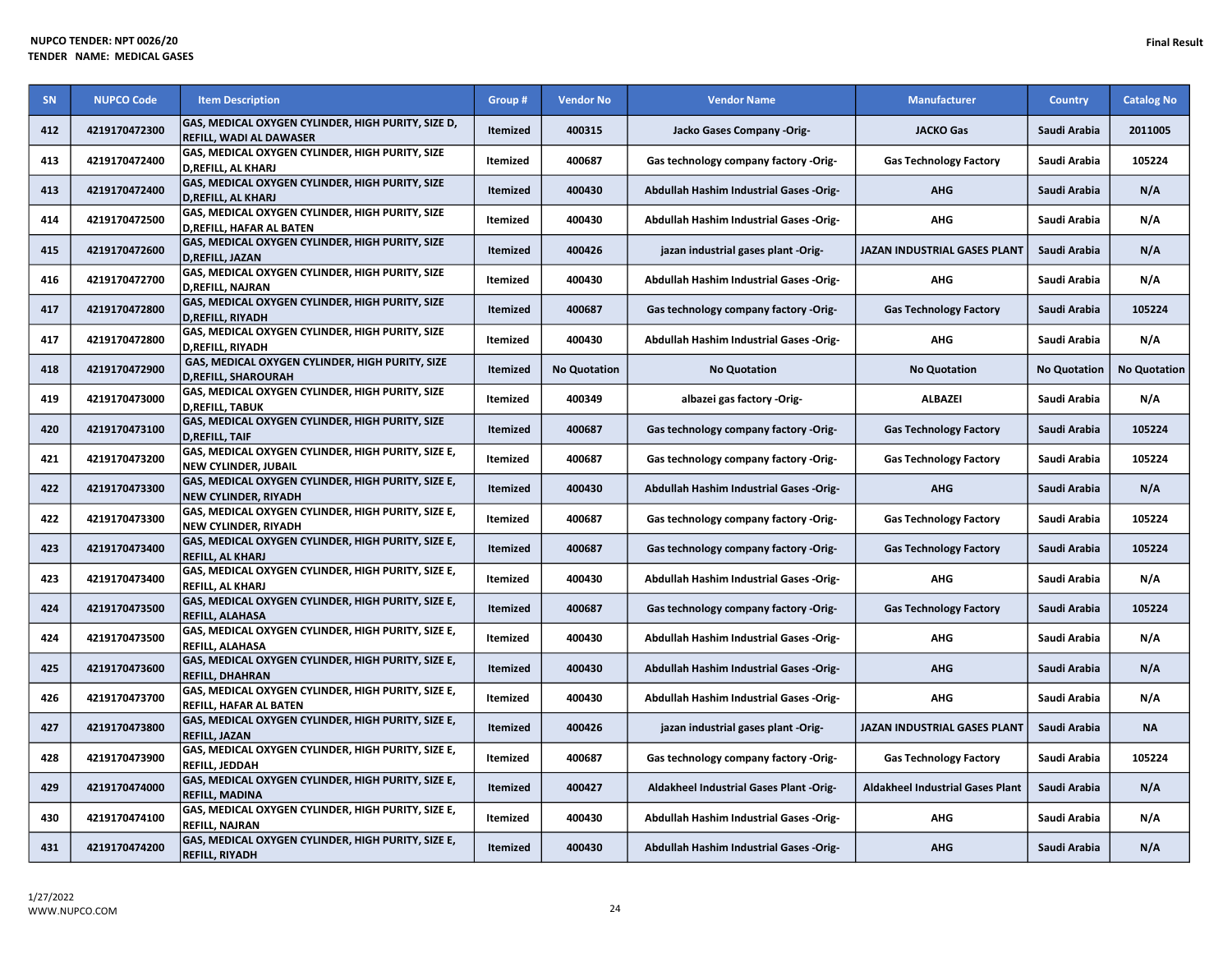|           | <b>IUPCO TENDER: NPT 0026/20</b><br>ENDER NAME: MEDICAL GASES |                                                                                      |                 |                  |                                         |                                     |              | <b>Final Result</b> |
|-----------|---------------------------------------------------------------|--------------------------------------------------------------------------------------|-----------------|------------------|-----------------------------------------|-------------------------------------|--------------|---------------------|
| <b>SN</b> | <b>NUPCO Code</b>                                             | <b>Item Description</b>                                                              | Group #         | <b>Vendor No</b> | <b>Vendor Name</b>                      | <b>Manufacturer</b>                 | Country      | <b>Catalog No</b>   |
| 412       | 4219170472300                                                 | GAS, MEDICAL OXYGEN CYLINDER, HIGH PURITY, SIZE D,<br><b>REFILL, WADI AL DAWASER</b> | Itemized        | 400315           | Jacko Gases Company -Orig-              | <b>JACKO Gas</b>                    | Saudi Arabia | 2011005             |
| 413       | 4219170472400                                                 | GAS, MEDICAL OXYGEN CYLINDER, HIGH PURITY, SIZE<br>D, REFILL, AL KHARJ               | Itemized        | 400687           | Gas technology company factory -Orig-   | <b>Gas Technology Factory</b>       | Saudi Arabia | 105224              |
| 413       | 4219170472400                                                 | GAS, MEDICAL OXYGEN CYLINDER, HIGH PURITY, SIZE<br>D, REFILL, AL KHARJ               | Itemized        | 400430           | Abdullah Hashim Industrial Gases -Orig- | <b>AHG</b>                          | Saudi Arabia | N/A                 |
| 414       | 4219170472500                                                 | GAS, MEDICAL OXYGEN CYLINDER, HIGH PURITY, SIZE<br><b>D.REFILL. HAFAR AL BATEN</b>   | <b>Itemized</b> | 400430           | Abdullah Hashim Industrial Gases -Orig- | AHG                                 | Saudi Arabia | N/A                 |
| 415       | 4219170472600                                                 | GAS, MEDICAL OXYGEN CYLINDER, HIGH PURITY, SIZE<br>D.REFILL. JAZAN                   | Itemized        | 400426           | jazan industrial gases plant -Orig-     | <b>JAZAN INDUSTRIAL GASES PLANT</b> | Saudi Arabia | N/A                 |
| 416       | 4219170472700                                                 | GAS, MEDICAL OXYGEN CYLINDER, HIGH PURITY, SIZE<br><b>D.REFILL, NAJRAN</b>           | Itemized        | 400430           | Abdullah Hashim Industrial Gases -Orig- | <b>AHG</b>                          | Saudi Arabia | N/A                 |
| 417       | 4219170472800                                                 | GAS, MEDICAL OXYGEN CYLINDER, HIGH PURITY, SIZE<br>D REFILL RIVADH                   | <b>Itemized</b> | 400687           | Gas technology company factory -Orig-   | <b>Gas Technology Factory</b>       | Saudi Arabia | 105224              |

| 413 | 4219170472400 | GAS, MEDICAL OXYGEN CYLINDER, HIGH PURITY, SIZE<br><b>D, REFILL, AL KHARJ</b>     | <b>Itemized</b> | 400430              | Abdullah Hashim Industrial Gases -Orig-        | <b>AHG</b>                              | Saudi Arabia        | N/A                 |
|-----|---------------|-----------------------------------------------------------------------------------|-----------------|---------------------|------------------------------------------------|-----------------------------------------|---------------------|---------------------|
| 414 | 4219170472500 | GAS, MEDICAL OXYGEN CYLINDER, HIGH PURITY, SIZE<br>D,REFILL, HAFAR AL BATEN       | Itemized        | 400430              | Abdullah Hashim Industrial Gases -Orig-        | <b>AHG</b>                              | Saudi Arabia        | N/A                 |
| 415 | 4219170472600 | GAS, MEDICAL OXYGEN CYLINDER, HIGH PURITY, SIZE<br>D, REFILL, JAZAN               | Itemized        | 400426              | jazan industrial gases plant -Orig-            | JAZAN INDUSTRIAL GASES PLANT            | Saudi Arabia        | N/A                 |
| 416 | 4219170472700 | GAS, MEDICAL OXYGEN CYLINDER, HIGH PURITY, SIZE<br><b>D,REFILL, NAJRAN</b>        | Itemized        | 400430              | <b>Abdullah Hashim Industrial Gases -Orig-</b> | <b>AHG</b>                              | Saudi Arabia        | N/A                 |
| 417 | 4219170472800 | GAS, MEDICAL OXYGEN CYLINDER, HIGH PURITY, SIZE<br><b>D,REFILL, RIYADH</b>        | Itemized        | 400687              | Gas technology company factory -Orig-          | <b>Gas Technology Factory</b>           | Saudi Arabia        | 105224              |
| 417 | 4219170472800 | GAS, MEDICAL OXYGEN CYLINDER, HIGH PURITY, SIZE<br><b>D,REFILL, RIYADH</b>        | Itemized        | 400430              | <b>Abdullah Hashim Industrial Gases -Orig-</b> | AHG                                     | Saudi Arabia        | N/A                 |
| 418 | 4219170472900 | GAS, MEDICAL OXYGEN CYLINDER, HIGH PURITY, SIZE<br><b>D, REFILL, SHAROURAH</b>    | <b>Itemized</b> | <b>No Quotation</b> | <b>No Quotation</b>                            | <b>No Quotation</b>                     | <b>No Quotation</b> | <b>No Quotation</b> |
| 419 | 4219170473000 | GAS, MEDICAL OXYGEN CYLINDER, HIGH PURITY, SIZE<br><b>D,REFILL, TABUK</b>         | Itemized        | 400349              | albazei gas factory -Orig-                     | <b>ALBAZEI</b>                          | Saudi Arabia        | N/A                 |
| 420 | 4219170473100 | GAS, MEDICAL OXYGEN CYLINDER, HIGH PURITY, SIZE<br><b>D,REFILL, TAIF</b>          | Itemized        | 400687              | Gas technology company factory -Orig-          | <b>Gas Technology Factory</b>           | Saudi Arabia        | 105224              |
| 421 | 4219170473200 | GAS, MEDICAL OXYGEN CYLINDER, HIGH PURITY, SIZE E,<br><b>NEW CYLINDER, JUBAIL</b> | Itemized        | 400687              | Gas technology company factory -Orig-          | <b>Gas Technology Factory</b>           | Saudi Arabia        | 105224              |
| 422 | 4219170473300 | GAS, MEDICAL OXYGEN CYLINDER, HIGH PURITY, SIZE E,<br>NEW CYLINDER, RIYADH        | Itemized        | 400430              | Abdullah Hashim Industrial Gases -Orig-        | <b>AHG</b>                              | Saudi Arabia        | N/A                 |
| 422 | 4219170473300 | GAS, MEDICAL OXYGEN CYLINDER, HIGH PURITY, SIZE E,<br><b>NEW CYLINDER, RIYADH</b> | Itemized        | 400687              | Gas technology company factory -Orig-          | <b>Gas Technology Factory</b>           | Saudi Arabia        | 105224              |
| 423 | 4219170473400 | GAS, MEDICAL OXYGEN CYLINDER, HIGH PURITY, SIZE E,<br><b>REFILL, AL KHARJ</b>     | <b>Itemized</b> | 400687              | Gas technology company factory -Orig-          | <b>Gas Technology Factory</b>           | Saudi Arabia        | 105224              |
| 423 | 4219170473400 | GAS, MEDICAL OXYGEN CYLINDER, HIGH PURITY, SIZE E,<br>REFILL, AL KHARJ            | Itemized        | 400430              | Abdullah Hashim Industrial Gases -Orig-        | <b>AHG</b>                              | Saudi Arabia        | N/A                 |
| 424 | 4219170473500 | GAS, MEDICAL OXYGEN CYLINDER, HIGH PURITY, SIZE E,<br>REFILL, ALAHASA             | Itemized        | 400687              | Gas technology company factory -Orig-          | <b>Gas Technology Factory</b>           | Saudi Arabia        | 105224              |
| 424 | 4219170473500 | GAS, MEDICAL OXYGEN CYLINDER, HIGH PURITY, SIZE E,<br>REFILL, ALAHASA             | Itemized        | 400430              | Abdullah Hashim Industrial Gases -Orig-        | AHG                                     | Saudi Arabia        | N/A                 |
| 425 | 4219170473600 | GAS, MEDICAL OXYGEN CYLINDER, HIGH PURITY, SIZE E,<br><b>REFILL, DHAHRAN</b>      | <b>Itemized</b> | 400430              | Abdullah Hashim Industrial Gases -Orig-        | <b>AHG</b>                              | Saudi Arabia        | N/A                 |
| 426 | 4219170473700 | GAS, MEDICAL OXYGEN CYLINDER, HIGH PURITY, SIZE E,<br>REFILL, HAFAR AL BATEN      | Itemized        | 400430              | Abdullah Hashim Industrial Gases -Orig-        | <b>AHG</b>                              | Saudi Arabia        | N/A                 |
| 427 | 4219170473800 | GAS, MEDICAL OXYGEN CYLINDER, HIGH PURITY, SIZE E,<br><b>REFILL, JAZAN</b>        | Itemized        | 400426              | jazan industrial gases plant -Orig-            | JAZAN INDUSTRIAL GASES PLANT            | Saudi Arabia        | <b>NA</b>           |
| 428 | 4219170473900 | GAS, MEDICAL OXYGEN CYLINDER, HIGH PURITY, SIZE E,<br><b>REFILL, JEDDAH</b>       | Itemized        | 400687              | Gas technology company factory -Orig-          | <b>Gas Technology Factory</b>           | Saudi Arabia        | 105224              |
| 429 | 4219170474000 | GAS, MEDICAL OXYGEN CYLINDER, HIGH PURITY, SIZE E,<br><b>REFILL, MADINA</b>       | Itemized        | 400427              | Aldakheel Industrial Gases Plant -Orig-        | <b>Aldakheel Industrial Gases Plant</b> | Saudi Arabia        | N/A                 |
| 430 | 4219170474100 | GAS, MEDICAL OXYGEN CYLINDER, HIGH PURITY, SIZE E,<br><b>REFILL, NAJRAN</b>       | Itemized        | 400430              | Abdullah Hashim Industrial Gases -Orig-        | <b>AHG</b>                              | Saudi Arabia        | N/A                 |
| 431 | 4219170474200 | GAS, MEDICAL OXYGEN CYLINDER, HIGH PURITY, SIZE E,<br><b>REFILL, RIYADH</b>       | Itemized        | 400430              | Abdullah Hashim Industrial Gases -Orig-        | <b>AHG</b>                              | Saudi Arabia        | N/A                 |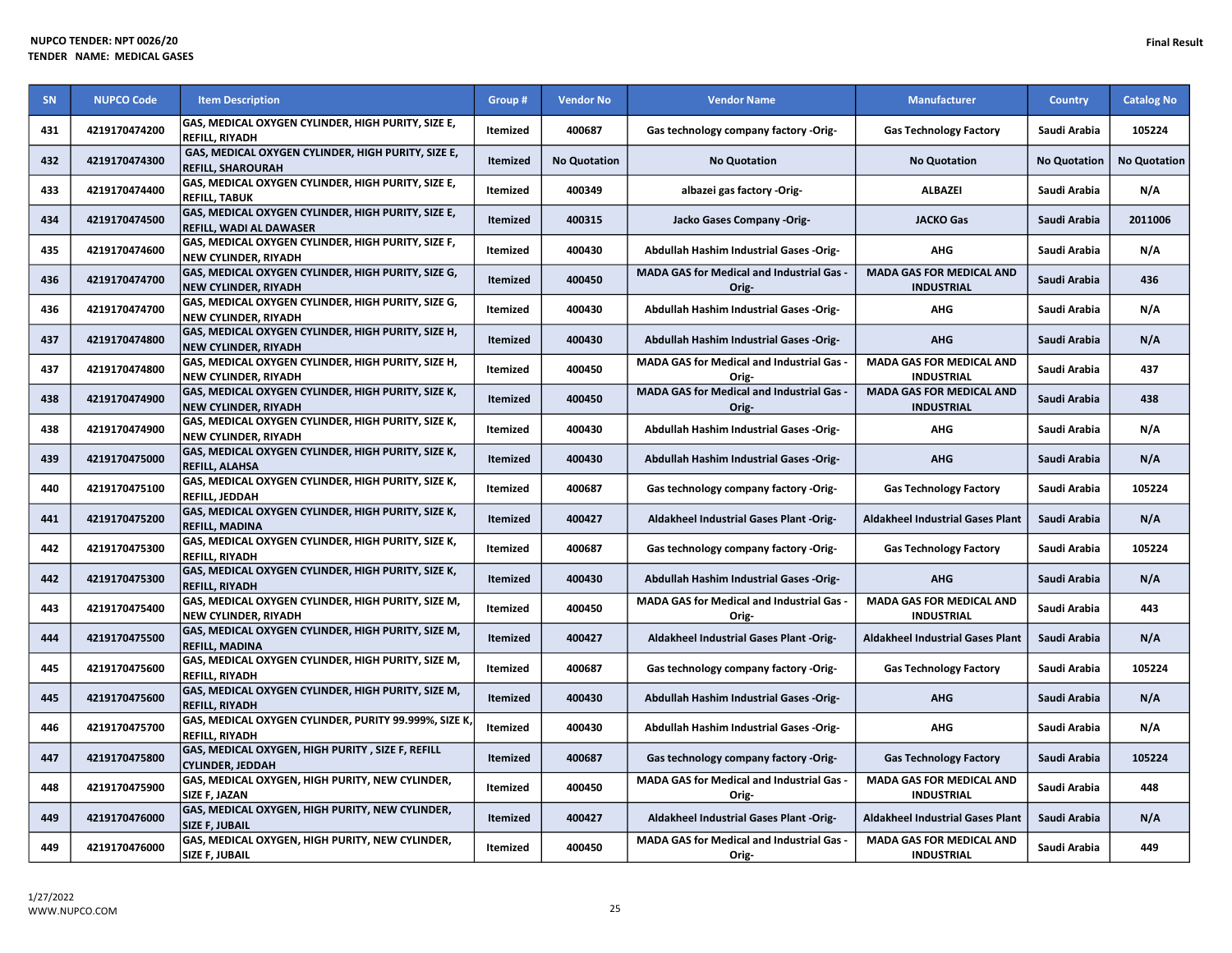| SN  | <b>NUPCO Code</b> | <b>Item Description</b>                                                           | Group #         | <b>Vendor No</b>    | <b>Vendor Name</b>                                 | <b>Manufacturer</b>                                  | Country             | <b>Catalog No</b>   |
|-----|-------------------|-----------------------------------------------------------------------------------|-----------------|---------------------|----------------------------------------------------|------------------------------------------------------|---------------------|---------------------|
| 431 | 4219170474200     | GAS, MEDICAL OXYGEN CYLINDER, HIGH PURITY, SIZE E,<br><b>REFILL, RIYADH</b>       | Itemized        | 400687              | Gas technology company factory -Orig-              | <b>Gas Technology Factory</b>                        | Saudi Arabia        | 105224              |
| 432 | 4219170474300     | GAS, MEDICAL OXYGEN CYLINDER, HIGH PURITY, SIZE E,<br><b>REFILL, SHAROURAH</b>    | <b>Itemized</b> | <b>No Quotation</b> | <b>No Quotation</b>                                | <b>No Quotation</b>                                  | <b>No Quotation</b> | <b>No Quotation</b> |
| 433 | 4219170474400     | GAS, MEDICAL OXYGEN CYLINDER, HIGH PURITY, SIZE E,<br><b>REFILL, TABUK</b>        | Itemized        | 400349              | albazei gas factory -Orig-                         | <b>ALBAZEI</b>                                       | Saudi Arabia        | N/A                 |
| 434 | 4219170474500     | GAS, MEDICAL OXYGEN CYLINDER, HIGH PURITY, SIZE E,<br>REFILL, WADI AL DAWASER     | Itemized        | 400315              | Jacko Gases Company -Orig-                         | <b>JACKO Gas</b>                                     | Saudi Arabia        | 2011006             |
| 435 | 4219170474600     | GAS, MEDICAL OXYGEN CYLINDER, HIGH PURITY, SIZE F,<br><b>NEW CYLINDER, RIYADH</b> | Itemized        | 400430              | Abdullah Hashim Industrial Gases -Orig-            | <b>AHG</b>                                           | Saudi Arabia        | N/A                 |
| 436 | 4219170474700     | GAS, MEDICAL OXYGEN CYLINDER, HIGH PURITY, SIZE G,<br><b>NEW CYLINDER, RIYADH</b> | Itemized        | 400450              | MADA GAS for Medical and Industrial Gas -<br>Orig- | <b>MADA GAS FOR MEDICAL AND</b><br><b>INDUSTRIAL</b> | Saudi Arabia        | 436                 |
| 436 | 4219170474700     | GAS, MEDICAL OXYGEN CYLINDER, HIGH PURITY, SIZE G,<br><b>NEW CYLINDER, RIYADH</b> | Itemized        | 400430              | Abdullah Hashim Industrial Gases -Orig-            | <b>AHG</b>                                           | Saudi Arabia        | N/A                 |
| 437 | 4219170474800     | GAS, MEDICAL OXYGEN CYLINDER, HIGH PURITY, SIZE H,<br><b>NEW CYLINDER, RIYADH</b> | Itemized        | 400430              | Abdullah Hashim Industrial Gases -Orig-            | <b>AHG</b>                                           | Saudi Arabia        | N/A                 |
| 437 | 4219170474800     | GAS, MEDICAL OXYGEN CYLINDER, HIGH PURITY, SIZE H,<br><b>NEW CYLINDER, RIYADH</b> | Itemized        | 400450              | MADA GAS for Medical and Industrial Gas -<br>Orig- | MADA GAS FOR MEDICAL AND<br><b>INDUSTRIAL</b>        | Saudi Arabia        | 437                 |
| 438 | 4219170474900     | GAS, MEDICAL OXYGEN CYLINDER, HIGH PURITY, SIZE K,<br><b>NEW CYLINDER, RIYADH</b> | Itemized        | 400450              | MADA GAS for Medical and Industrial Gas -<br>Orig- | <b>MADA GAS FOR MEDICAL AND</b><br><b>INDUSTRIAL</b> | Saudi Arabia        | 438                 |
| 438 | 4219170474900     | GAS, MEDICAL OXYGEN CYLINDER, HIGH PURITY, SIZE K,<br><b>NEW CYLINDER, RIYADH</b> | Itemized        | 400430              | Abdullah Hashim Industrial Gases -Orig-            | <b>AHG</b>                                           | Saudi Arabia        | N/A                 |
| 439 | 4219170475000     | GAS, MEDICAL OXYGEN CYLINDER, HIGH PURITY, SIZE K,<br><b>REFILL, ALAHSA</b>       | Itemized        | 400430              | Abdullah Hashim Industrial Gases -Orig-            | <b>AHG</b>                                           | Saudi Arabia        | N/A                 |
| 440 | 4219170475100     | GAS, MEDICAL OXYGEN CYLINDER, HIGH PURITY, SIZE K,<br><b>REFILL. JEDDAH</b>       | Itemized        | 400687              | Gas technology company factory -Orig-              | <b>Gas Technology Factory</b>                        | Saudi Arabia        | 105224              |
| 441 | 4219170475200     | GAS, MEDICAL OXYGEN CYLINDER, HIGH PURITY, SIZE K,<br><b>REFILL, MADINA</b>       | Itemized        | 400427              | Aldakheel Industrial Gases Plant -Orig-            | <b>Aldakheel Industrial Gases Plant</b>              | Saudi Arabia        | N/A                 |
| 442 | 4219170475300     | GAS, MEDICAL OXYGEN CYLINDER, HIGH PURITY, SIZE K,<br><b>REFILL, RIYADH</b>       | Itemized        | 400687              | Gas technology company factory -Orig-              | <b>Gas Technology Factory</b>                        | Saudi Arabia        | 105224              |
| 442 | 4219170475300     | GAS, MEDICAL OXYGEN CYLINDER, HIGH PURITY, SIZE K,<br><b>REFILL, RIYADH</b>       | Itemized        | 400430              | Abdullah Hashim Industrial Gases -Orig-            | <b>AHG</b>                                           | Saudi Arabia        | N/A                 |
| 443 | 4219170475400     | GAS, MEDICAL OXYGEN CYLINDER, HIGH PURITY, SIZE M,<br><b>NEW CYLINDER, RIYADH</b> | Itemized        | 400450              | MADA GAS for Medical and Industrial Gas -<br>Orig- | <b>MADA GAS FOR MEDICAL AND</b><br><b>INDUSTRIAL</b> | Saudi Arabia        | 443                 |
| 444 | 4219170475500     | GAS, MEDICAL OXYGEN CYLINDER, HIGH PURITY, SIZE M,<br><b>REFILL, MADINA</b>       | Itemized        | 400427              | Aldakheel Industrial Gases Plant -Orig-            | <b>Aldakheel Industrial Gases Plant</b>              | Saudi Arabia        | N/A                 |
| 445 | 4219170475600     | GAS, MEDICAL OXYGEN CYLINDER, HIGH PURITY, SIZE M,<br><b>REFILL, RIYADH</b>       | Itemized        | 400687              | Gas technology company factory -Orig-              | <b>Gas Technology Factory</b>                        | Saudi Arabia        | 105224              |
| 445 | 4219170475600     | GAS, MEDICAL OXYGEN CYLINDER, HIGH PURITY, SIZE M,<br><b>REFILL, RIYADH</b>       | <b>Itemized</b> | 400430              | Abdullah Hashim Industrial Gases -Orig-            | <b>AHG</b>                                           | Saudi Arabia        | N/A                 |
| 446 | 4219170475700     | GAS, MEDICAL OXYGEN CYLINDER, PURITY 99.999%, SIZE K<br><b>REFILL, RIYADH</b>     | Itemized        | 400430              | Abdullah Hashim Industrial Gases -Orig-            | <b>AHG</b>                                           | Saudi Arabia        | N/A                 |
| 447 | 4219170475800     | GAS, MEDICAL OXYGEN, HIGH PURITY, SIZE F, REFILL<br><b>CYLINDER, JEDDAH</b>       | Itemized        | 400687              | Gas technology company factory -Orig-              | <b>Gas Technology Factory</b>                        | Saudi Arabia        | 105224              |
| 448 | 4219170475900     | GAS, MEDICAL OXYGEN, HIGH PURITY, NEW CYLINDER,<br>SIZE F, JAZAN                  | Itemized        | 400450              | MADA GAS for Medical and Industrial Gas -<br>Orig- | <b>MADA GAS FOR MEDICAL AND</b><br><b>INDUSTRIAL</b> | Saudi Arabia        | 448                 |
| 449 | 4219170476000     | GAS, MEDICAL OXYGEN, HIGH PURITY, NEW CYLINDER,<br><b>SIZE F, JUBAIL</b>          | Itemized        | 400427              | Aldakheel Industrial Gases Plant -Orig-            | <b>Aldakheel Industrial Gases Plant</b>              | Saudi Arabia        | N/A                 |
| 449 | 4219170476000     | GAS, MEDICAL OXYGEN, HIGH PURITY, NEW CYLINDER,<br>SIZE F, JUBAIL                 | Itemized        | 400450              | MADA GAS for Medical and Industrial Gas -<br>Orig- | <b>MADA GAS FOR MEDICAL AND</b><br><b>INDUSTRIAL</b> | Saudi Arabia        | 449                 |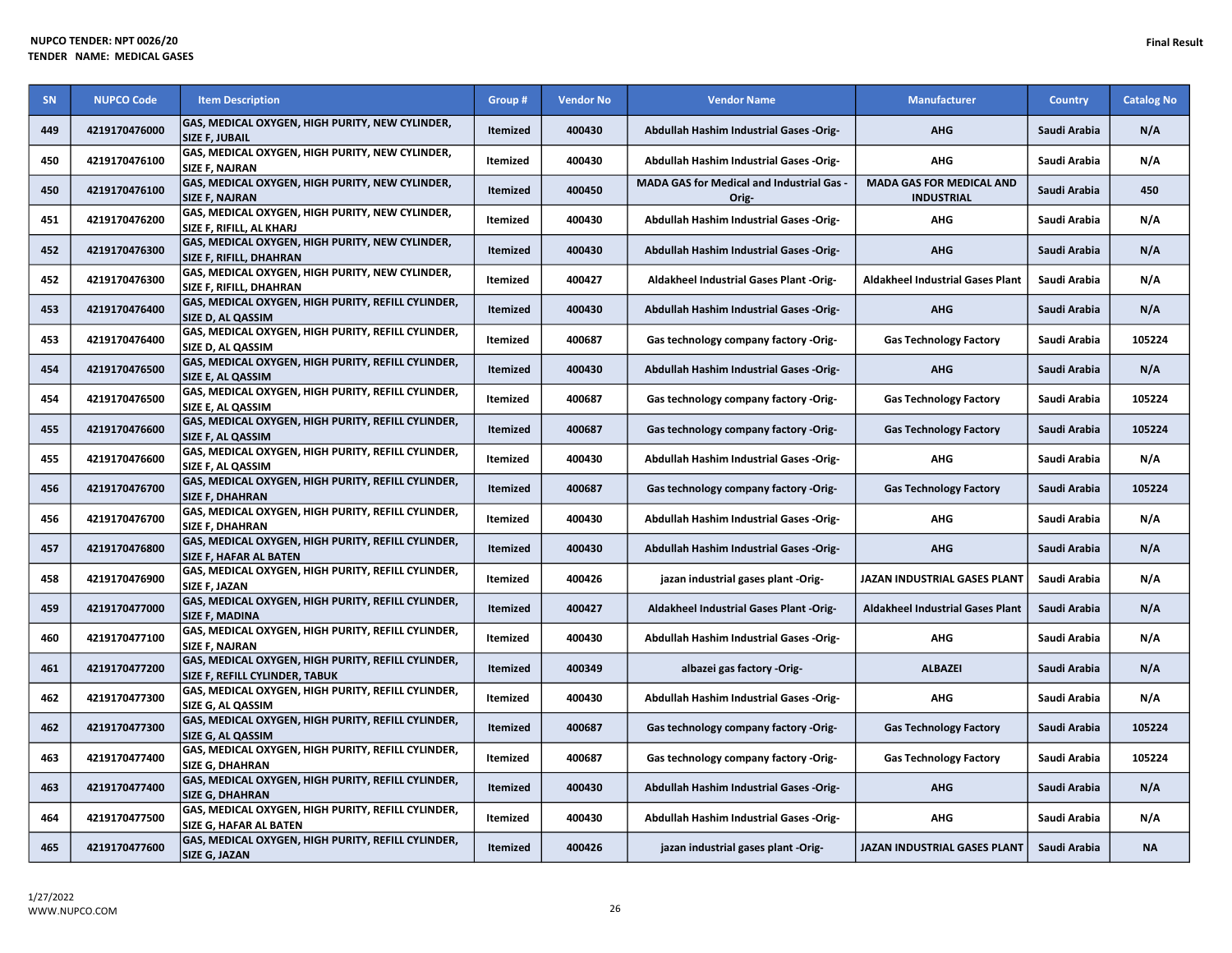| <b>SN</b> | <b>NUPCO Code</b> | <b>Item Description</b>                                                              | Group #         | <b>Vendor No</b> | <b>Vendor Name</b>                                 | <b>Manufacturer</b>                                  | <b>Country</b> | <b>Catalog No</b> |
|-----------|-------------------|--------------------------------------------------------------------------------------|-----------------|------------------|----------------------------------------------------|------------------------------------------------------|----------------|-------------------|
| 449       | 4219170476000     | GAS, MEDICAL OXYGEN, HIGH PURITY, NEW CYLINDER,<br><b>SIZE F, JUBAIL</b>             | Itemized        | 400430           | Abdullah Hashim Industrial Gases -Orig-            | <b>AHG</b>                                           | Saudi Arabia   | N/A               |
| 450       | 4219170476100     | GAS, MEDICAL OXYGEN, HIGH PURITY, NEW CYLINDER,<br><b>SIZE F. NAJRAN</b>             | Itemized        | 400430           | Abdullah Hashim Industrial Gases -Orig-            | <b>AHG</b>                                           | Saudi Arabia   | N/A               |
| 450       | 4219170476100     | GAS, MEDICAL OXYGEN, HIGH PURITY, NEW CYLINDER,<br><b>SIZE F, NAJRAN</b>             | Itemized        | 400450           | MADA GAS for Medical and Industrial Gas -<br>Orig- | <b>MADA GAS FOR MEDICAL AND</b><br><b>INDUSTRIAL</b> | Saudi Arabia   | 450               |
| 451       | 4219170476200     | GAS, MEDICAL OXYGEN, HIGH PURITY, NEW CYLINDER,<br>SIZE F, RIFILL, AL KHARJ          | Itemized        | 400430           | Abdullah Hashim Industrial Gases -Orig-            | AHG                                                  | Saudi Arabia   | N/A               |
| 452       | 4219170476300     | GAS, MEDICAL OXYGEN, HIGH PURITY, NEW CYLINDER,<br>SIZE F, RIFILL, DHAHRAN           | Itemized        | 400430           | Abdullah Hashim Industrial Gases -Orig-            | <b>AHG</b>                                           | Saudi Arabia   | N/A               |
| 452       | 4219170476300     | GAS, MEDICAL OXYGEN, HIGH PURITY, NEW CYLINDER,<br>SIZE F, RIFILL, DHAHRAN           | Itemized        | 400427           | Aldakheel Industrial Gases Plant -Orig-            | <b>Aldakheel Industrial Gases Plant</b>              | Saudi Arabia   | N/A               |
| 453       | 4219170476400     | GAS, MEDICAL OXYGEN, HIGH PURITY, REFILL CYLINDER,<br>SIZE D, AL QASSIM              | Itemized        | 400430           | <b>Abdullah Hashim Industrial Gases -Orig-</b>     | <b>AHG</b>                                           | Saudi Arabia   | N/A               |
| 453       | 4219170476400     | GAS, MEDICAL OXYGEN, HIGH PURITY, REFILL CYLINDER,<br>SIZE D, AL QASSIM              | Itemized        | 400687           | Gas technology company factory -Orig-              | <b>Gas Technology Factory</b>                        | Saudi Arabia   | 105224            |
| 454       | 4219170476500     | GAS, MEDICAL OXYGEN, HIGH PURITY, REFILL CYLINDER,<br>SIZE E, AL QASSIM              | Itemized        | 400430           | Abdullah Hashim Industrial Gases -Orig-            | <b>AHG</b>                                           | Saudi Arabia   | N/A               |
| 454       | 4219170476500     | GAS, MEDICAL OXYGEN, HIGH PURITY, REFILL CYLINDER,<br>SIZE E, AL QASSIM              | Itemized        | 400687           | Gas technology company factory -Orig-              | <b>Gas Technology Factory</b>                        | Saudi Arabia   | 105224            |
| 455       | 4219170476600     | GAS, MEDICAL OXYGEN, HIGH PURITY, REFILL CYLINDER,<br>SIZE F, AL QASSIM              | Itemized        | 400687           | Gas technology company factory -Orig-              | <b>Gas Technology Factory</b>                        | Saudi Arabia   | 105224            |
| 455       | 4219170476600     | GAS, MEDICAL OXYGEN, HIGH PURITY, REFILL CYLINDER,<br>SIZE F, AL QASSIM              | Itemized        | 400430           | Abdullah Hashim Industrial Gases -Orig-            | AHG                                                  | Saudi Arabia   | N/A               |
| 456       | 4219170476700     | GAS, MEDICAL OXYGEN, HIGH PURITY, REFILL CYLINDER,<br><b>SIZE F, DHAHRAN</b>         | Itemized        | 400687           | Gas technology company factory -Orig-              | <b>Gas Technology Factory</b>                        | Saudi Arabia   | 105224            |
| 456       | 4219170476700     | GAS, MEDICAL OXYGEN, HIGH PURITY, REFILL CYLINDER,<br><b>SIZE F, DHAHRAN</b>         | Itemized        | 400430           | Abdullah Hashim Industrial Gases -Orig-            | <b>AHG</b>                                           | Saudi Arabia   | N/A               |
| 457       | 4219170476800     | GAS, MEDICAL OXYGEN, HIGH PURITY, REFILL CYLINDER,<br>SIZE F, HAFAR AL BATEN         | Itemized        | 400430           | <b>Abdullah Hashim Industrial Gases -Orig-</b>     | <b>AHG</b>                                           | Saudi Arabia   | N/A               |
| 458       | 4219170476900     | GAS, MEDICAL OXYGEN, HIGH PURITY, REFILL CYLINDER,<br><b>SIZE F. JAZAN</b>           | Itemized        | 400426           | jazan industrial gases plant -Orig-                | JAZAN INDUSTRIAL GASES PLANT                         | Saudi Arabia   | N/A               |
| 459       | 4219170477000     | GAS, MEDICAL OXYGEN, HIGH PURITY, REFILL CYLINDER,<br><b>SIZE F, MADINA</b>          | Itemized        | 400427           | Aldakheel Industrial Gases Plant -Orig-            | <b>Aldakheel Industrial Gases Plant</b>              | Saudi Arabia   | N/A               |
| 460       | 4219170477100     | GAS, MEDICAL OXYGEN, HIGH PURITY, REFILL CYLINDER,<br>SIZE F, NAJRAN                 | Itemized        | 400430           | Abdullah Hashim Industrial Gases -Orig-            | <b>AHG</b>                                           | Saudi Arabia   | N/A               |
| 461       | 4219170477200     | GAS, MEDICAL OXYGEN, HIGH PURITY, REFILL CYLINDER,<br>SIZE F, REFILL CYLINDER, TABUK | Itemized        | 400349           | albazei gas factory -Orig-                         | <b>ALBAZEI</b>                                       | Saudi Arabia   | N/A               |
| 462       | 4219170477300     | GAS, MEDICAL OXYGEN, HIGH PURITY, REFILL CYLINDER,<br>SIZE G, AL QASSIM              | Itemized        | 400430           | Abdullah Hashim Industrial Gases -Orig-            | <b>AHG</b>                                           | Saudi Arabia   | N/A               |
| 462       | 4219170477300     | GAS, MEDICAL OXYGEN, HIGH PURITY, REFILL CYLINDER,<br>SIZE G, AL QASSIM              | Itemized        | 400687           | Gas technology company factory -Orig-              | <b>Gas Technology Factory</b>                        | Saudi Arabia   | 105224            |
| 463       | 4219170477400     | GAS, MEDICAL OXYGEN, HIGH PURITY, REFILL CYLINDER,<br><b>SIZE G, DHAHRAN</b>         | Itemized        | 400687           | Gas technology company factory -Orig-              | <b>Gas Technology Factory</b>                        | Saudi Arabia   | 105224            |
| 463       | 4219170477400     | GAS, MEDICAL OXYGEN, HIGH PURITY, REFILL CYLINDER,<br><b>SIZE G, DHAHRAN</b>         | Itemized        | 400430           | Abdullah Hashim Industrial Gases -Orig-            | <b>AHG</b>                                           | Saudi Arabia   | N/A               |
| 464       | 4219170477500     | GAS, MEDICAL OXYGEN, HIGH PURITY, REFILL CYLINDER,<br><b>SIZE G, HAFAR AL BATEN</b>  | Itemized        | 400430           | Abdullah Hashim Industrial Gases -Orig-            | <b>AHG</b>                                           | Saudi Arabia   | N/A               |
| 465       | 4219170477600     | GAS, MEDICAL OXYGEN, HIGH PURITY, REFILL CYLINDER,<br>SIZE G, JAZAN                  | <b>Itemized</b> | 400426           | jazan industrial gases plant -Orig-                | JAZAN INDUSTRIAL GASES PLANT                         | Saudi Arabia   | <b>NA</b>         |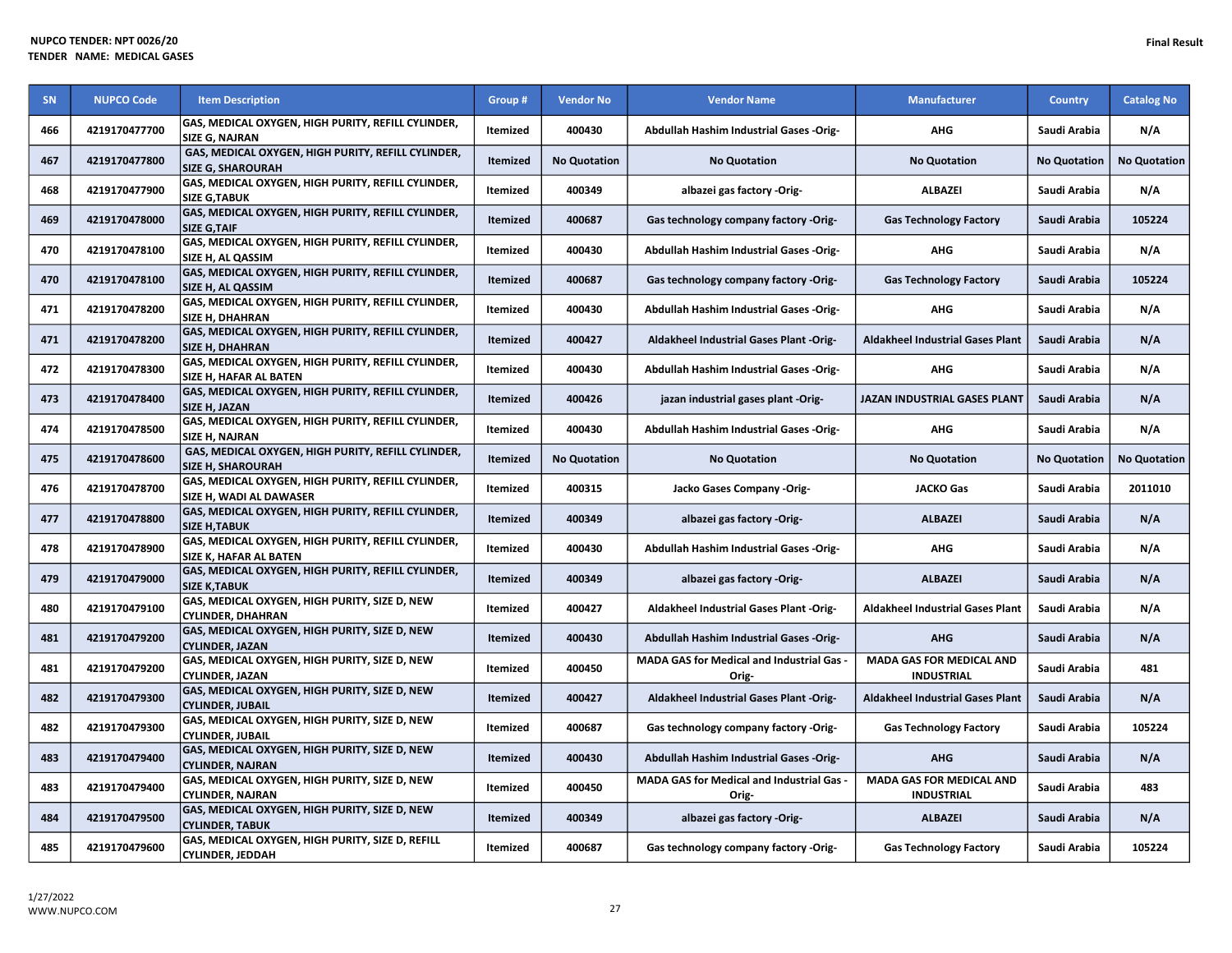| SN  | <b>NUPCO Code</b> | <b>Item Description</b>                                                             | Group #         | <b>Vendor No</b>    | <b>Vendor Name</b>                                        | <b>Manufacturer</b>                                  | <b>Country</b>      | <b>Catalog No</b>   |
|-----|-------------------|-------------------------------------------------------------------------------------|-----------------|---------------------|-----------------------------------------------------------|------------------------------------------------------|---------------------|---------------------|
| 466 | 4219170477700     | GAS, MEDICAL OXYGEN, HIGH PURITY, REFILL CYLINDER,<br><b>SIZE G. NAJRAN</b>         | Itemized        | 400430              | Abdullah Hashim Industrial Gases -Orig-                   | <b>AHG</b>                                           | Saudi Arabia        | N/A                 |
| 467 | 4219170477800     | GAS, MEDICAL OXYGEN, HIGH PURITY, REFILL CYLINDER,<br><b>SIZE G, SHAROURAH</b>      | Itemized        | <b>No Quotation</b> | <b>No Quotation</b>                                       | <b>No Quotation</b>                                  | <b>No Quotation</b> | <b>No Quotation</b> |
| 468 | 4219170477900     | GAS, MEDICAL OXYGEN, HIGH PURITY, REFILL CYLINDER,<br><b>SIZE G, TABUK</b>          | Itemized        | 400349              | albazei gas factory -Orig-                                | <b>ALBAZEI</b>                                       | Saudi Arabia        | N/A                 |
| 469 | 4219170478000     | GAS, MEDICAL OXYGEN, HIGH PURITY, REFILL CYLINDER,<br><b>SIZE G, TAIF</b>           | Itemized        | 400687              | Gas technology company factory -Orig-                     | <b>Gas Technology Factory</b>                        | Saudi Arabia        | 105224              |
| 470 | 4219170478100     | GAS, MEDICAL OXYGEN, HIGH PURITY, REFILL CYLINDER,<br>SIZE H, AL QASSIM             | Itemized        | 400430              | Abdullah Hashim Industrial Gases -Orig-                   | <b>AHG</b>                                           | Saudi Arabia        | N/A                 |
| 470 | 4219170478100     | GAS, MEDICAL OXYGEN, HIGH PURITY, REFILL CYLINDER,<br>SIZE H, AL QASSIM             | Itemized        | 400687              | Gas technology company factory -Orig-                     | <b>Gas Technology Factory</b>                        | Saudi Arabia        | 105224              |
| 471 | 4219170478200     | GAS, MEDICAL OXYGEN, HIGH PURITY, REFILL CYLINDER,<br>SIZE H, DHAHRAN               | Itemized        | 400430              | Abdullah Hashim Industrial Gases -Orig-                   | <b>AHG</b>                                           | Saudi Arabia        | N/A                 |
| 471 | 4219170478200     | GAS, MEDICAL OXYGEN, HIGH PURITY, REFILL CYLINDER,<br><b>SIZE H, DHAHRAN</b>        | Itemized        | 400427              | Aldakheel Industrial Gases Plant -Orig-                   | <b>Aldakheel Industrial Gases Plant</b>              | Saudi Arabia        | N/A                 |
| 472 | 4219170478300     | GAS, MEDICAL OXYGEN, HIGH PURITY, REFILL CYLINDER,<br>SIZE H, HAFAR AL BATEN        | Itemized        | 400430              | Abdullah Hashim Industrial Gases -Orig-                   | AHG                                                  | Saudi Arabia        | N/A                 |
| 473 | 4219170478400     | GAS, MEDICAL OXYGEN, HIGH PURITY, REFILL CYLINDER,<br>SIZE H, JAZAN                 | Itemized        | 400426              | jazan industrial gases plant -Orig-                       | <b>JAZAN INDUSTRIAL GASES PLANT</b>                  | Saudi Arabia        | N/A                 |
| 474 | 4219170478500     | GAS, MEDICAL OXYGEN, HIGH PURITY, REFILL CYLINDER,<br>SIZE H, NAJRAN                | Itemized        | 400430              | Abdullah Hashim Industrial Gases -Orig-                   | <b>AHG</b>                                           | Saudi Arabia        | N/A                 |
| 475 | 4219170478600     | GAS, MEDICAL OXYGEN, HIGH PURITY, REFILL CYLINDER,<br><b>SIZE H. SHAROURAH</b>      | <b>Itemized</b> | <b>No Quotation</b> | <b>No Quotation</b>                                       | <b>No Quotation</b>                                  | <b>No Quotation</b> | <b>No Quotation</b> |
| 476 | 4219170478700     | GAS, MEDICAL OXYGEN, HIGH PURITY, REFILL CYLINDER,<br>SIZE H, WADI AL DAWASER       | Itemized        | 400315              | Jacko Gases Company -Orig-                                | <b>JACKO Gas</b>                                     | Saudi Arabia        | 2011010             |
| 477 | 4219170478800     | GAS, MEDICAL OXYGEN, HIGH PURITY, REFILL CYLINDER,<br><b>SIZE H, TABUK</b>          | <b>Itemized</b> | 400349              | albazei gas factory -Orig-                                | <b>ALBAZEI</b>                                       | Saudi Arabia        | N/A                 |
| 478 | 4219170478900     | GAS, MEDICAL OXYGEN, HIGH PURITY, REFILL CYLINDER,<br><b>SIZE K. HAFAR AL BATEN</b> | Itemized        | 400430              | Abdullah Hashim Industrial Gases -Orig-                   | <b>AHG</b>                                           | Saudi Arabia        | N/A                 |
| 479 | 4219170479000     | GAS, MEDICAL OXYGEN, HIGH PURITY, REFILL CYLINDER,<br><b>SIZE K, TABUK</b>          | Itemized        | 400349              | albazei gas factory -Orig-                                | <b>ALBAZEI</b>                                       | Saudi Arabia        | N/A                 |
| 480 | 4219170479100     | GAS, MEDICAL OXYGEN, HIGH PURITY, SIZE D, NEW<br><b>CYLINDER, DHAHRAN</b>           | Itemized        | 400427              | Aldakheel Industrial Gases Plant -Orig-                   | <b>Aldakheel Industrial Gases Plant</b>              | Saudi Arabia        | N/A                 |
| 481 | 4219170479200     | GAS, MEDICAL OXYGEN, HIGH PURITY, SIZE D, NEW<br><b>CYLINDER, JAZAN</b>             | Itemized        | 400430              | Abdullah Hashim Industrial Gases -Orig-                   | <b>AHG</b>                                           | Saudi Arabia        | N/A                 |
| 481 | 4219170479200     | GAS, MEDICAL OXYGEN, HIGH PURITY, SIZE D, NEW<br><b>CYLINDER, JAZAN</b>             | Itemized        | 400450              | MADA GAS for Medical and Industrial Gas -<br>Orig-        | <b>MADA GAS FOR MEDICAL AND</b><br><b>INDUSTRIAL</b> | Saudi Arabia        | 481                 |
| 482 | 4219170479300     | GAS, MEDICAL OXYGEN, HIGH PURITY, SIZE D, NEW<br><b>CYLINDER, JUBAIL</b>            | Itemized        | 400427              | Aldakheel Industrial Gases Plant -Orig-                   | <b>Aldakheel Industrial Gases Plant</b>              | Saudi Arabia        | N/A                 |
| 482 | 4219170479300     | GAS, MEDICAL OXYGEN, HIGH PURITY, SIZE D, NEW<br><b>CYLINDER, JUBAIL</b>            | Itemized        | 400687              | Gas technology company factory -Orig-                     | <b>Gas Technology Factory</b>                        | Saudi Arabia        | 105224              |
| 483 | 4219170479400     | GAS, MEDICAL OXYGEN, HIGH PURITY, SIZE D, NEW<br><b>CYLINDER, NAJRAN</b>            | Itemized        | 400430              | <b>Abdullah Hashim Industrial Gases -Orig-</b>            | <b>AHG</b>                                           | Saudi Arabia        | N/A                 |
| 483 | 4219170479400     | GAS, MEDICAL OXYGEN, HIGH PURITY, SIZE D, NEW<br><b>CYLINDER, NAJRAN</b>            | Itemized        | 400450              | <b>MADA GAS for Medical and Industrial Gas -</b><br>Orig- | <b>MADA GAS FOR MEDICAL AND</b><br><b>INDUSTRIAL</b> | Saudi Arabia        | 483                 |
| 484 | 4219170479500     | GAS, MEDICAL OXYGEN, HIGH PURITY, SIZE D, NEW<br><b>CYLINDER, TABUK</b>             | Itemized        | 400349              | albazei gas factory -Orig-                                | <b>ALBAZEI</b>                                       | Saudi Arabia        | N/A                 |
| 485 | 4219170479600     | GAS, MEDICAL OXYGEN, HIGH PURITY, SIZE D, REFILL<br><b>CYLINDER, JEDDAH</b>         | Itemized        | 400687              | Gas technology company factory -Orig-                     | <b>Gas Technology Factory</b>                        | Saudi Arabia        | 105224              |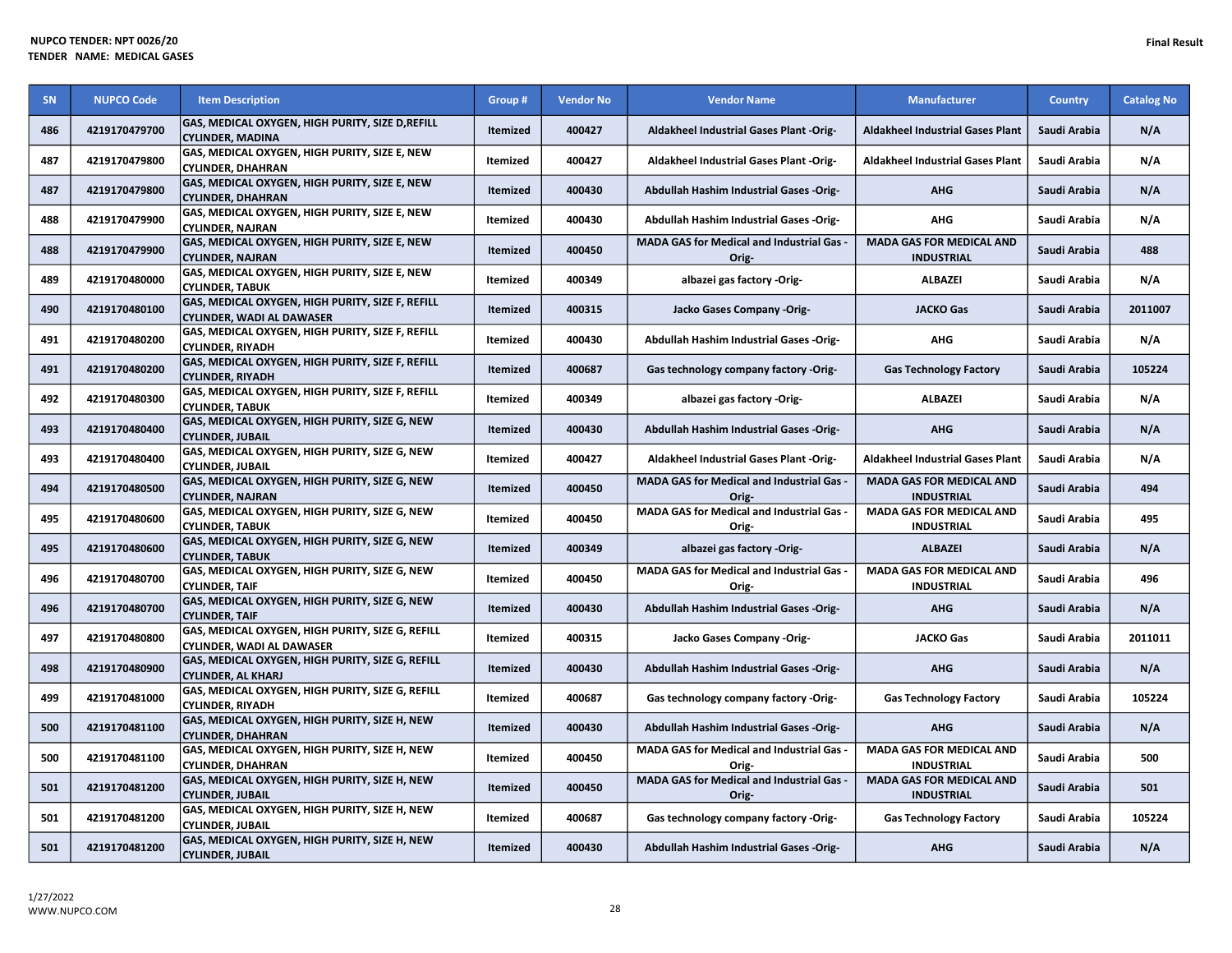| SN  | <b>NUPCO Code</b> | <b>Item Description</b>                                                              | Group #         | <b>Vendor No</b> | <b>Vendor Name</b>                                        | <b>Manufacturer</b>                                  | <b>Country</b> | <b>Catalog No</b> |
|-----|-------------------|--------------------------------------------------------------------------------------|-----------------|------------------|-----------------------------------------------------------|------------------------------------------------------|----------------|-------------------|
| 486 | 4219170479700     | GAS, MEDICAL OXYGEN, HIGH PURITY, SIZE D, REFILL<br><b>CYLINDER, MADINA</b>          | Itemized        | 400427           | Aldakheel Industrial Gases Plant -Orig-                   | <b>Aldakheel Industrial Gases Plant</b>              | Saudi Arabia   | N/A               |
| 487 | 4219170479800     | GAS, MEDICAL OXYGEN, HIGH PURITY, SIZE E, NEW<br><b>CYLINDER, DHAHRAN</b>            | Itemized        | 400427           | Aldakheel Industrial Gases Plant -Orig-                   | <b>Aldakheel Industrial Gases Plant</b>              | Saudi Arabia   | N/A               |
| 487 | 4219170479800     | GAS, MEDICAL OXYGEN, HIGH PURITY, SIZE E, NEW<br><b>CYLINDER, DHAHRAN</b>            | Itemized        | 400430           | Abdullah Hashim Industrial Gases -Orig-                   | <b>AHG</b>                                           | Saudi Arabia   | N/A               |
| 488 | 4219170479900     | GAS, MEDICAL OXYGEN, HIGH PURITY, SIZE E, NEW<br><b>CYLINDER, NAJRAN</b>             | Itemized        | 400430           | Abdullah Hashim Industrial Gases -Orig-                   | <b>AHG</b>                                           | Saudi Arabia   | N/A               |
| 488 | 4219170479900     | GAS, MEDICAL OXYGEN, HIGH PURITY, SIZE E, NEW<br><b>CYLINDER, NAJRAN</b>             | Itemized        | 400450           | MADA GAS for Medical and Industrial Gas -<br>Orig-        | <b>MADA GAS FOR MEDICAL AND</b><br><b>INDUSTRIAL</b> | Saudi Arabia   | 488               |
| 489 | 4219170480000     | GAS, MEDICAL OXYGEN, HIGH PURITY, SIZE E, NEW<br><b>CYLINDER, TABUK</b>              | Itemized        | 400349           | albazei gas factory -Orig-                                | <b>ALBAZEI</b>                                       | Saudi Arabia   | N/A               |
| 490 | 4219170480100     | GAS, MEDICAL OXYGEN, HIGH PURITY, SIZE F, REFILL<br><b>CYLINDER, WADI AL DAWASER</b> | Itemized        | 400315           | Jacko Gases Company -Orig-                                | <b>JACKO Gas</b>                                     | Saudi Arabia   | 2011007           |
| 491 | 4219170480200     | GAS, MEDICAL OXYGEN, HIGH PURITY, SIZE F, REFILL<br><b>CYLINDER, RIYADH</b>          | Itemized        | 400430           | Abdullah Hashim Industrial Gases -Orig-                   | AHG                                                  | Saudi Arabia   | N/A               |
| 491 | 4219170480200     | GAS, MEDICAL OXYGEN, HIGH PURITY, SIZE F, REFILL<br><b>CYLINDER, RIYADH</b>          | Itemized        | 400687           | Gas technology company factory -Orig-                     | <b>Gas Technology Factory</b>                        | Saudi Arabia   | 105224            |
| 492 | 4219170480300     | GAS, MEDICAL OXYGEN, HIGH PURITY, SIZE F, REFILL<br><b>CYLINDER, TABUK</b>           | Itemized        | 400349           | albazei gas factory -Orig-                                | <b>ALBAZEI</b>                                       | Saudi Arabia   | N/A               |
| 493 | 4219170480400     | GAS, MEDICAL OXYGEN, HIGH PURITY, SIZE G, NEW<br><b>CYLINDER, JUBAIL</b>             | Itemized        | 400430           | Abdullah Hashim Industrial Gases -Orig-                   | <b>AHG</b>                                           | Saudi Arabia   | N/A               |
| 493 | 4219170480400     | GAS, MEDICAL OXYGEN, HIGH PURITY, SIZE G, NEW<br><b>CYLINDER, JUBAIL</b>             | Itemized        | 400427           | <b>Aldakheel Industrial Gases Plant -Orig-</b>            | <b>Aldakheel Industrial Gases Plant</b>              | Saudi Arabia   | N/A               |
| 494 | 4219170480500     | GAS, MEDICAL OXYGEN, HIGH PURITY, SIZE G, NEW<br><b>CYLINDER, NAJRAN</b>             | Itemized        | 400450           | <b>MADA GAS for Medical and Industrial Gas -</b><br>Orig- | <b>MADA GAS FOR MEDICAL AND</b><br><b>INDUSTRIAL</b> | Saudi Arabia   | 494               |
| 495 | 4219170480600     | GAS, MEDICAL OXYGEN, HIGH PURITY, SIZE G, NEW<br><b>CYLINDER, TABUK</b>              | Itemized        | 400450           | MADA GAS for Medical and Industrial Gas -<br>Orig-        | <b>MADA GAS FOR MEDICAL AND</b><br><b>INDUSTRIAL</b> | Saudi Arabia   | 495               |
| 495 | 4219170480600     | GAS, MEDICAL OXYGEN, HIGH PURITY, SIZE G, NEW<br><b>CYLINDER, TABUK</b>              | Itemized        | 400349           | albazei gas factory -Orig-                                | <b>ALBAZEI</b>                                       | Saudi Arabia   | N/A               |
| 496 | 4219170480700     | GAS, MEDICAL OXYGEN, HIGH PURITY, SIZE G, NEW<br><b>CYLINDER, TAIF</b>               | Itemized        | 400450           | MADA GAS for Medical and Industrial Gas -<br>Orig-        | <b>MADA GAS FOR MEDICAL AND</b><br><b>INDUSTRIAL</b> | Saudi Arabia   | 496               |
| 496 | 4219170480700     | GAS, MEDICAL OXYGEN, HIGH PURITY, SIZE G, NEW<br><b>CYLINDER, TAIF</b>               | Itemized        | 400430           | Abdullah Hashim Industrial Gases -Orig-                   | <b>AHG</b>                                           | Saudi Arabia   | N/A               |
| 497 | 4219170480800     | GAS, MEDICAL OXYGEN, HIGH PURITY, SIZE G, REFILL<br><b>CYLINDER, WADI AL DAWASER</b> | Itemized        | 400315           | Jacko Gases Company -Orig-                                | <b>JACKO Gas</b>                                     | Saudi Arabia   | 2011011           |
| 498 | 4219170480900     | GAS, MEDICAL OXYGEN, HIGH PURITY, SIZE G, REFILL<br><b>CYLINDER, AL KHARJ</b>        | Itemized        | 400430           | Abdullah Hashim Industrial Gases -Orig-                   | <b>AHG</b>                                           | Saudi Arabia   | N/A               |
| 499 | 4219170481000     | GAS, MEDICAL OXYGEN, HIGH PURITY, SIZE G, REFILL<br><b>CYLINDER, RIYADH</b>          | Itemized        | 400687           | Gas technology company factory -Orig-                     | <b>Gas Technology Factory</b>                        | Saudi Arabia   | 105224            |
| 500 | 4219170481100     | GAS, MEDICAL OXYGEN, HIGH PURITY, SIZE H, NEW<br><b>CYLINDER, DHAHRAN</b>            | Itemized        | 400430           | Abdullah Hashim Industrial Gases -Orig-                   | <b>AHG</b>                                           | Saudi Arabia   | N/A               |
| 500 | 4219170481100     | GAS, MEDICAL OXYGEN, HIGH PURITY, SIZE H, NEW<br><b>CYLINDER, DHAHRAN</b>            | <b>Itemized</b> | 400450           | <b>MADA GAS for Medical and Industrial Gas -</b><br>Orig- | <b>MADA GAS FOR MEDICAL AND</b><br><b>INDUSTRIAL</b> | Saudi Arabia   | 500               |
| 501 | 4219170481200     | GAS, MEDICAL OXYGEN, HIGH PURITY, SIZE H, NEW<br><b>CYLINDER, JUBAIL</b>             | Itemized        | 400450           | MADA GAS for Medical and Industrial Gas -<br>Orig-        | <b>MADA GAS FOR MEDICAL AND</b><br><b>INDUSTRIAL</b> | Saudi Arabia   | 501               |
| 501 | 4219170481200     | GAS, MEDICAL OXYGEN, HIGH PURITY, SIZE H, NEW<br><b>CYLINDER, JUBAIL</b>             | Itemized        | 400687           | Gas technology company factory -Orig-                     | <b>Gas Technology Factory</b>                        | Saudi Arabia   | 105224            |
| 501 | 4219170481200     | GAS, MEDICAL OXYGEN, HIGH PURITY, SIZE H, NEW<br><b>CYLINDER, JUBAIL</b>             | Itemized        | 400430           | Abdullah Hashim Industrial Gases -Orig-                   | <b>AHG</b>                                           | Saudi Arabia   | N/A               |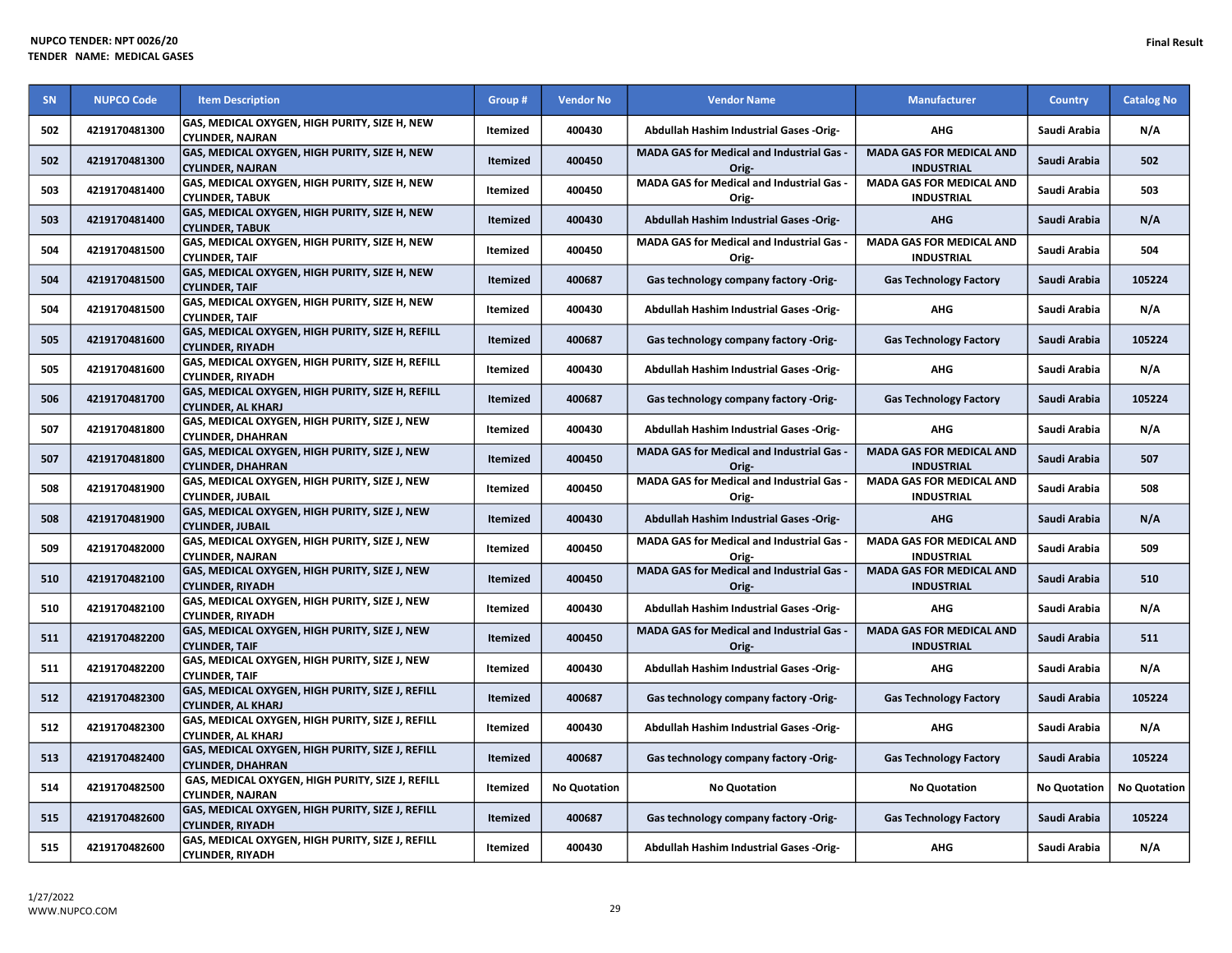| SN  | <b>NUPCO Code</b> | <b>Item Description</b>                                                       | Group #         | <b>Vendor No</b>    | <b>Vendor Name</b>                                        | <b>Manufacturer</b>                                  | <b>Country</b>      | <b>Catalog No</b>   |
|-----|-------------------|-------------------------------------------------------------------------------|-----------------|---------------------|-----------------------------------------------------------|------------------------------------------------------|---------------------|---------------------|
| 502 | 4219170481300     | GAS, MEDICAL OXYGEN, HIGH PURITY, SIZE H, NEW<br><b>CYLINDER, NAJRAN</b>      | <b>Itemized</b> | 400430              | Abdullah Hashim Industrial Gases -Orig-                   | <b>AHG</b>                                           | Saudi Arabia        | N/A                 |
| 502 | 4219170481300     | GAS, MEDICAL OXYGEN, HIGH PURITY, SIZE H, NEW<br><b>CYLINDER, NAJRAN</b>      | Itemized        | 400450              | <b>MADA GAS for Medical and Industrial Gas -</b><br>Orig- | <b>MADA GAS FOR MEDICAL AND</b><br><b>INDUSTRIAL</b> | Saudi Arabia        | 502                 |
| 503 | 4219170481400     | GAS, MEDICAL OXYGEN, HIGH PURITY, SIZE H, NEW<br><b>CYLINDER, TABUK</b>       | <b>Itemized</b> | 400450              | MADA GAS for Medical and Industrial Gas -<br>Orig-        | <b>MADA GAS FOR MEDICAL AND</b><br><b>INDUSTRIAL</b> | Saudi Arabia        | 503                 |
| 503 | 4219170481400     | GAS, MEDICAL OXYGEN, HIGH PURITY, SIZE H, NEW<br><b>CYLINDER, TABUK</b>       | Itemized        | 400430              | Abdullah Hashim Industrial Gases -Orig-                   | <b>AHG</b>                                           | Saudi Arabia        | N/A                 |
| 504 | 4219170481500     | GAS, MEDICAL OXYGEN, HIGH PURITY, SIZE H, NEW<br><b>CYLINDER, TAIF</b>        | Itemized        | 400450              | MADA GAS for Medical and Industrial Gas -<br>Orig-        | <b>MADA GAS FOR MEDICAL AND</b><br><b>INDUSTRIAL</b> | Saudi Arabia        | 504                 |
| 504 | 4219170481500     | GAS, MEDICAL OXYGEN, HIGH PURITY, SIZE H, NEW<br><b>CYLINDER, TAIF</b>        | Itemized        | 400687              | Gas technology company factory -Orig-                     | <b>Gas Technology Factory</b>                        | Saudi Arabia        | 105224              |
| 504 | 4219170481500     | GAS, MEDICAL OXYGEN, HIGH PURITY, SIZE H, NEW<br><b>CYLINDER, TAIF</b>        | Itemized        | 400430              | Abdullah Hashim Industrial Gases -Orig-                   | <b>AHG</b>                                           | Saudi Arabia        | N/A                 |
| 505 | 4219170481600     | GAS, MEDICAL OXYGEN, HIGH PURITY, SIZE H, REFILL<br><b>CYLINDER, RIYADH</b>   | Itemized        | 400687              | Gas technology company factory -Orig-                     | <b>Gas Technology Factory</b>                        | Saudi Arabia        | 105224              |
| 505 | 4219170481600     | GAS, MEDICAL OXYGEN, HIGH PURITY, SIZE H, REFILL<br><b>CYLINDER, RIYADH</b>   | Itemized        | 400430              | Abdullah Hashim Industrial Gases -Orig-                   | <b>AHG</b>                                           | Saudi Arabia        | N/A                 |
| 506 | 4219170481700     | GAS, MEDICAL OXYGEN, HIGH PURITY, SIZE H, REFILL<br><b>CYLINDER, AL KHARJ</b> | <b>Itemized</b> | 400687              | Gas technology company factory -Orig-                     | <b>Gas Technology Factory</b>                        | Saudi Arabia        | 105224              |
| 507 | 4219170481800     | GAS, MEDICAL OXYGEN, HIGH PURITY, SIZE J, NEW<br><b>CYLINDER, DHAHRAN</b>     | Itemized        | 400430              | Abdullah Hashim Industrial Gases -Orig-                   | <b>AHG</b>                                           | Saudi Arabia        | N/A                 |
| 507 | 4219170481800     | GAS, MEDICAL OXYGEN, HIGH PURITY, SIZE J, NEW<br><b>CYLINDER, DHAHRAN</b>     | <b>Itemized</b> | 400450              | MADA GAS for Medical and Industrial Gas -<br>Orig-        | <b>MADA GAS FOR MEDICAL AND</b><br><b>INDUSTRIAL</b> | Saudi Arabia        | 507                 |
| 508 | 4219170481900     | GAS, MEDICAL OXYGEN, HIGH PURITY, SIZE J, NEW<br><b>CYLINDER, JUBAIL</b>      | Itemized        | 400450              | MADA GAS for Medical and Industrial Gas -<br>Orig-        | <b>MADA GAS FOR MEDICAL AND</b><br><b>INDUSTRIAL</b> | Saudi Arabia        | 508                 |
| 508 | 4219170481900     | GAS, MEDICAL OXYGEN, HIGH PURITY, SIZE J, NEW<br><b>CYLINDER, JUBAIL</b>      | Itemized        | 400430              | Abdullah Hashim Industrial Gases -Orig-                   | <b>AHG</b>                                           | Saudi Arabia        | N/A                 |
| 509 | 4219170482000     | GAS, MEDICAL OXYGEN, HIGH PURITY, SIZE J, NEW<br><b>CYLINDER, NAJRAN</b>      | Itemized        | 400450              | MADA GAS for Medical and Industrial Gas -<br>Orig-        | <b>MADA GAS FOR MEDICAL AND</b><br><b>INDUSTRIAL</b> | Saudi Arabia        | 509                 |
| 510 | 4219170482100     | GAS, MEDICAL OXYGEN, HIGH PURITY, SIZE J, NEW<br><b>CYLINDER, RIYADH</b>      | Itemized        | 400450              | MADA GAS for Medical and Industrial Gas -<br>Orig-        | <b>MADA GAS FOR MEDICAL AND</b><br><b>INDUSTRIAL</b> | Saudi Arabia        | 510                 |
| 510 | 4219170482100     | GAS, MEDICAL OXYGEN, HIGH PURITY, SIZE J, NEW<br><b>CYLINDER, RIYADH</b>      | Itemized        | 400430              | Abdullah Hashim Industrial Gases -Orig-                   | AHG                                                  | Saudi Arabia        | N/A                 |
| 511 | 4219170482200     | GAS, MEDICAL OXYGEN, HIGH PURITY, SIZE J, NEW<br><b>CYLINDER, TAIF</b>        | Itemized        | 400450              | MADA GAS for Medical and Industrial Gas -<br>Orig-        | <b>MADA GAS FOR MEDICAL AND</b><br><b>INDUSTRIAL</b> | Saudi Arabia        | 511                 |
| 511 | 4219170482200     | GAS, MEDICAL OXYGEN, HIGH PURITY, SIZE J, NEW<br><b>CYLINDER, TAIF</b>        | Itemized        | 400430              | Abdullah Hashim Industrial Gases -Orig-                   | <b>AHG</b>                                           | Saudi Arabia        | N/A                 |
| 512 | 4219170482300     | GAS, MEDICAL OXYGEN, HIGH PURITY, SIZE J, REFILL<br><b>CYLINDER, AL KHARJ</b> | Itemized        | 400687              | Gas technology company factory -Orig-                     | <b>Gas Technology Factory</b>                        | Saudi Arabia        | 105224              |
| 512 | 4219170482300     | GAS, MEDICAL OXYGEN, HIGH PURITY, SIZE J, REFILL<br><b>CYLINDER, AL KHARJ</b> | Itemized        | 400430              | Abdullah Hashim Industrial Gases -Orig-                   | <b>AHG</b>                                           | Saudi Arabia        | N/A                 |
| 513 | 4219170482400     | GAS, MEDICAL OXYGEN, HIGH PURITY, SIZE J, REFILL<br><b>CYLINDER, DHAHRAN</b>  | Itemized        | 400687              | Gas technology company factory -Orig-                     | <b>Gas Technology Factory</b>                        | Saudi Arabia        | 105224              |
| 514 | 4219170482500     | GAS, MEDICAL OXYGEN, HIGH PURITY, SIZE J, REFILL<br><b>CYLINDER, NAJRAN</b>   | <b>Itemized</b> | <b>No Quotation</b> | <b>No Quotation</b>                                       | <b>No Quotation</b>                                  | <b>No Quotation</b> | <b>No Quotation</b> |
| 515 | 4219170482600     | GAS, MEDICAL OXYGEN, HIGH PURITY, SIZE J, REFILL<br><b>CYLINDER, RIYADH</b>   | Itemized        | 400687              | Gas technology company factory -Orig-                     | <b>Gas Technology Factory</b>                        | Saudi Arabia        | 105224              |
| 515 | 4219170482600     | GAS, MEDICAL OXYGEN, HIGH PURITY, SIZE J, REFILL<br><b>CYLINDER, RIYADH</b>   | Itemized        | 400430              | <b>Abdullah Hashim Industrial Gases -Orig-</b>            | <b>AHG</b>                                           | Saudi Arabia        | N/A                 |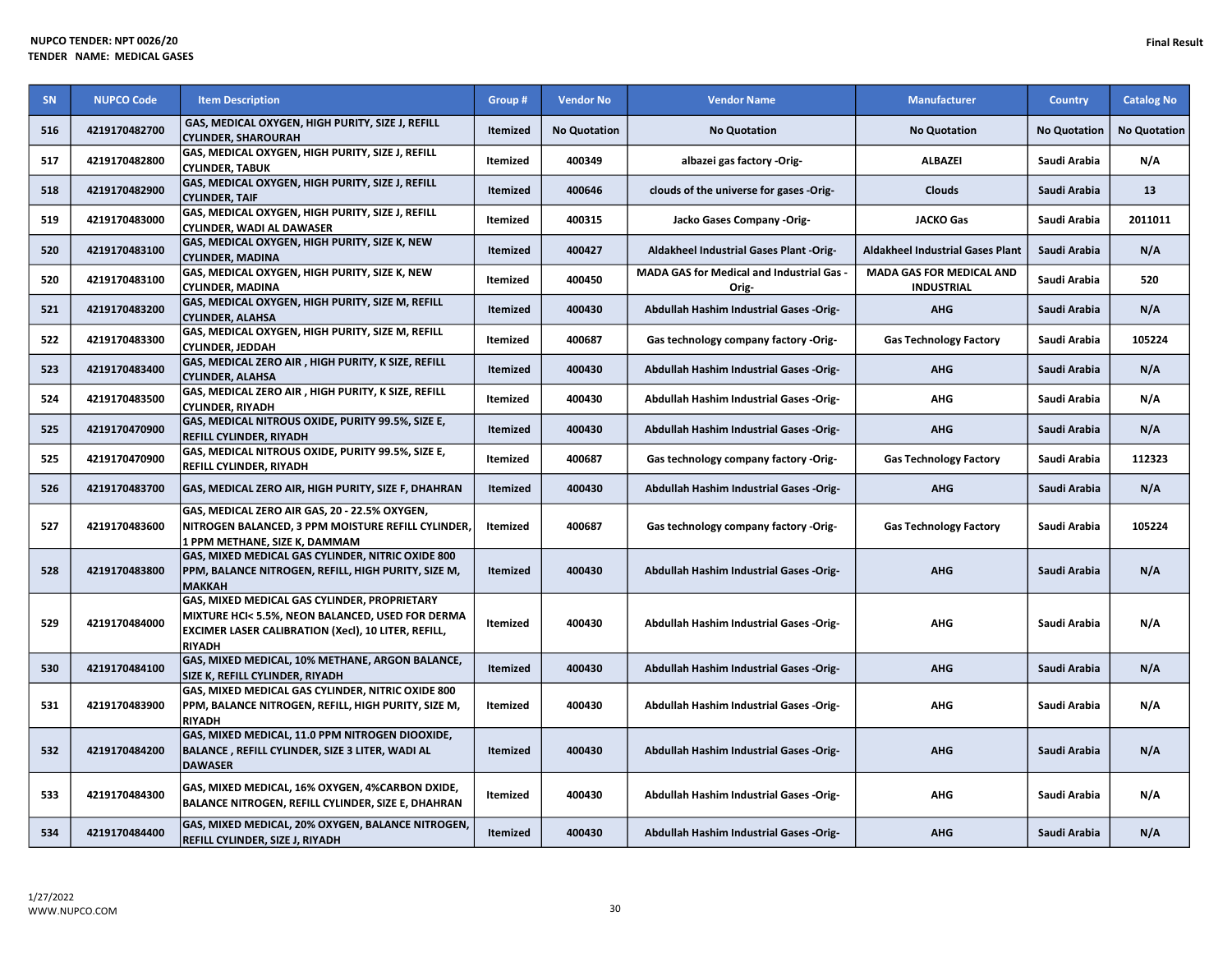| SN  | <b>NUPCO Code</b> | <b>Item Description</b>                                                                                                                                                  | Group #         | <b>Vendor No</b>    | <b>Vendor Name</b>                                 | <b>Manufacturer</b>                                  | <b>Country</b>      | <b>Catalog No</b>   |
|-----|-------------------|--------------------------------------------------------------------------------------------------------------------------------------------------------------------------|-----------------|---------------------|----------------------------------------------------|------------------------------------------------------|---------------------|---------------------|
| 516 | 4219170482700     | GAS, MEDICAL OXYGEN, HIGH PURITY, SIZE J, REFILL<br><b>CYLINDER, SHAROURAH</b>                                                                                           | <b>Itemized</b> | <b>No Quotation</b> | <b>No Quotation</b>                                | <b>No Quotation</b>                                  | <b>No Quotation</b> | <b>No Quotation</b> |
| 517 | 4219170482800     | GAS, MEDICAL OXYGEN, HIGH PURITY, SIZE J, REFILL<br><b>CYLINDER, TABUK</b>                                                                                               | Itemized        | 400349              | albazei gas factory -Orig-                         | <b>ALBAZEI</b>                                       | Saudi Arabia        | N/A                 |
| 518 | 4219170482900     | GAS, MEDICAL OXYGEN, HIGH PURITY, SIZE J, REFILL<br><b>CYLINDER, TAIF</b>                                                                                                | Itemized        | 400646              | clouds of the universe for gases -Orig-            | Clouds                                               | Saudi Arabia        | 13                  |
| 519 | 4219170483000     | GAS, MEDICAL OXYGEN, HIGH PURITY, SIZE J, REFILL<br><b>CYLINDER, WADI AL DAWASER</b>                                                                                     | Itemized        | 400315              | Jacko Gases Company -Orig-                         | <b>JACKO Gas</b>                                     | Saudi Arabia        | 2011011             |
| 520 | 4219170483100     | GAS, MEDICAL OXYGEN, HIGH PURITY, SIZE K, NEW<br><b>CYLINDER, MADINA</b>                                                                                                 | Itemized        | 400427              | Aldakheel Industrial Gases Plant -Orig-            | <b>Aldakheel Industrial Gases Plant</b>              | Saudi Arabia        | N/A                 |
| 520 | 4219170483100     | GAS, MEDICAL OXYGEN, HIGH PURITY, SIZE K, NEW<br><b>CYLINDER, MADINA</b>                                                                                                 | Itemized        | 400450              | MADA GAS for Medical and Industrial Gas -<br>Orig- | <b>MADA GAS FOR MEDICAL AND</b><br><b>INDUSTRIAL</b> | Saudi Arabia        | 520                 |
| 521 | 4219170483200     | GAS, MEDICAL OXYGEN, HIGH PURITY, SIZE M, REFILL<br><b>CYLINDER, ALAHSA</b>                                                                                              | Itemized        | 400430              | Abdullah Hashim Industrial Gases -Orig-            | <b>AHG</b>                                           | Saudi Arabia        | N/A                 |
| 522 | 4219170483300     | GAS, MEDICAL OXYGEN, HIGH PURITY, SIZE M, REFILL<br><b>CYLINDER, JEDDAH</b>                                                                                              | Itemized        | 400687              | Gas technology company factory -Orig-              | <b>Gas Technology Factory</b>                        | Saudi Arabia        | 105224              |
| 523 | 4219170483400     | GAS, MEDICAL ZERO AIR, HIGH PURITY, K SIZE, REFILL<br><b>CYLINDER, ALAHSA</b>                                                                                            | <b>Itemized</b> | 400430              | Abdullah Hashim Industrial Gases -Orig-            | <b>AHG</b>                                           | Saudi Arabia        | N/A                 |
| 524 | 4219170483500     | GAS, MEDICAL ZERO AIR, HIGH PURITY, K SIZE, REFILL<br><b>CYLINDER, RIYADH</b>                                                                                            | Itemized        | 400430              | Abdullah Hashim Industrial Gases -Orig-            | <b>AHG</b>                                           | Saudi Arabia        | N/A                 |
| 525 | 4219170470900     | GAS, MEDICAL NITROUS OXIDE, PURITY 99.5%, SIZE E,<br><b>REFILL CYLINDER, RIYADH</b>                                                                                      | <b>Itemized</b> | 400430              | Abdullah Hashim Industrial Gases -Orig-            | <b>AHG</b>                                           | Saudi Arabia        | N/A                 |
| 525 | 4219170470900     | GAS, MEDICAL NITROUS OXIDE, PURITY 99.5%, SIZE E,<br>REFILL CYLINDER, RIYADH                                                                                             | Itemized        | 400687              | Gas technology company factory -Orig-              | <b>Gas Technology Factory</b>                        | Saudi Arabia        | 112323              |
| 526 | 4219170483700     | GAS, MEDICAL ZERO AIR, HIGH PURITY, SIZE F, DHAHRAN                                                                                                                      | Itemized        | 400430              | Abdullah Hashim Industrial Gases -Orig-            | <b>AHG</b>                                           | Saudi Arabia        | N/A                 |
| 527 | 4219170483600     | GAS, MEDICAL ZERO AIR GAS, 20 - 22.5% OXYGEN,<br>NITROGEN BALANCED, 3 PPM MOISTURE REFILL CYLINDER,<br>1 PPM METHANE, SIZE K, DAMMAM                                     | Itemized        | 400687              | Gas technology company factory -Orig-              | <b>Gas Technology Factory</b>                        | Saudi Arabia        | 105224              |
| 528 | 4219170483800     | GAS, MIXED MEDICAL GAS CYLINDER, NITRIC OXIDE 800<br>PPM, BALANCE NITROGEN, REFILL, HIGH PURITY, SIZE M,<br><b>МАККАН</b>                                                | Itemized        | 400430              | Abdullah Hashim Industrial Gases -Orig-            | <b>AHG</b>                                           | Saudi Arabia        | N/A                 |
| 529 | 4219170484000     | GAS, MIXED MEDICAL GAS CYLINDER, PROPRIETARY<br>MIXTURE HCI< 5.5%, NEON BALANCED, USED FOR DERMA<br>EXCIMER LASER CALIBRATION (Xecl), 10 LITER, REFILL,<br><b>RIYADH</b> | Itemized        | 400430              | <b>Abdullah Hashim Industrial Gases -Orig-</b>     | <b>AHG</b>                                           | Saudi Arabia        | N/A                 |
| 530 | 4219170484100     | GAS, MIXED MEDICAL, 10% METHANE, ARGON BALANCE,<br>SIZE K, REFILL CYLINDER, RIYADH                                                                                       | Itemized        | 400430              | Abdullah Hashim Industrial Gases -Orig-            | <b>AHG</b>                                           | Saudi Arabia        | N/A                 |
| 531 | 4219170483900     | GAS, MIXED MEDICAL GAS CYLINDER, NITRIC OXIDE 800<br>PPM, BALANCE NITROGEN, REFILL, HIGH PURITY, SIZE M,<br><b>RIYADH</b>                                                | Itemized        | 400430              | <b>Abdullah Hashim Industrial Gases -Orig-</b>     | <b>AHG</b>                                           | Saudi Arabia        | N/A                 |
| 532 | 4219170484200     | GAS, MIXED MEDICAL, 11.0 PPM NITROGEN DIOOXIDE,<br>BALANCE, REFILL CYLINDER, SIZE 3 LITER, WADI AL<br><b>DAWASER</b>                                                     | <b>Itemized</b> | 400430              | Abdullah Hashim Industrial Gases -Orig-            | <b>AHG</b>                                           | Saudi Arabia        | N/A                 |
| 533 | 4219170484300     | GAS, MIXED MEDICAL, 16% OXYGEN, 4%CARBON DXIDE,<br>BALANCE NITROGEN, REFILL CYLINDER, SIZE E, DHAHRAN                                                                    | Itemized        | 400430              | Abdullah Hashim Industrial Gases -Orig-            | <b>AHG</b>                                           | Saudi Arabia        | N/A                 |
| 534 | 4219170484400     | GAS, MIXED MEDICAL, 20% OXYGEN, BALANCE NITROGEN,<br>REFILL CYLINDER, SIZE J, RIYADH                                                                                     | Itemized        | 400430              | Abdullah Hashim Industrial Gases -Orig-            | <b>AHG</b>                                           | Saudi Arabia        | N/A                 |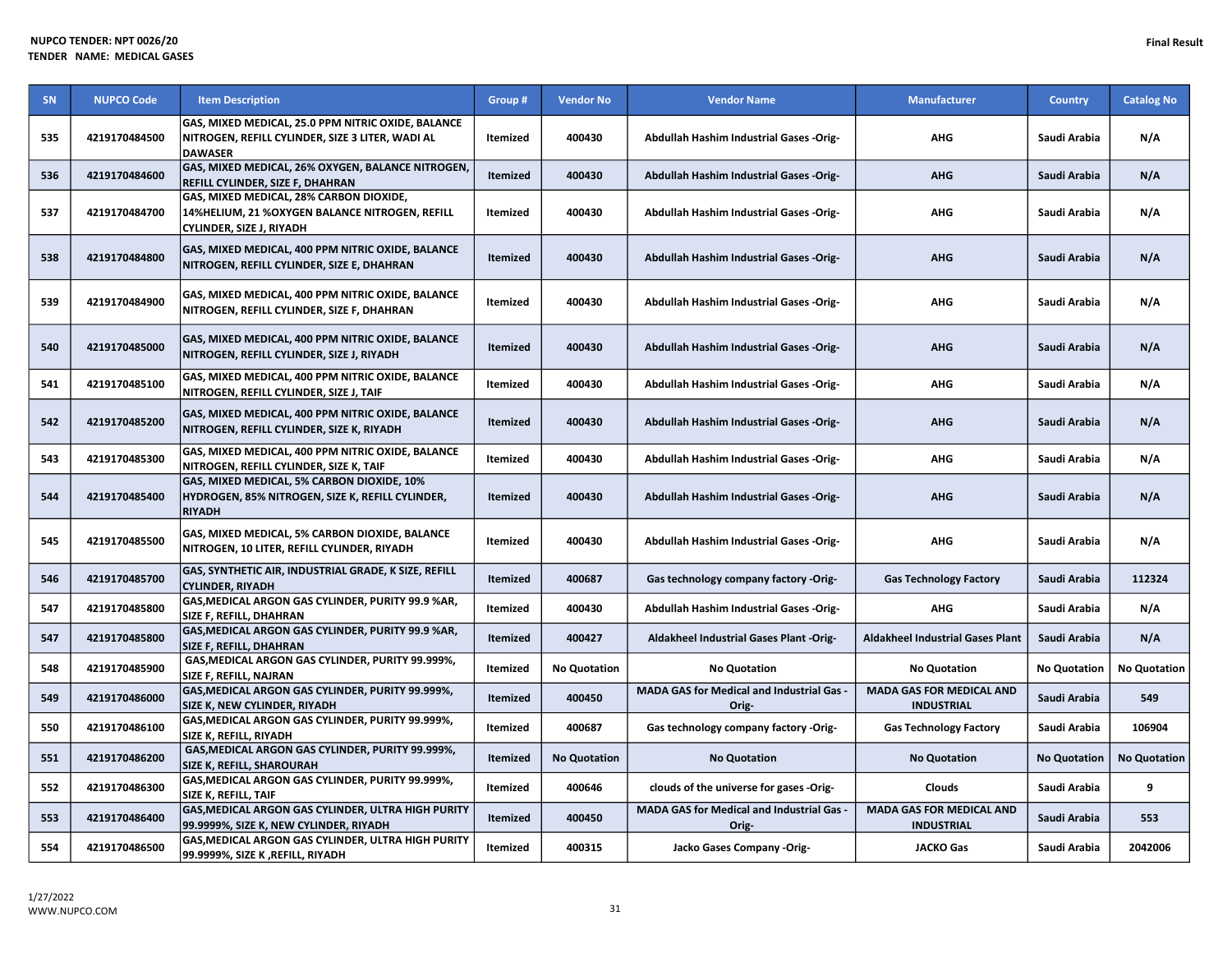| SN  | <b>NUPCO Code</b> | <b>Item Description</b>                                                                                                  | Group #         | <b>Vendor No</b>    | <b>Vendor Name</b>                                        | <b>Manufacturer</b>                                  | <b>Country</b>      | <b>Catalog No</b>   |
|-----|-------------------|--------------------------------------------------------------------------------------------------------------------------|-----------------|---------------------|-----------------------------------------------------------|------------------------------------------------------|---------------------|---------------------|
| 535 | 4219170484500     | GAS, MIXED MEDICAL, 25.0 PPM NITRIC OXIDE, BALANCE<br>NITROGEN, REFILL CYLINDER, SIZE 3 LITER, WADI AL<br><b>DAWASER</b> | <b>Itemized</b> | 400430              | Abdullah Hashim Industrial Gases -Orig-                   | <b>AHG</b>                                           | Saudi Arabia        | N/A                 |
| 536 | 4219170484600     | GAS, MIXED MEDICAL, 26% OXYGEN, BALANCE NITROGEN,<br>REFILL CYLINDER, SIZE F, DHAHRAN                                    | Itemized        | 400430              | Abdullah Hashim Industrial Gases -Orig-                   | <b>AHG</b>                                           | Saudi Arabia        | N/A                 |
| 537 | 4219170484700     | GAS, MIXED MEDICAL, 28% CARBON DIOXIDE,<br>14%HELIUM, 21 %OXYGEN BALANCE NITROGEN, REFILL<br>CYLINDER, SIZE J, RIYADH    | Itemized        | 400430              | Abdullah Hashim Industrial Gases -Orig-                   | AHG                                                  | Saudi Arabia        | N/A                 |
| 538 | 4219170484800     | GAS, MIXED MEDICAL, 400 PPM NITRIC OXIDE, BALANCE<br>NITROGEN, REFILL CYLINDER, SIZE E, DHAHRAN                          | <b>Itemized</b> | 400430              | Abdullah Hashim Industrial Gases -Orig-                   | <b>AHG</b>                                           | Saudi Arabia        | N/A                 |
| 539 | 4219170484900     | GAS, MIXED MEDICAL, 400 PPM NITRIC OXIDE, BALANCE<br>NITROGEN, REFILL CYLINDER, SIZE F, DHAHRAN                          | <b>Itemized</b> | 400430              | Abdullah Hashim Industrial Gases -Orig-                   | <b>AHG</b>                                           | Saudi Arabia        | N/A                 |
| 540 | 4219170485000     | GAS, MIXED MEDICAL, 400 PPM NITRIC OXIDE, BALANCE<br>NITROGEN, REFILL CYLINDER, SIZE J, RIYADH                           | <b>Itemized</b> | 400430              | Abdullah Hashim Industrial Gases -Orig-                   | <b>AHG</b>                                           | Saudi Arabia        | N/A                 |
| 541 | 4219170485100     | GAS, MIXED MEDICAL, 400 PPM NITRIC OXIDE, BALANCE<br>NITROGEN, REFILL CYLINDER, SIZE J, TAIF                             | Itemized        | 400430              | <b>Abdullah Hashim Industrial Gases -Orig-</b>            | AHG                                                  | Saudi Arabia        | N/A                 |
| 542 | 4219170485200     | GAS, MIXED MEDICAL, 400 PPM NITRIC OXIDE, BALANCE<br>NITROGEN, REFILL CYLINDER, SIZE K, RIYADH                           | <b>Itemized</b> | 400430              | Abdullah Hashim Industrial Gases -Orig-                   | <b>AHG</b>                                           | Saudi Arabia        | N/A                 |
| 543 | 4219170485300     | GAS, MIXED MEDICAL, 400 PPM NITRIC OXIDE, BALANCE<br>NITROGEN, REFILL CYLINDER, SIZE K, TAIF                             | Itemized        | 400430              | Abdullah Hashim Industrial Gases -Orig-                   | AHG                                                  | Saudi Arabia        | N/A                 |
| 544 | 4219170485400     | GAS, MIXED MEDICAL, 5% CARBON DIOXIDE, 10%<br>HYDROGEN, 85% NITROGEN, SIZE K, REFILL CYLINDER,<br><b>RIYADH</b>          | <b>Itemized</b> | 400430              | Abdullah Hashim Industrial Gases -Orig-                   | <b>AHG</b>                                           | Saudi Arabia        | N/A                 |
| 545 | 4219170485500     | GAS, MIXED MEDICAL, 5% CARBON DIOXIDE, BALANCE<br>NITROGEN, 10 LITER, REFILL CYLINDER, RIYADH                            | Itemized        | 400430              | Abdullah Hashim Industrial Gases -Orig-                   | AHG                                                  | Saudi Arabia        | N/A                 |
| 546 | 4219170485700     | GAS, SYNTHETIC AIR, INDUSTRIAL GRADE, K SIZE, REFILL<br><b>CYLINDER, RIYADH</b>                                          | <b>Itemized</b> | 400687              | Gas technology company factory -Orig-                     | <b>Gas Technology Factory</b>                        | Saudi Arabia        | 112324              |
| 547 | 4219170485800     | GAS, MEDICAL ARGON GAS CYLINDER, PURITY 99.9 %AR,<br>SIZE F, REFILL, DHAHRAN                                             | Itemized        | 400430              | Abdullah Hashim Industrial Gases -Orig-                   | AHG                                                  | Saudi Arabia        | N/A                 |
| 547 | 4219170485800     | GAS, MEDICAL ARGON GAS CYLINDER, PURITY 99.9 %AR,<br>SIZE F, REFILL, DHAHRAN                                             | <b>Itemized</b> | 400427              | Aldakheel Industrial Gases Plant -Orig-                   | <b>Aldakheel Industrial Gases Plant</b>              | Saudi Arabia        | N/A                 |
| 548 | 4219170485900     | GAS, MEDICAL ARGON GAS CYLINDER, PURITY 99.999%,<br>SIZE F, REFILL, NAJRAN                                               | Itemized        | <b>No Quotation</b> | <b>No Quotation</b>                                       | <b>No Quotation</b>                                  | <b>No Quotation</b> | <b>No Quotation</b> |
| 549 | 4219170486000     | GAS, MEDICAL ARGON GAS CYLINDER, PURITY 99.999%,<br>SIZE K, NEW CYLINDER, RIYADH                                         | <b>Itemized</b> | 400450              | <b>MADA GAS for Medical and Industrial Gas</b><br>Orig-   | <b>MADA GAS FOR MEDICAL AND</b><br><b>INDUSTRIAL</b> | Saudi Arabia        | 549                 |
| 550 | 4219170486100     | GAS, MEDICAL ARGON GAS CYLINDER, PURITY 99.999%,<br>SIZE K, REFILL, RIYADH                                               | Itemized        | 400687              | Gas technology company factory -Orig-                     | <b>Gas Technology Factory</b>                        | Saudi Arabia        | 106904              |
| 551 | 4219170486200     | GAS, MEDICAL ARGON GAS CYLINDER, PURITY 99.999%,<br><b>SIZE K, REFILL, SHAROURAH</b>                                     | <b>Itemized</b> | <b>No Quotation</b> | <b>No Quotation</b>                                       | <b>No Quotation</b>                                  | <b>No Quotation</b> | <b>No Quotation</b> |
| 552 | 4219170486300     | GAS, MEDICAL ARGON GAS CYLINDER, PURITY 99.999%,<br>SIZE K, REFILL, TAIF                                                 | Itemized        | 400646              | clouds of the universe for gases -Orig-                   | Clouds                                               | Saudi Arabia        | 9                   |
| 553 | 4219170486400     | GAS, MEDICAL ARGON GAS CYLINDER, ULTRA HIGH PURITY<br>99.9999%, SIZE K, NEW CYLINDER, RIYADH                             | Itemized        | 400450              | <b>MADA GAS for Medical and Industrial Gas -</b><br>Orig- | <b>MADA GAS FOR MEDICAL AND</b><br><b>INDUSTRIAL</b> | Saudi Arabia        | 553                 |
| 554 | 4219170486500     | GAS, MEDICAL ARGON GAS CYLINDER, ULTRA HIGH PURITY<br>99.9999%, SIZE K ,REFILL, RIYADH                                   | Itemized        | 400315              | Jacko Gases Company -Orig-                                | <b>JACKO Gas</b>                                     | Saudi Arabia        | 2042006             |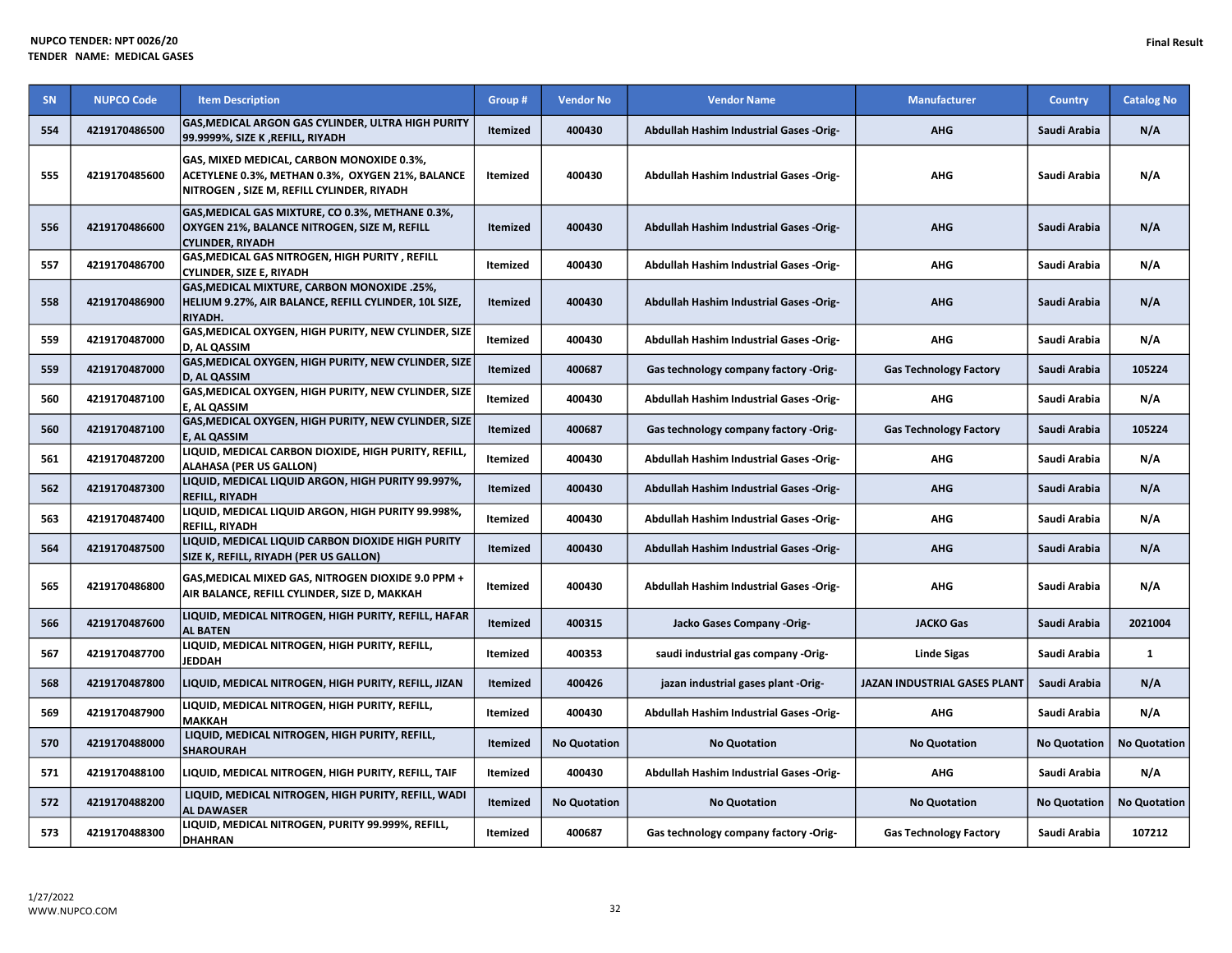| SN  | <b>NUPCO Code</b> | <b>Item Description</b>                                                                                                                    | Group #         | <b>Vendor No</b>    | <b>Vendor Name</b>                             | <b>Manufacturer</b>                 | <b>Country</b>      | <b>Catalog No</b>   |
|-----|-------------------|--------------------------------------------------------------------------------------------------------------------------------------------|-----------------|---------------------|------------------------------------------------|-------------------------------------|---------------------|---------------------|
| 554 | 4219170486500     | GAS, MEDICAL ARGON GAS CYLINDER, ULTRA HIGH PURITY<br>99.9999%, SIZE K, REFILL, RIYADH                                                     | Itemized        | 400430              | Abdullah Hashim Industrial Gases -Orig-        | <b>AHG</b>                          | Saudi Arabia        | N/A                 |
| 555 | 4219170485600     | GAS, MIXED MEDICAL, CARBON MONOXIDE 0.3%,<br>ACETYLENE 0.3%, METHAN 0.3%, OXYGEN 21%, BALANCE<br>NITROGEN, SIZE M, REFILL CYLINDER, RIYADH | Itemized        | 400430              | <b>Abdullah Hashim Industrial Gases -Orig-</b> | <b>AHG</b>                          | Saudi Arabia        | N/A                 |
| 556 | 4219170486600     | GAS, MEDICAL GAS MIXTURE, CO 0.3%, METHANE 0.3%,<br>OXYGEN 21%, BALANCE NITROGEN, SIZE M, REFILL<br><b>CYLINDER, RIYADH</b>                | <b>Itemized</b> | 400430              | Abdullah Hashim Industrial Gases -Orig-        | <b>AHG</b>                          | Saudi Arabia        | N/A                 |
| 557 | 4219170486700     | GAS, MEDICAL GAS NITROGEN, HIGH PURITY, REFILL<br><b>CYLINDER, SIZE E, RIYADH</b>                                                          | Itemized        | 400430              | <b>Abdullah Hashim Industrial Gases -Orig-</b> | <b>AHG</b>                          | Saudi Arabia        | N/A                 |
| 558 | 4219170486900     | GAS, MEDICAL MIXTURE, CARBON MONOXIDE .25%,<br>HELIUM 9.27%, AIR BALANCE, REFILL CYLINDER, 10L SIZE,<br>RIYADH.                            | Itemized        | 400430              | Abdullah Hashim Industrial Gases -Orig-        | <b>AHG</b>                          | Saudi Arabia        | N/A                 |
| 559 | 4219170487000     | GAS, MEDICAL OXYGEN, HIGH PURITY, NEW CYLINDER, SIZE<br>D, AL QASSIM                                                                       | Itemized        | 400430              | <b>Abdullah Hashim Industrial Gases -Orig-</b> | <b>AHG</b>                          | Saudi Arabia        | N/A                 |
| 559 | 4219170487000     | GAS, MEDICAL OXYGEN, HIGH PURITY, NEW CYLINDER, SIZE<br><b>D, AL QASSIM</b>                                                                | <b>Itemized</b> | 400687              | Gas technology company factory -Orig-          | <b>Gas Technology Factory</b>       | Saudi Arabia        | 105224              |
| 560 | 4219170487100     | GAS, MEDICAL OXYGEN, HIGH PURITY, NEW CYLINDER, SIZE<br>E, AL QASSIM                                                                       | Itemized        | 400430              | Abdullah Hashim Industrial Gases -Orig-        | <b>AHG</b>                          | Saudi Arabia        | N/A                 |
| 560 | 4219170487100     | GAS, MEDICAL OXYGEN, HIGH PURITY, NEW CYLINDER, SIZE<br>E, AL QASSIM                                                                       | <b>Itemized</b> | 400687              | Gas technology company factory -Orig-          | <b>Gas Technology Factory</b>       | Saudi Arabia        | 105224              |
| 561 | 4219170487200     | LIQUID, MEDICAL CARBON DIOXIDE, HIGH PURITY, REFILL,<br><b>ALAHASA (PER US GALLON)</b>                                                     | Itemized        | 400430              | <b>Abdullah Hashim Industrial Gases -Orig-</b> | <b>AHG</b>                          | Saudi Arabia        | N/A                 |
| 562 | 4219170487300     | LIQUID, MEDICAL LIQUID ARGON, HIGH PURITY 99.997%,<br><b>REFILL, RIYADH</b>                                                                | <b>Itemized</b> | 400430              | <b>Abdullah Hashim Industrial Gases -Orig-</b> | <b>AHG</b>                          | Saudi Arabia        | N/A                 |
| 563 | 4219170487400     | LIQUID, MEDICAL LIQUID ARGON, HIGH PURITY 99.998%,<br><b>REFILL, RIYADH</b>                                                                | Itemized        | 400430              | Abdullah Hashim Industrial Gases -Orig-        | <b>AHG</b>                          | Saudi Arabia        | N/A                 |
| 564 | 4219170487500     | LIQUID, MEDICAL LIQUID CARBON DIOXIDE HIGH PURITY<br>SIZE K, REFILL, RIYADH (PER US GALLON)                                                | Itemized        | 400430              | Abdullah Hashim Industrial Gases -Orig-        | <b>AHG</b>                          | Saudi Arabia        | N/A                 |
| 565 | 4219170486800     | GAS, MEDICAL MIXED GAS, NITROGEN DIOXIDE 9.0 PPM +<br>AIR BALANCE, REFILL CYLINDER, SIZE D, MAKKAH                                         | Itemized        | 400430              | <b>Abdullah Hashim Industrial Gases -Orig-</b> | <b>AHG</b>                          | Saudi Arabia        | N/A                 |
| 566 | 4219170487600     | LIQUID, MEDICAL NITROGEN, HIGH PURITY, REFILL, HAFAR<br><b>AL BATEN</b>                                                                    | <b>Itemized</b> | 400315              | Jacko Gases Company -Orig-                     | <b>JACKO Gas</b>                    | Saudi Arabia        | 2021004             |
| 567 | 4219170487700     | LIQUID, MEDICAL NITROGEN, HIGH PURITY, REFILL,<br><b>JEDDAH</b>                                                                            | Itemized        | 400353              | saudi industrial gas company -Orig-            | Linde Sigas                         | Saudi Arabia        | $\mathbf{1}$        |
| 568 | 4219170487800     | LIQUID, MEDICAL NITROGEN, HIGH PURITY, REFILL, JIZAN                                                                                       | <b>Itemized</b> | 400426              | jazan industrial gases plant -Orig-            | <b>JAZAN INDUSTRIAL GASES PLANT</b> | Saudi Arabia        | N/A                 |
| 569 | 4219170487900     | LIQUID, MEDICAL NITROGEN, HIGH PURITY, REFILL,<br><b>MAKKAH</b>                                                                            | Itemized        | 400430              | Abdullah Hashim Industrial Gases -Orig-        | <b>AHG</b>                          | Saudi Arabia        | N/A                 |
| 570 | 4219170488000     | LIQUID, MEDICAL NITROGEN, HIGH PURITY, REFILL,<br><b>SHAROURAH</b>                                                                         | <b>Itemized</b> | <b>No Quotation</b> | <b>No Quotation</b>                            | <b>No Quotation</b>                 | <b>No Quotation</b> | <b>No Quotation</b> |
| 571 | 4219170488100     | LIQUID, MEDICAL NITROGEN, HIGH PURITY, REFILL, TAIF                                                                                        | Itemized        | 400430              | Abdullah Hashim Industrial Gases -Orig-        | <b>AHG</b>                          | Saudi Arabia        | N/A                 |
| 572 | 4219170488200     | LIQUID, MEDICAL NITROGEN, HIGH PURITY, REFILL, WADI<br><b>AL DAWASER</b>                                                                   | Itemized        | <b>No Quotation</b> | <b>No Quotation</b>                            | <b>No Quotation</b>                 | <b>No Quotation</b> | <b>No Quotation</b> |
| 573 | 4219170488300     | LIQUID, MEDICAL NITROGEN, PURITY 99.999%, REFILL,<br><b>DHAHRAN</b>                                                                        | Itemized        | 400687              | Gas technology company factory -Orig-          | <b>Gas Technology Factory</b>       | Saudi Arabia        | 107212              |